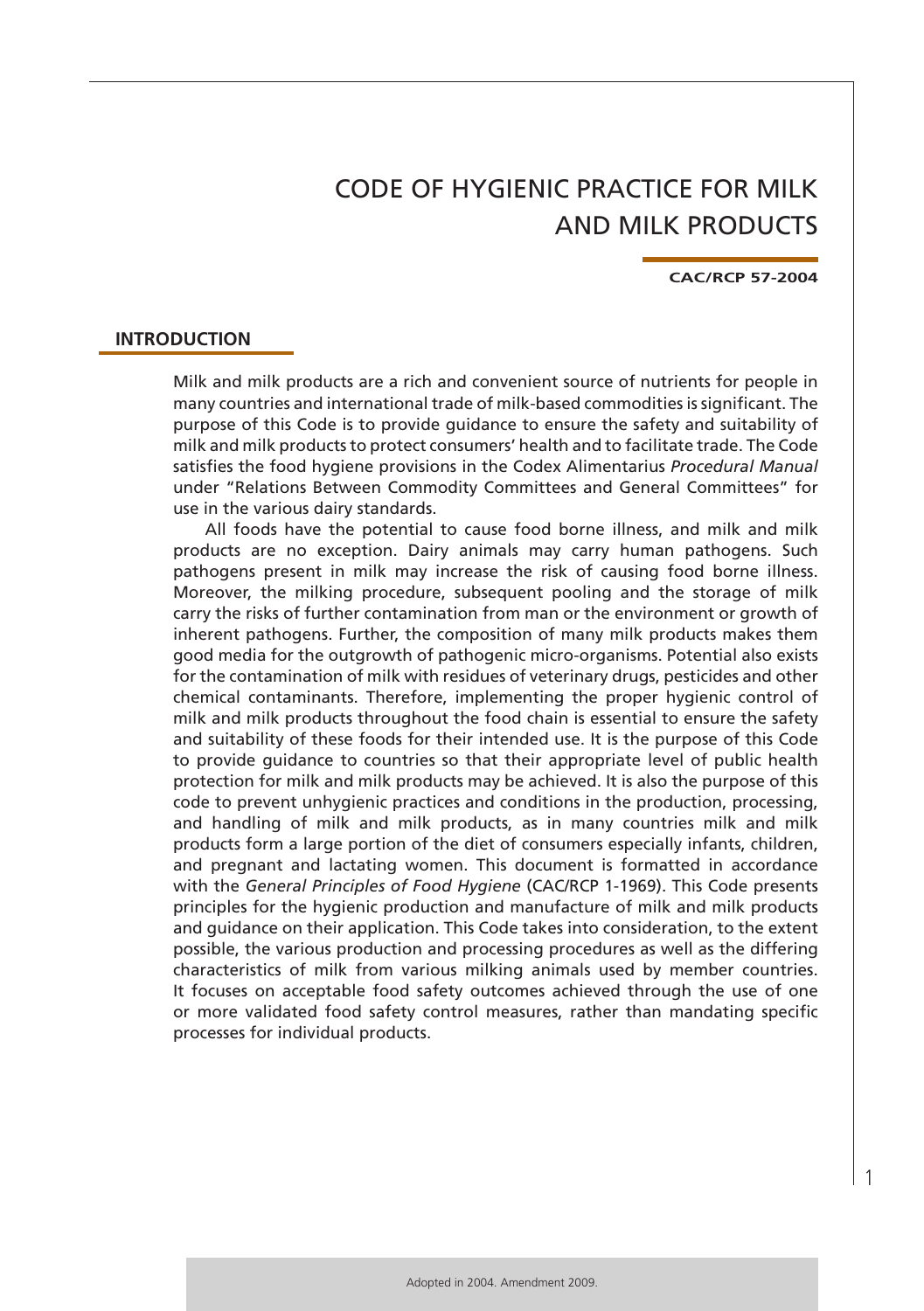# CODE OF HYGIENIC PRACTICE FOR MILK AND MILK PRODUCTS

#### **CAC/RCP 57-2004**

1

### **INTRODUCTION**

Milk and milk products are a rich and convenient source of nutrients for people in many countries and international trade of milk-based commodities is significant. The purpose of this Code is to provide guidance to ensure the safety and suitability of milk and milk products to protect consumers' health and to facilitate trade. The Code satisfies the food hygiene provisions in the Codex Alimentarius *Procedural Manual*  under "Relations Between Commodity Committees and General Committees" for use in the various dairy standards.

All foods have the potential to cause food borne illness, and milk and milk products are no exception. Dairy animals may carry human pathogens. Such pathogens present in milk may increase the risk of causing food borne illness. Moreover, the milking procedure, subsequent pooling and the storage of milk carry the risks of further contamination from man or the environment or growth of inherent pathogens. Further, the composition of many milk products makes them good media for the outgrowth of pathogenic micro-organisms. Potential also exists for the contamination of milk with residues of veterinary drugs, pesticides and other chemical contaminants. Therefore, implementing the proper hygienic control of milk and milk products throughout the food chain is essential to ensure the safety and suitability of these foods for their intended use. It is the purpose of this Code to provide guidance to countries so that their appropriate level of public health protection for milk and milk products may be achieved. It is also the purpose of this code to prevent unhygienic practices and conditions in the production, processing, and handling of milk and milk products, as in many countries milk and milk products form a large portion of the diet of consumers especially infants, children, and pregnant and lactating women. This document is formatted in accordance with the *General Principles of Food Hygiene* (CAC/RCP 1-1969). This Code presents principles for the hygienic production and manufacture of milk and milk products and guidance on their application. This Code takes into consideration, to the extent possible, the various production and processing procedures as well as the differing characteristics of milk from various milking animals used by member countries. It focuses on acceptable food safety outcomes achieved through the use of one or more validated food safety control measures, rather than mandating specific processes for individual products.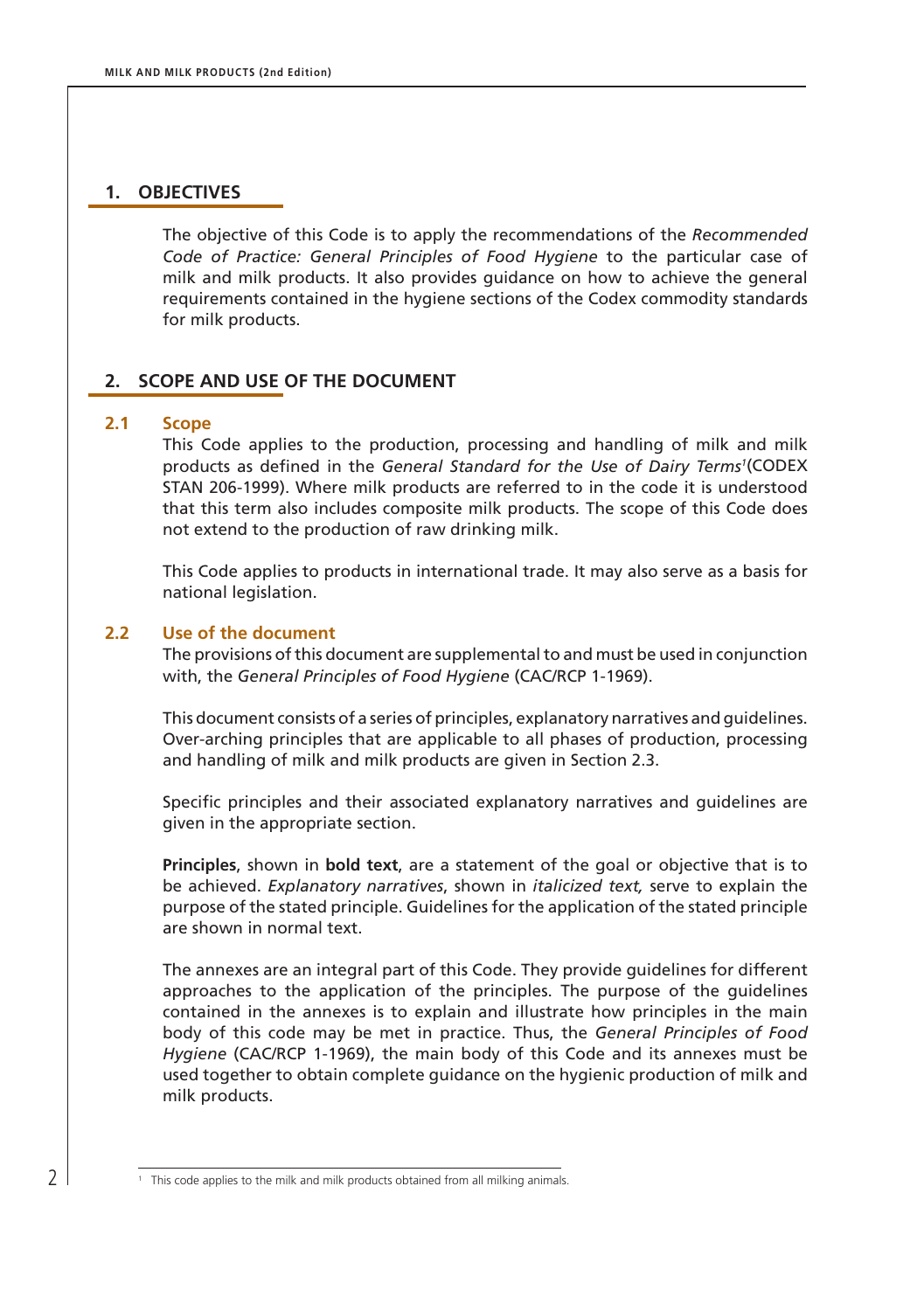### **1. OBJECTIVES**

The objective of this Code is to apply the recommendations of the *Recommended Code of Practice: General Principles of Food Hygiene* to the particular case of milk and milk products. It also provides guidance on how to achieve the general requirements contained in the hygiene sections of the Codex commodity standards for milk products.

# **2. SCOPE AND USE OF THE DOCUMENT**

### **2.1 Scope**

This Code applies to the production, processing and handling of milk and milk products as defined in the *General Standard for the Use of Dairy Terms1* (CODEX STAN 206-1999). Where milk products are referred to in the code it is understood that this term also includes composite milk products. The scope of this Code does not extend to the production of raw drinking milk.

This Code applies to products in international trade. It may also serve as a basis for national legislation.

### **2.2 Use of the document**

The provisions of this document are supplemental to and must be used in conjunction with, the *General Principles of Food Hygiene* (CAC/RCP 1-1969).

This document consists of a series of principles, explanatory narratives and guidelines. Over-arching principles that are applicable to all phases of production, processing and handling of milk and milk products are given in Section 2.3.

Specific principles and their associated explanatory narratives and guidelines are given in the appropriate section.

**Principles**, shown in **bold text**, are a statement of the goal or objective that is to be achieved. *Explanatory narratives*, shown in *italicized text,* serve to explain the purpose of the stated principle. Guidelines for the application of the stated principle are shown in normal text.

The annexes are an integral part of this Code. They provide guidelines for different approaches to the application of the principles. The purpose of the guidelines contained in the annexes is to explain and illustrate how principles in the main body of this code may be met in practice. Thus, the *General Principles of Food Hygiene* (CAC/RCP 1-1969), the main body of this Code and its annexes must be used together to obtain complete guidance on the hygienic production of milk and milk products.

<sup>&</sup>lt;sup>1</sup> This code applies to the milk and milk products obtained from all milking animals.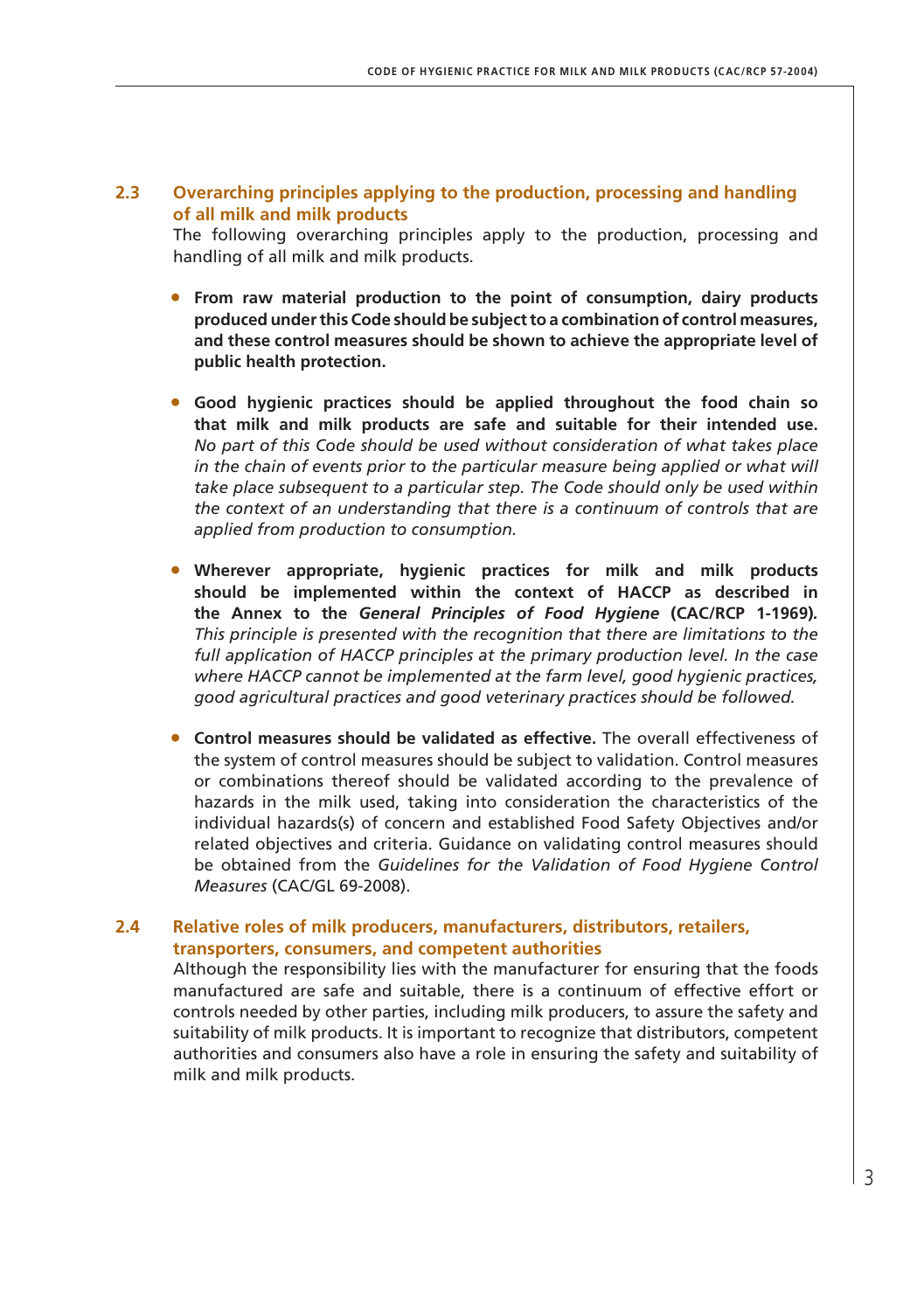### **2.3 Overarching principles applying to the production, processing and handling of all milk and milk products**

The following overarching principles apply to the production, processing and handling of all milk and milk products.

- From raw material production to the point of consumption, dairy products **produced under this Code should be subject to a combination of control measures, and these control measures should be shown to achieve the appropriate level of public health protection.**
- • **Good hygienic practices should be applied throughout the food chain so that milk and milk products are safe and suitable for their intended use.** *No part of this Code should be used without consideration of what takes place in the chain of events prior to the particular measure being applied or what will take place subsequent to a particular step. The Code should only be used within the context of an understanding that there is a continuum of controls that are applied from production to consumption.*
- • **Wherever appropriate, hygienic practices for milk and milk products should be implemented within the context of HACCP as described in the Annex to the** *General Principles of Food Hygiene* **(CAC/RCP 1-1969)***. This principle is presented with the recognition that there are limitations to the full application of HACCP principles at the primary production level. In the case where HACCP cannot be implemented at the farm level, good hygienic practices, good agricultural practices and good veterinary practices should be followed.*
- • **Control measures should be validated as effective.** The overall effectiveness of the system of control measures should be subject to validation. Control measures or combinations thereof should be validated according to the prevalence of hazards in the milk used, taking into consideration the characteristics of the individual hazards(s) of concern and established Food Safety Objectives and/or related objectives and criteria. Guidance on validating control measures should be obtained from the *Guidelines for the Validation of Food Hygiene Control Measures* (CAC/GL 69-2008).

### **2.4 Relative roles of milk producers, manufacturers, distributors, retailers, transporters, consumers, and competent authorities**

Although the responsibility lies with the manufacturer for ensuring that the foods manufactured are safe and suitable, there is a continuum of effective effort or controls needed by other parties, including milk producers, to assure the safety and suitability of milk products. It is important to recognize that distributors, competent authorities and consumers also have a role in ensuring the safety and suitability of milk and milk products.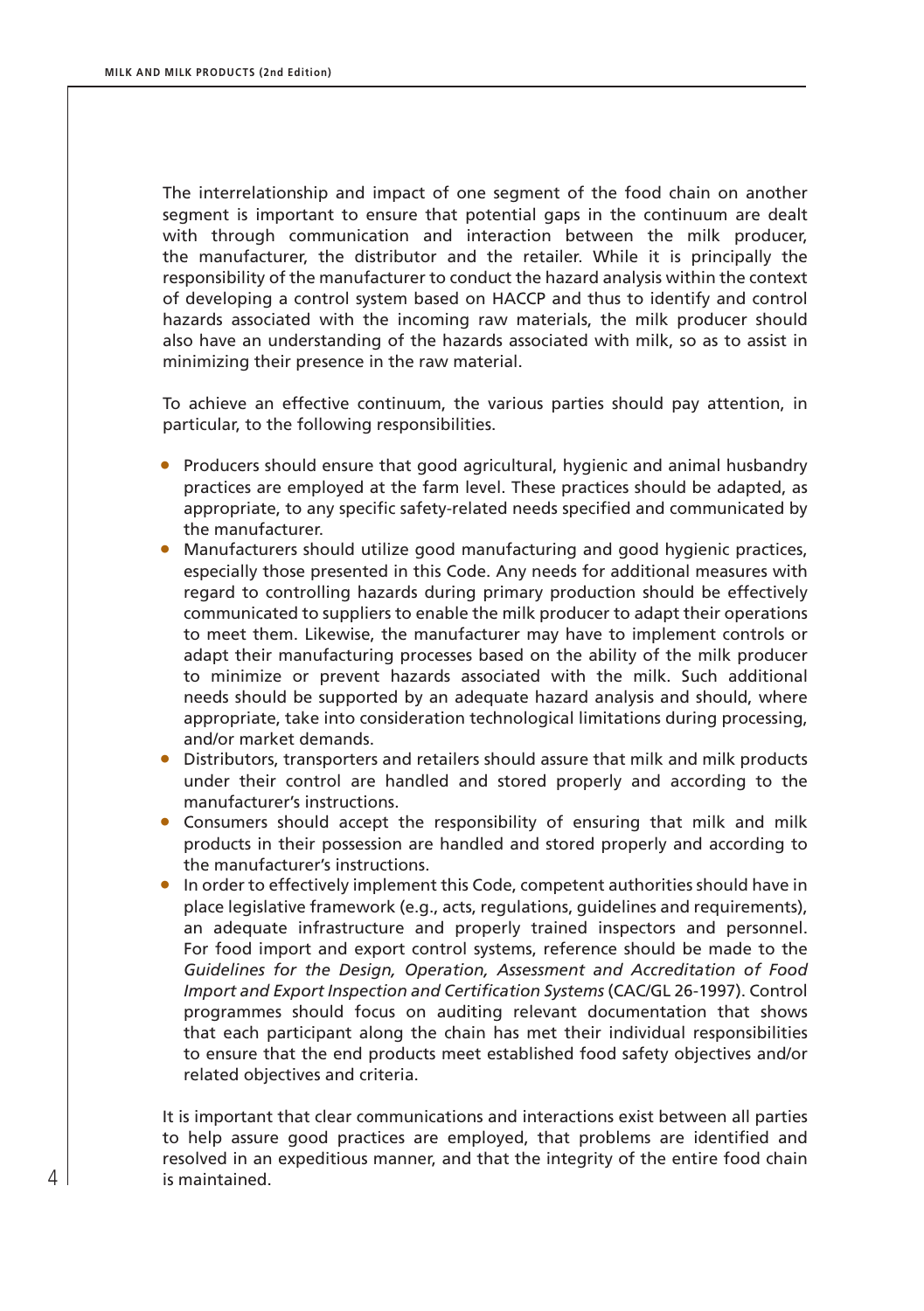The interrelationship and impact of one segment of the food chain on another segment is important to ensure that potential gaps in the continuum are dealt with through communication and interaction between the milk producer, the manufacturer, the distributor and the retailer. While it is principally the responsibility of the manufacturer to conduct the hazard analysis within the context of developing a control system based on HACCP and thus to identify and control hazards associated with the incoming raw materials, the milk producer should also have an understanding of the hazards associated with milk, so as to assist in minimizing their presence in the raw material.

To achieve an effective continuum, the various parties should pay attention, in particular, to the following responsibilities.

- Producers should ensure that good agricultural, hygienic and animal husbandry practices are employed at the farm level. These practices should be adapted, as appropriate, to any specific safety-related needs specified and communicated by the manufacturer.
- Manufacturers should utilize good manufacturing and good hygienic practices, especially those presented in this Code. Any needs for additional measures with regard to controlling hazards during primary production should be effectively communicated to suppliers to enable the milk producer to adapt their operations to meet them. Likewise, the manufacturer may have to implement controls or adapt their manufacturing processes based on the ability of the milk producer to minimize or prevent hazards associated with the milk. Such additional needs should be supported by an adequate hazard analysis and should, where appropriate, take into consideration technological limitations during processing, and/or market demands.
- Distributors, transporters and retailers should assure that milk and milk products under their control are handled and stored properly and according to the manufacturer's instructions.
- • Consumers should accept the responsibility of ensuring that milk and milk products in their possession are handled and stored properly and according to the manufacturer's instructions.
- In order to effectively implement this Code, competent authorities should have in place legislative framework (e.g., acts, regulations, guidelines and requirements), an adequate infrastructure and properly trained inspectors and personnel. For food import and export control systems, reference should be made to the *Guidelines for the Design, Operation, Assessment and Accreditation of Food Import and Export Inspection and Certification Systems* (CAC/GL 26-1997). Control programmes should focus on auditing relevant documentation that shows that each participant along the chain has met their individual responsibilities to ensure that the end products meet established food safety objectives and/or related objectives and criteria.

It is important that clear communications and interactions exist between all parties to help assure good practices are employed, that problems are identified and resolved in an expeditious manner, and that the integrity of the entire food chain is maintained.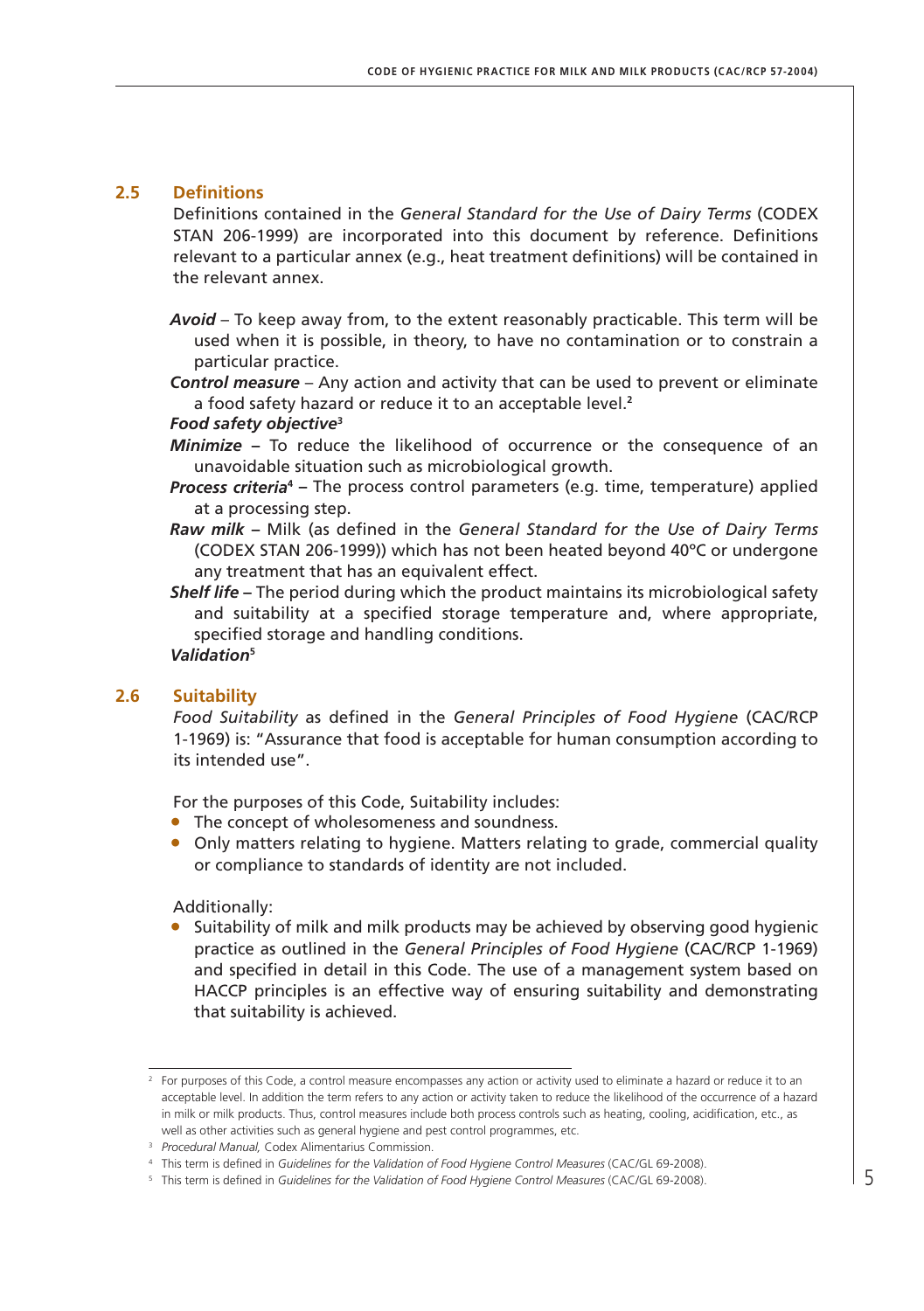### **2.5 Definitions**

Definitions contained in the *General Standard for the Use of Dairy Terms* (CODEX STAN 206-1999) are incorporated into this document by reference. Definitions relevant to a particular annex (e.g., heat treatment definitions) will be contained in the relevant annex.

*Avoid* – To keep away from, to the extent reasonably practicable. This term will be used when it is possible, in theory, to have no contamination or to constrain a particular practice.

*Control measure* – Any action and activity that can be used to prevent or eliminate a food safety hazard or reduce it to an acceptable level.**<sup>2</sup>**

#### *Food safety objective***<sup>3</sup>**

- *Minimize*To reduce the likelihood of occurrence or the consequence of an unavoidable situation such as microbiological growth.
- *Process criteria***<sup>4</sup>** The process control parameters (e.g. time, temperature) applied at a processing step.
- *Raw milk*Milk (as defined in the *General Standard for the Use of Dairy Terms*  (CODEX STAN 206-1999)) which has not been heated beyond 40ºC or undergone any treatment that has an equivalent effect.

*Shelf life* **–** The period during which the product maintains its microbiological safety and suitability at a specified storage temperature and, where appropriate, specified storage and handling conditions. *Validation***<sup>5</sup>**

### **2.6 Suitability**

*Food Suitability* as defined in the *General Principles of Food Hygiene* (CAC/RCP 1-1969) is: "Assurance that food is acceptable for human consumption according to its intended use".

For the purposes of this Code, Suitability includes:

- The concept of wholesomeness and soundness.
- Only matters relating to hygiene. Matters relating to grade, commercial quality or compliance to standards of identity are not included.

Additionally:

Suitability of milk and milk products may be achieved by observing good hygienic practice as outlined in the *General Principles of Food Hygiene* (CAC/RCP 1-1969) and specified in detail in this Code. The use of a management system based on HACCP principles is an effective way of ensuring suitability and demonstrating that suitability is achieved.

<sup>&</sup>lt;sup>2</sup> For purposes of this Code, a control measure encompasses any action or activity used to eliminate a hazard or reduce it to an acceptable level. In addition the term refers to any action or activity taken to reduce the likelihood of the occurrence of a hazard in milk or milk products. Thus, control measures include both process controls such as heating, cooling, acidification, etc., as well as other activities such as general hygiene and pest control programmes, etc.

<sup>3</sup> *Procedural Manual,* Codex Alimentarius Commission.

<sup>4</sup> This term is defined in *Guidelines for the Validation of Food Hygiene Control Measures* (CAC/GL 69-2008).

<sup>5</sup> This term is defined in *Guidelines for the Validation of Food Hygiene Control Measures* (CAC/GL 69-2008).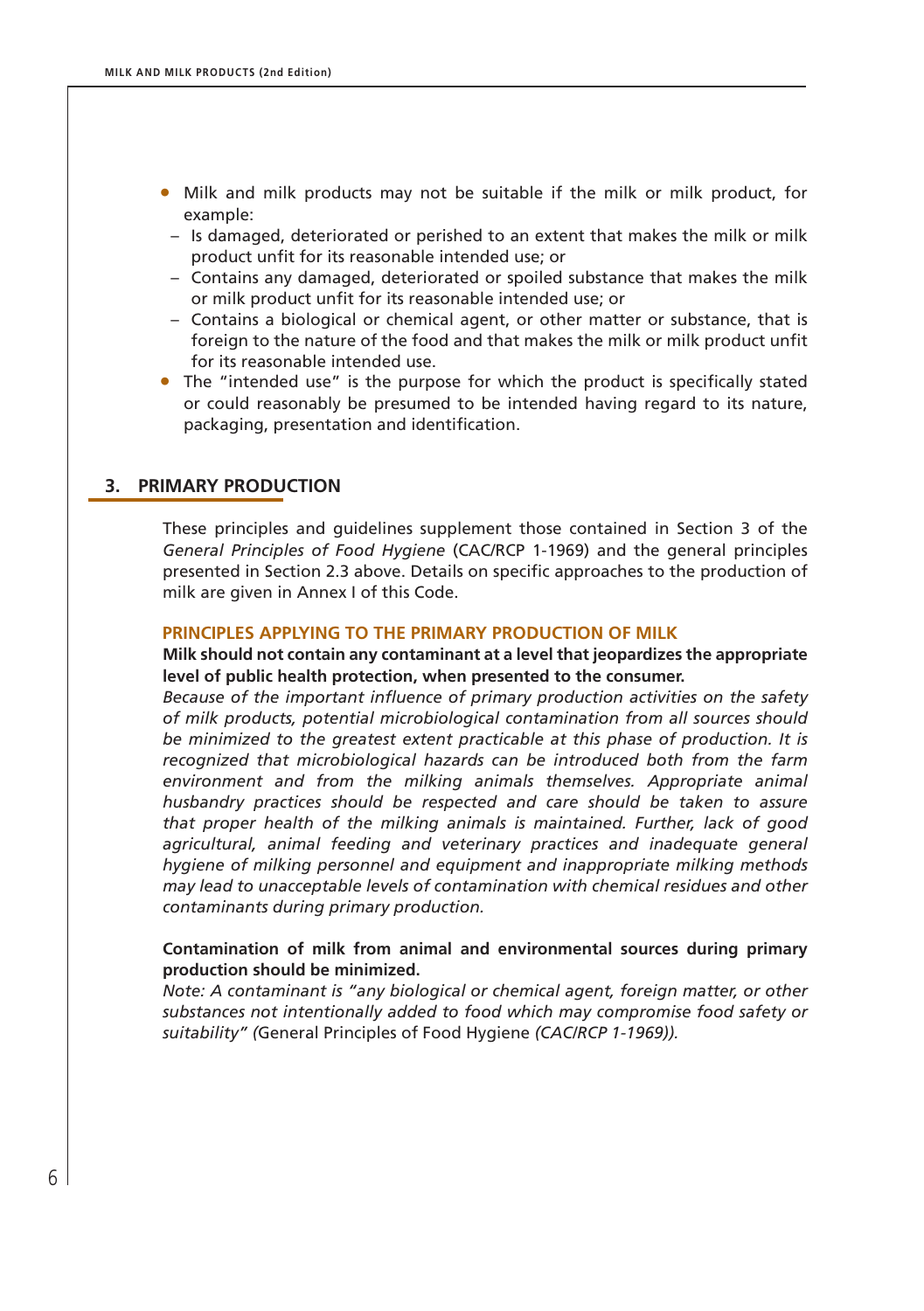- Milk and milk products may not be suitable if the milk or milk product, for example:
- Is damaged, deteriorated or perished to an extent that makes the milk or milk product unfit for its reasonable intended use; or
- Contains any damaged, deteriorated or spoiled substance that makes the milk or milk product unfit for its reasonable intended use; or
- Contains a biological or chemical agent, or other matter or substance, that is foreign to the nature of the food and that makes the milk or milk product unfit for its reasonable intended use.
- The "intended use" is the purpose for which the product is specifically stated or could reasonably be presumed to be intended having regard to its nature, packaging, presentation and identification.

### **3. PRIMARY PRODUCTION**

These principles and guidelines supplement those contained in Section 3 of the *General Principles of Food Hygiene* (CAC/RCP 1-1969) and the general principles presented in Section 2.3 above. Details on specific approaches to the production of milk are given in Annex I of this Code.

#### **PRINCIPLES APPLYING TO THE PRIMARY PRODUCTION OF MILK**

#### **Milk should not contain any contaminant at a level that jeopardizes the appropriate level of public health protection, when presented to the consumer.**

*Because of the important influence of primary production activities on the safety of milk products, potential microbiological contamination from all sources should be minimized to the greatest extent practicable at this phase of production. It is recognized that microbiological hazards can be introduced both from the farm environment and from the milking animals themselves. Appropriate animal husbandry practices should be respected and care should be taken to assure that proper health of the milking animals is maintained. Further, lack of good agricultural, animal feeding and veterinary practices and inadequate general hygiene of milking personnel and equipment and inappropriate milking methods may lead to unacceptable levels of contamination with chemical residues and other contaminants during primary production.*

### **Contamination of milk from animal and environmental sources during primary production should be minimized.**

*Note: A contaminant is "any biological or chemical agent, foreign matter, or other substances not intentionally added to food which may compromise food safety or suitability" (*General Principles of Food Hygiene *(CAC/RCP 1-1969)).*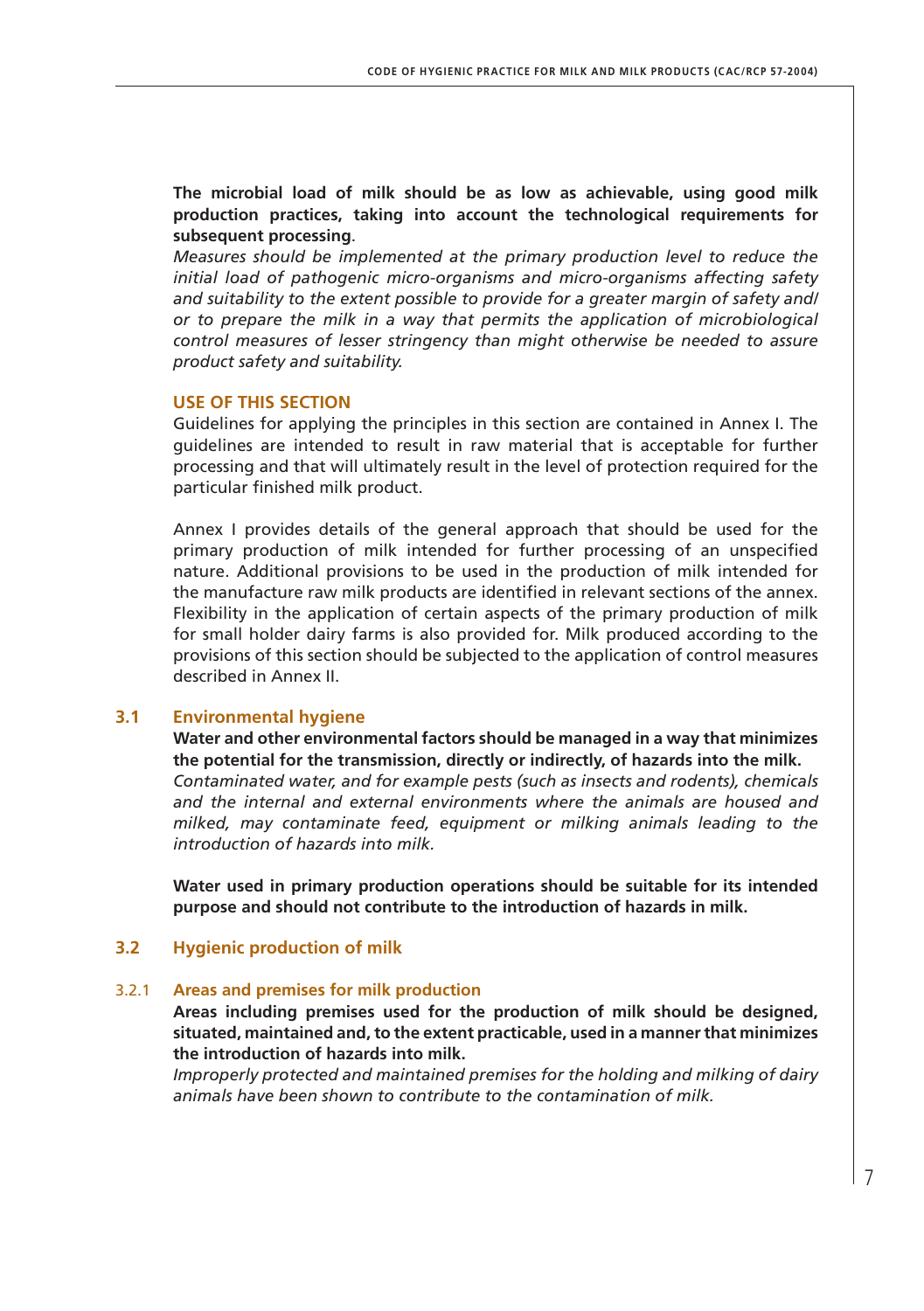**The microbial load of milk should be as low as achievable, using good milk production practices, taking into account the technological requirements for subsequent processing**.

*Measures should be implemented at the primary production level to reduce the initial load of pathogenic micro-organisms and micro-organisms affecting safety and suitability to the extent possible to provide for a greater margin of safety and/ or to prepare the milk in a way that permits the application of microbiological control measures of lesser stringency than might otherwise be needed to assure product safety and suitability.*

#### **USE OF THIS SECTION**

Guidelines for applying the principles in this section are contained in Annex I. The guidelines are intended to result in raw material that is acceptable for further processing and that will ultimately result in the level of protection required for the particular finished milk product.

Annex I provides details of the general approach that should be used for the primary production of milk intended for further processing of an unspecified nature. Additional provisions to be used in the production of milk intended for the manufacture raw milk products are identified in relevant sections of the annex. Flexibility in the application of certain aspects of the primary production of milk for small holder dairy farms is also provided for. Milk produced according to the provisions of this section should be subjected to the application of control measures described in Annex II.

#### **3.1 Environmental hygiene**

**Water and other environmental factors should be managed in a way that minimizes the potential for the transmission, directly or indirectly, of hazards into the milk.**  *Contaminated water, and for example pests (such as insects and rodents), chemicals and the internal and external environments where the animals are housed and milked, may contaminate feed, equipment or milking animals leading to the introduction of hazards into milk.*

**Water used in primary production operations should be suitable for its intended purpose and should not contribute to the introduction of hazards in milk.**

#### **3.2 Hygienic production of milk**

#### 3.2.1 **Areas and premises for milk production**

**Areas including premises used for the production of milk should be designed, situated, maintained and, to the extent practicable, used in a manner that minimizes the introduction of hazards into milk.** 

*Improperly protected and maintained premises for the holding and milking of dairy animals have been shown to contribute to the contamination of milk.*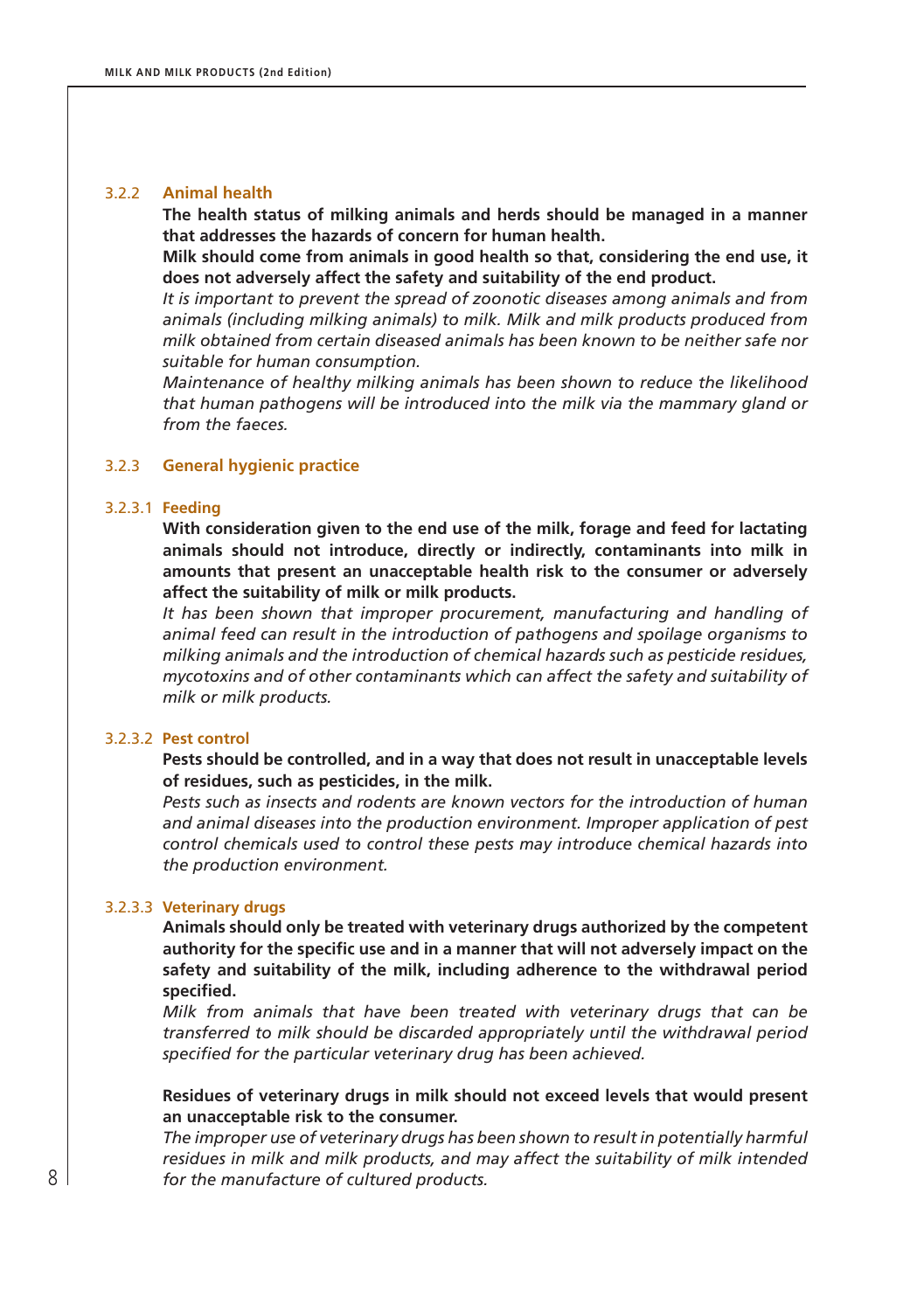### 3.2.2 **Animal health**

**The health status of milking animals and herds should be managed in a manner that addresses the hazards of concern for human health.**

**Milk should come from animals in good health so that, considering the end use, it does not adversely affect the safety and suitability of the end product.**

*It is important to prevent the spread of zoonotic diseases among animals and from animals (including milking animals) to milk. Milk and milk products produced from milk obtained from certain diseased animals has been known to be neither safe nor suitable for human consumption.* 

*Maintenance of healthy milking animals has been shown to reduce the likelihood that human pathogens will be introduced into the milk via the mammary gland or from the faeces.* 

#### 3.2.3 **General hygienic practice**

#### 3.2.3.1 **Feeding**

**With consideration given to the end use of the milk, forage and feed for lactating animals should not introduce, directly or indirectly, contaminants into milk in amounts that present an unacceptable health risk to the consumer or adversely affect the suitability of milk or milk products.**

*It has been shown that improper procurement, manufacturing and handling of animal feed can result in the introduction of pathogens and spoilage organisms to milking animals and the introduction of chemical hazards such as pesticide residues, mycotoxins and of other contaminants which can affect the safety and suitability of milk or milk products.*

#### 3.2.3.2 **Pest control**

**Pests should be controlled, and in a way that does not result in unacceptable levels of residues, such as pesticides, in the milk.**

*Pests such as insects and rodents are known vectors for the introduction of human and animal diseases into the production environment. Improper application of pest control chemicals used to control these pests may introduce chemical hazards into the production environment.*

#### 3.2.3.3 **Veterinary drugs**

**Animals should only be treated with veterinary drugs authorized by the competent authority for the specific use and in a manner that will not adversely impact on the safety and suitability of the milk, including adherence to the withdrawal period specified.**

*Milk from animals that have been treated with veterinary drugs that can be transferred to milk should be discarded appropriately until the withdrawal period specified for the particular veterinary drug has been achieved.*

### **Residues of veterinary drugs in milk should not exceed levels that would present an unacceptable risk to the consumer.**

*The improper use of veterinary drugs has been shown to result in potentially harmful residues in milk and milk products, and may affect the suitability of milk intended for the manufacture of cultured products.*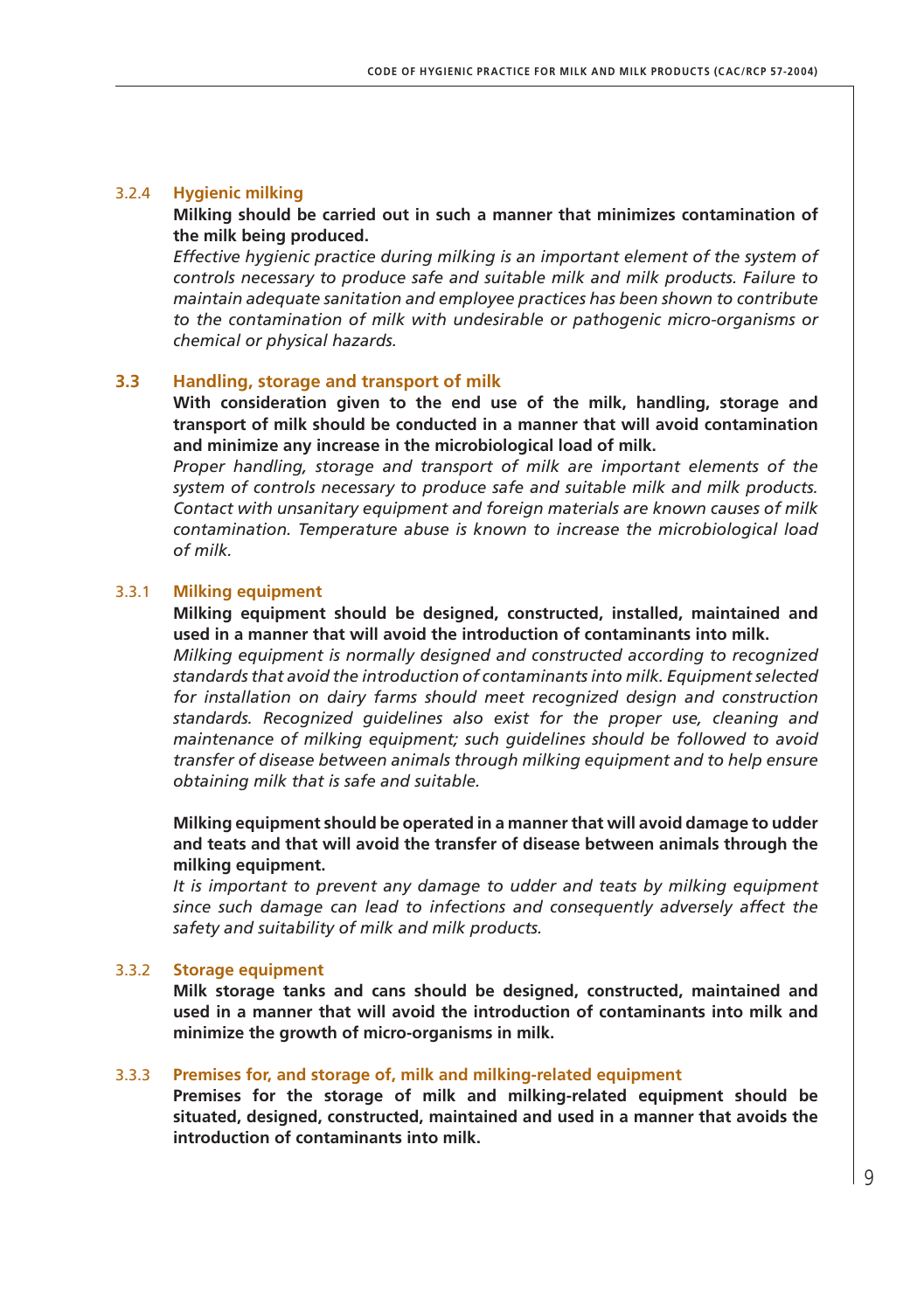### 3.2.4 **Hygienic milking**

**Milking should be carried out in such a manner that minimizes contamination of the milk being produced.**

*Effective hygienic practice during milking is an important element of the system of controls necessary to produce safe and suitable milk and milk products. Failure to maintain adequate sanitation and employee practices has been shown to contribute to the contamination of milk with undesirable or pathogenic micro-organisms or chemical or physical hazards.*

#### **3.3 Handling, storage and transport of milk**

**With consideration given to the end use of the milk, handling, storage and transport of milk should be conducted in a manner that will avoid contamination and minimize any increase in the microbiological load of milk.**

*Proper handling, storage and transport of milk are important elements of the system of controls necessary to produce safe and suitable milk and milk products. Contact with unsanitary equipment and foreign materials are known causes of milk contamination. Temperature abuse is known to increase the microbiological load of milk.* 

#### 3.3.1 **Milking equipment**

**Milking equipment should be designed, constructed, installed, maintained and used in a manner that will avoid the introduction of contaminants into milk.**

*Milking equipment is normally designed and constructed according to recognized standards that avoid the introduction of contaminants into milk. Equipment selected for installation on dairy farms should meet recognized design and construction standards. Recognized guidelines also exist for the proper use, cleaning and maintenance of milking equipment; such guidelines should be followed to avoid transfer of disease between animals through milking equipment and to help ensure obtaining milk that is safe and suitable.*

**Milking equipment should be operated in a manner that will avoid damage to udder and teats and that will avoid the transfer of disease between animals through the milking equipment.**

*It is important to prevent any damage to udder and teats by milking equipment since such damage can lead to infections and consequently adversely affect the safety and suitability of milk and milk products.*

#### 3.3.2 **Storage equipment**

**Milk storage tanks and cans should be designed, constructed, maintained and used in a manner that will avoid the introduction of contaminants into milk and minimize the growth of micro-organisms in milk.**

#### 3.3.3 **Premises for, and storage of, milk and milking-related equipment**

**Premises for the storage of milk and milking-related equipment should be situated, designed, constructed, maintained and used in a manner that avoids the introduction of contaminants into milk.**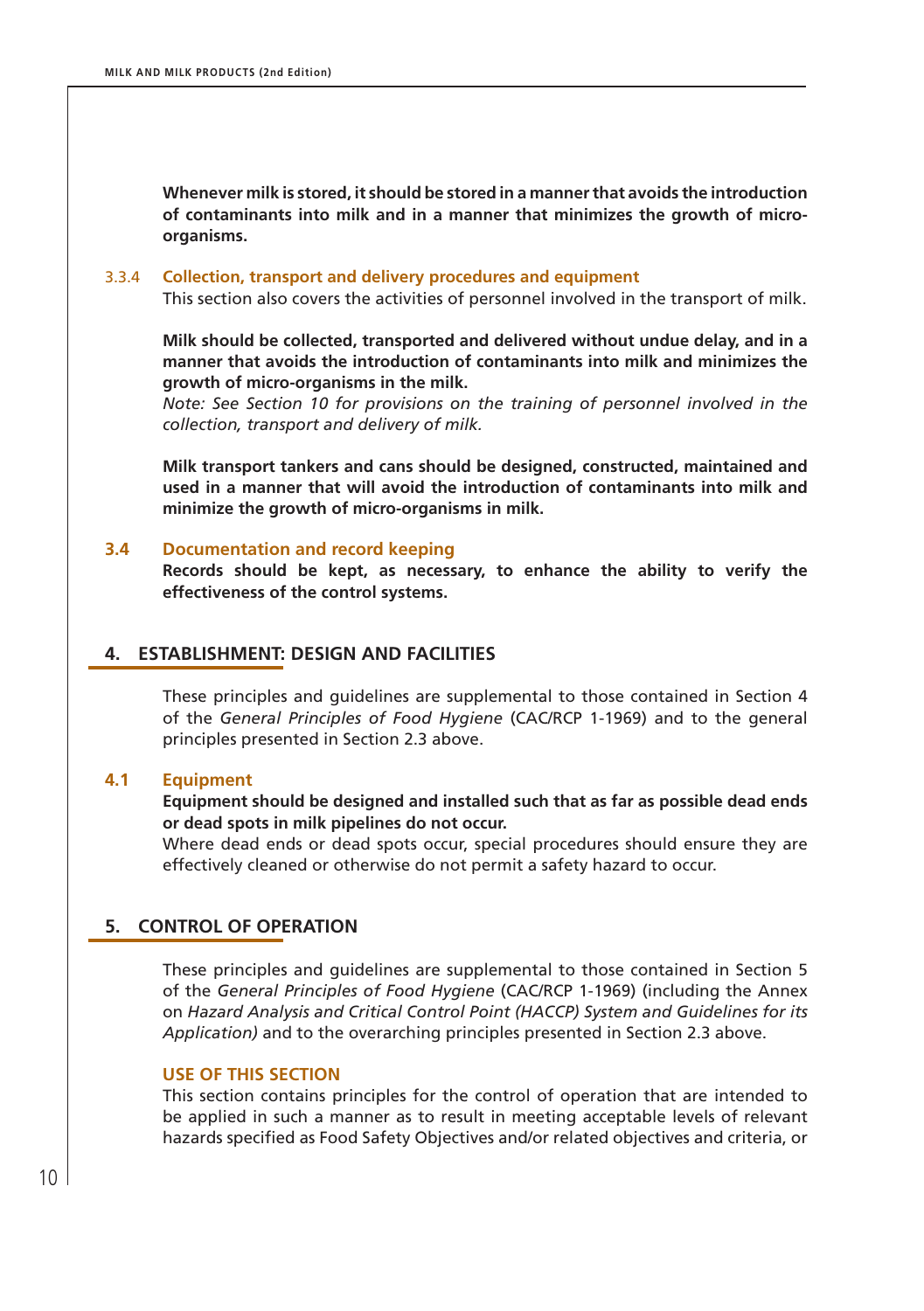**Whenever milk is stored, it should be stored in a manner that avoids the introduction of contaminants into milk and in a manner that minimizes the growth of microorganisms.** 

#### 3.3.4 **Collection, transport and delivery procedures and equipment**

This section also covers the activities of personnel involved in the transport of milk.

**Milk should be collected, transported and delivered without undue delay, and in a manner that avoids the introduction of contaminants into milk and minimizes the growth of micro-organisms in the milk.**

*Note: See Section 10 for provisions on the training of personnel involved in the collection, transport and delivery of milk.* 

**Milk transport tankers and cans should be designed, constructed, maintained and used in a manner that will avoid the introduction of contaminants into milk and minimize the growth of micro-organisms in milk.**

#### **3.4 Documentation and record keeping**

**Records should be kept, as necessary, to enhance the ability to verify the effectiveness of the control systems.**

### **4. ESTABLISHMENT: DESIGN AND FACILITIES**

These principles and guidelines are supplemental to those contained in Section 4 of the *General Principles of Food Hygiene* (CAC/RCP 1-1969) and to the general principles presented in Section 2.3 above.

### **4.1 Equipment**

**Equipment should be designed and installed such that as far as possible dead ends or dead spots in milk pipelines do not occur.**

Where dead ends or dead spots occur, special procedures should ensure they are effectively cleaned or otherwise do not permit a safety hazard to occur.

### **5. CONTROL OF OPERATION**

These principles and guidelines are supplemental to those contained in Section 5 of the *General Principles of Food Hygiene* (CAC/RCP 1-1969) (including the Annex on *Hazard Analysis and Critical Control Point (HACCP) System and Guidelines for its Application)* and to the overarching principles presented in Section 2.3 above.

#### **USE OF THIS SECTION**

This section contains principles for the control of operation that are intended to be applied in such a manner as to result in meeting acceptable levels of relevant hazards specified as Food Safety Objectives and/or related objectives and criteria, or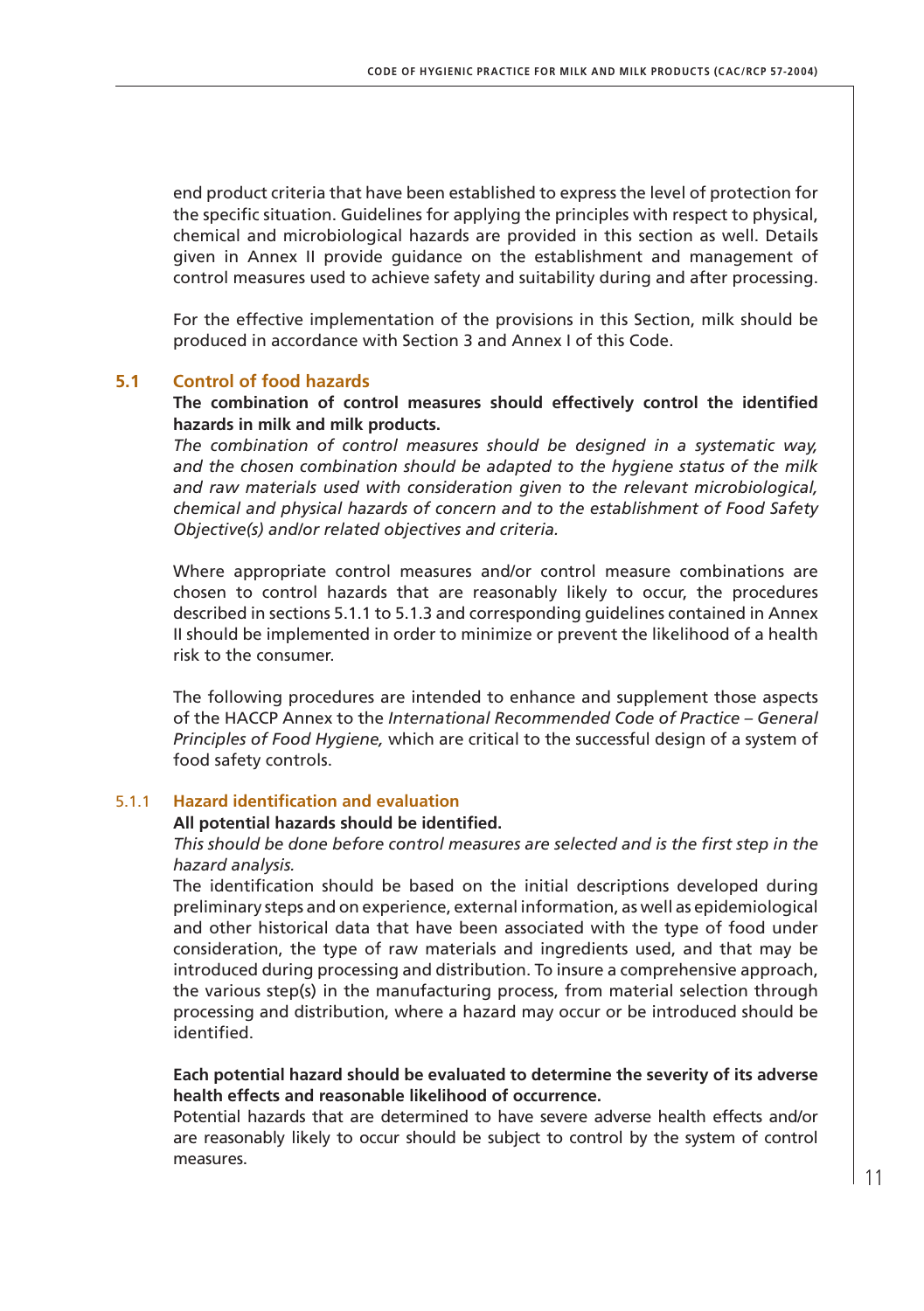end product criteria that have been established to express the level of protection for the specific situation. Guidelines for applying the principles with respect to physical, chemical and microbiological hazards are provided in this section as well. Details given in Annex II provide guidance on the establishment and management of control measures used to achieve safety and suitability during and after processing.

For the effective implementation of the provisions in this Section, milk should be produced in accordance with Section 3 and Annex I of this Code.

#### **5.1 Control of food hazards**

### **The combination of control measures should effectively control the identified hazards in milk and milk products.**

*The combination of control measures should be designed in a systematic way, and the chosen combination should be adapted to the hygiene status of the milk and raw materials used with consideration given to the relevant microbiological, chemical and physical hazards of concern and to the establishment of Food Safety Objective(s) and/or related objectives and criteria.*

Where appropriate control measures and/or control measure combinations are chosen to control hazards that are reasonably likely to occur, the procedures described in sections 5.1.1 to 5.1.3 and corresponding guidelines contained in Annex II should be implemented in order to minimize or prevent the likelihood of a health risk to the consumer.

The following procedures are intended to enhance and supplement those aspects of the HACCP Annex to the *International Recommended Code of Practice – General Principles of Food Hygiene,* which are critical to the successful design of a system of food safety controls.

#### 5.1.1 **Hazard identification and evaluation**

#### **All potential hazards should be identified.**

#### *This should be done before control measures are selected and is the first step in the hazard analysis.*

The identification should be based on the initial descriptions developed during preliminary steps and on experience, external information, as well as epidemiological and other historical data that have been associated with the type of food under consideration, the type of raw materials and ingredients used, and that may be introduced during processing and distribution. To insure a comprehensive approach, the various step(s) in the manufacturing process, from material selection through processing and distribution, where a hazard may occur or be introduced should be identified.

#### **Each potential hazard should be evaluated to determine the severity of its adverse health effects and reasonable likelihood of occurrence.**

Potential hazards that are determined to have severe adverse health effects and/or are reasonably likely to occur should be subject to control by the system of control measures.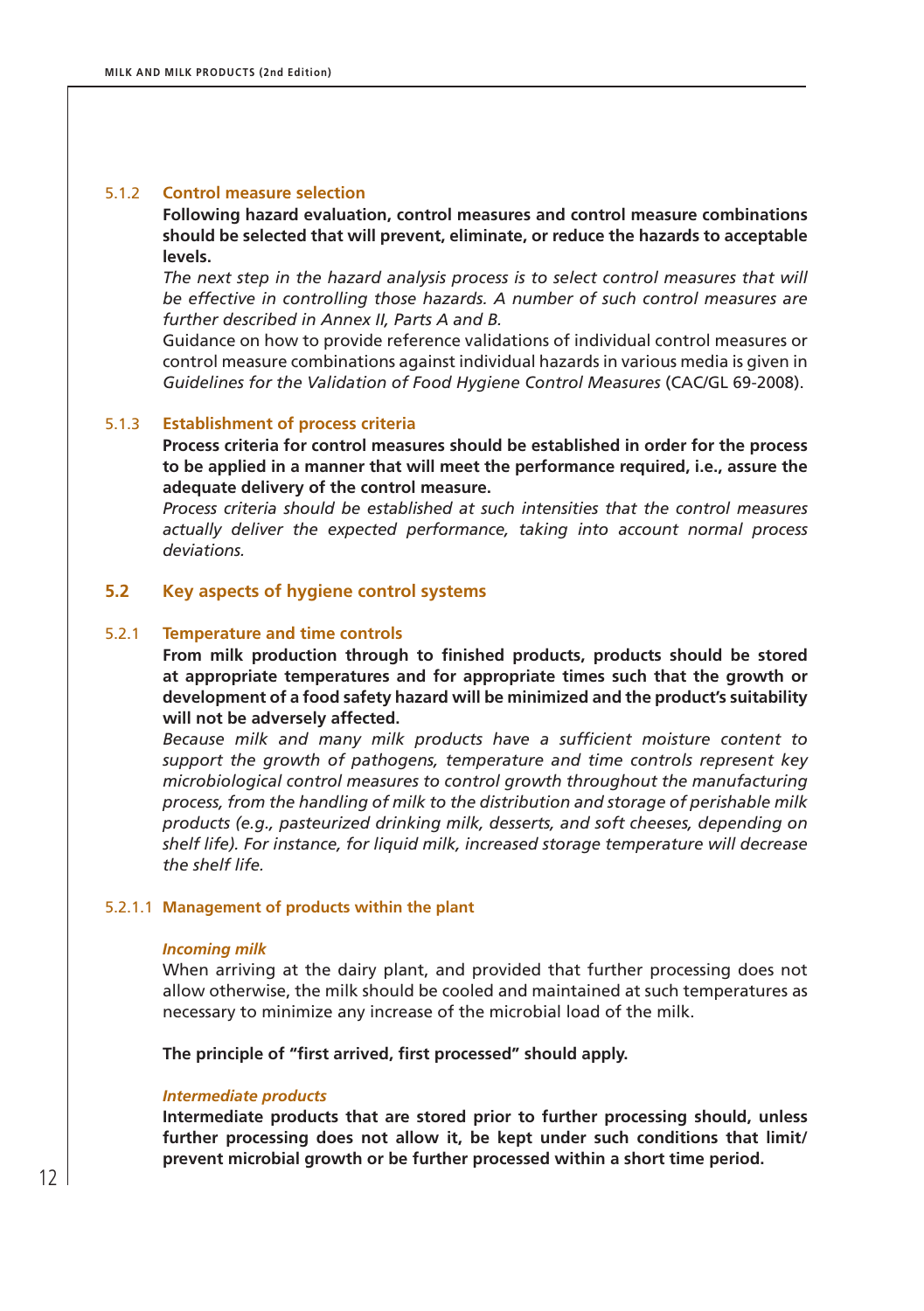#### 5.1.2 **Control measure selection**

**Following hazard evaluation, control measures and control measure combinations should be selected that will prevent, eliminate, or reduce the hazards to acceptable levels.** 

The next step in the hazard analysis process is to select control measures that will *be effective in controlling those hazards. A number of such control measures are further described in Annex II, Parts A and B.*

Guidance on how to provide reference validations of individual control measures or control measure combinations against individual hazards in various media is given in *Guidelines for the Validation of Food Hygiene Control Measures* (CAC/GL 69-2008).

#### 5.1.3 **Establishment of process criteria**

**Process criteria for control measures should be established in order for the process to be applied in a manner that will meet the performance required, i.e., assure the adequate delivery of the control measure.**

*Process criteria should be established at such intensities that the control measures actually deliver the expected performance, taking into account normal process deviations.* 

#### **5.2 Key aspects of hygiene control systems**

#### 5.2.1 **Temperature and time controls**

**From milk production through to finished products, products should be stored at appropriate temperatures and for appropriate times such that the growth or development of a food safety hazard will be minimized and the product's suitability will not be adversely affected.**

*Because milk and many milk products have a sufficient moisture content to support the growth of pathogens, temperature and time controls represent key microbiological control measures to control growth throughout the manufacturing process, from the handling of milk to the distribution and storage of perishable milk products (e.g., pasteurized drinking milk, desserts, and soft cheeses, depending on shelf life). For instance, for liquid milk, increased storage temperature will decrease the shelf life.*

#### 5.2.1.1 **Management of products within the plant**

#### *Incoming milk*

When arriving at the dairy plant, and provided that further processing does not allow otherwise, the milk should be cooled and maintained at such temperatures as necessary to minimize any increase of the microbial load of the milk.

**The principle of "first arrived, first processed" should apply.** 

#### *Intermediate products*

**Intermediate products that are stored prior to further processing should, unless further processing does not allow it, be kept under such conditions that limit/ prevent microbial growth or be further processed within a short time period.**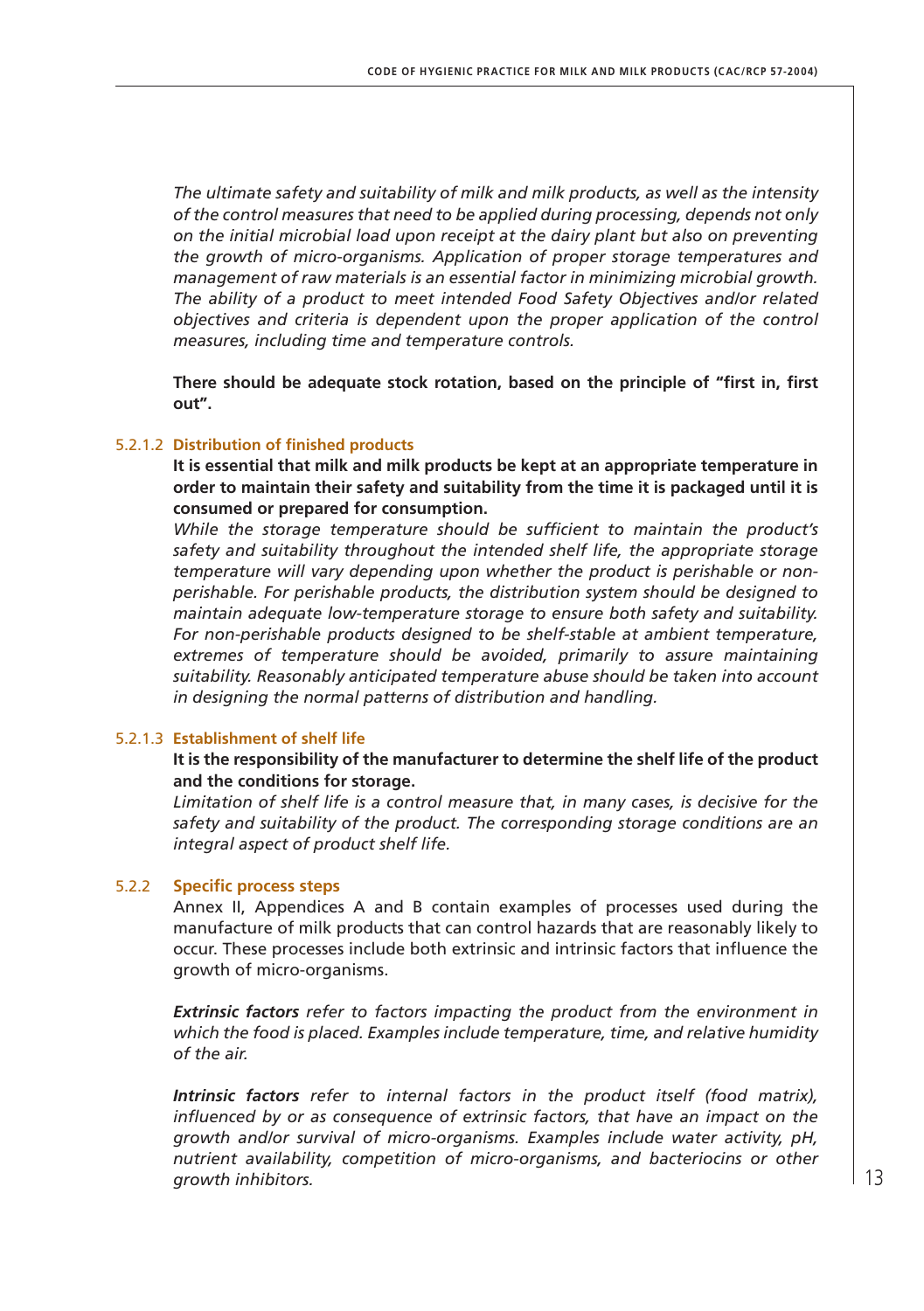*The ultimate safety and suitability of milk and milk products, as well as the intensity of the control measures that need to be applied during processing, depends not only on the initial microbial load upon receipt at the dairy plant but also on preventing the growth of micro-organisms. Application of proper storage temperatures and management of raw materials is an essential factor in minimizing microbial growth. The ability of a product to meet intended Food Safety Objectives and/or related objectives and criteria is dependent upon the proper application of the control measures, including time and temperature controls.* 

**There should be adequate stock rotation, based on the principle of "first in, first out".**

#### 5.2.1.2 **Distribution of finished products**

**It is essential that milk and milk products be kept at an appropriate temperature in order to maintain their safety and suitability from the time it is packaged until it is consumed or prepared for consumption.**

*While the storage temperature should be sufficient to maintain the product's safety and suitability throughout the intended shelf life, the appropriate storage temperature will vary depending upon whether the product is perishable or nonperishable. For perishable products, the distribution system should be designed to maintain adequate low-temperature storage to ensure both safety and suitability. For non-perishable products designed to be shelf-stable at ambient temperature, extremes of temperature should be avoided, primarily to assure maintaining suitability. Reasonably anticipated temperature abuse should be taken into account in designing the normal patterns of distribution and handling.*

### 5.2.1.3 **Establishment of shelf life**

#### **It is the responsibility of the manufacturer to determine the shelf life of the product and the conditions for storage.**

*Limitation of shelf life is a control measure that, in many cases, is decisive for the safety and suitability of the product. The corresponding storage conditions are an integral aspect of product shelf life.*

#### 5.2.2 **Specific process steps**

Annex II, Appendices A and B contain examples of processes used during the manufacture of milk products that can control hazards that are reasonably likely to occur. These processes include both extrinsic and intrinsic factors that influence the growth of micro-organisms.

*Extrinsic factors refer to factors impacting the product from the environment in which the food is placed. Examples include temperature, time, and relative humidity of the air.*

*Intrinsic factors refer to internal factors in the product itself (food matrix), influenced by or as consequence of extrinsic factors, that have an impact on the growth and/or survival of micro-organisms. Examples include water activity, pH, nutrient availability, competition of micro-organisms, and bacteriocins or other growth inhibitors.*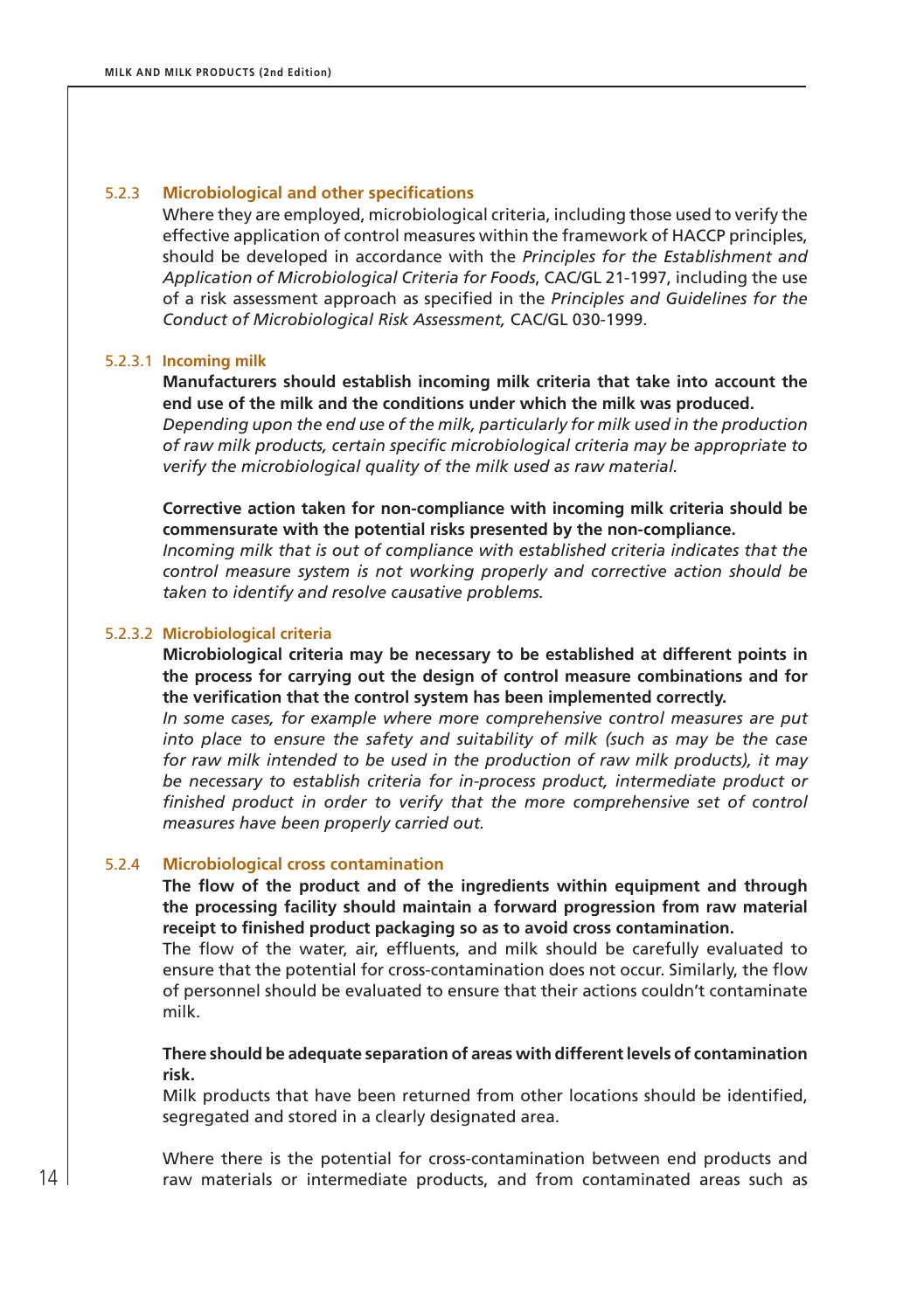### 5.2.3 **Microbiological and other specifications**

Where they are employed, microbiological criteria, including those used to verify the effective application of control measures within the framework of HACCP principles, should be developed in accordance with the *Principles for the Establishment and Application of Microbiological Criteria for Foods*, CAC/GL 21-1997, including the use of a risk assessment approach as specified in the *Principles and Guidelines for the Conduct of Microbiological Risk Assessment,* CAC/GL 030-1999.

### 5.2.3.1 **Incoming milk**

**Manufacturers should establish incoming milk criteria that take into account the end use of the milk and the conditions under which the milk was produced.**

*Depending upon the end use of the milk, particularly for milk used in the production of raw milk products, certain specific microbiological criteria may be appropriate to verify the microbiological quality of the milk used as raw material.*

**Corrective action taken for non-compliance with incoming milk criteria should be commensurate with the potential risks presented by the non-compliance.**

*Incoming milk that is out of compliance with established criteria indicates that the control measure system is not working properly and corrective action should be taken to identify and resolve causative problems.*

### 5.2.3.2 **Microbiological criteria**

**Microbiological criteria may be necessary to be established at different points in the process for carrying out the design of control measure combinations and for the verification that the control system has been implemented correctly.**

*In some cases, for example where more comprehensive control measures are put into place to ensure the safety and suitability of milk (such as may be the case for raw milk intended to be used in the production of raw milk products), it may be necessary to establish criteria for in-process product, intermediate product or*  finished product in order to verify that the more comprehensive set of control *measures have been properly carried out.*

# 5.2.4 **Microbiological cross contamination**

**The flow of the product and of the ingredients within equipment and through the processing facility should maintain a forward progression from raw material receipt to finished product packaging so as to avoid cross contamination.**

The flow of the water, air, effluents, and milk should be carefully evaluated to ensure that the potential for cross-contamination does not occur. Similarly, the flow of personnel should be evaluated to ensure that their actions couldn't contaminate milk.

**There should be adequate separation of areas with different levels of contamination risk.**

Milk products that have been returned from other locations should be identified, segregated and stored in a clearly designated area.

Where there is the potential for cross-contamination between end products and raw materials or intermediate products, and from contaminated areas such as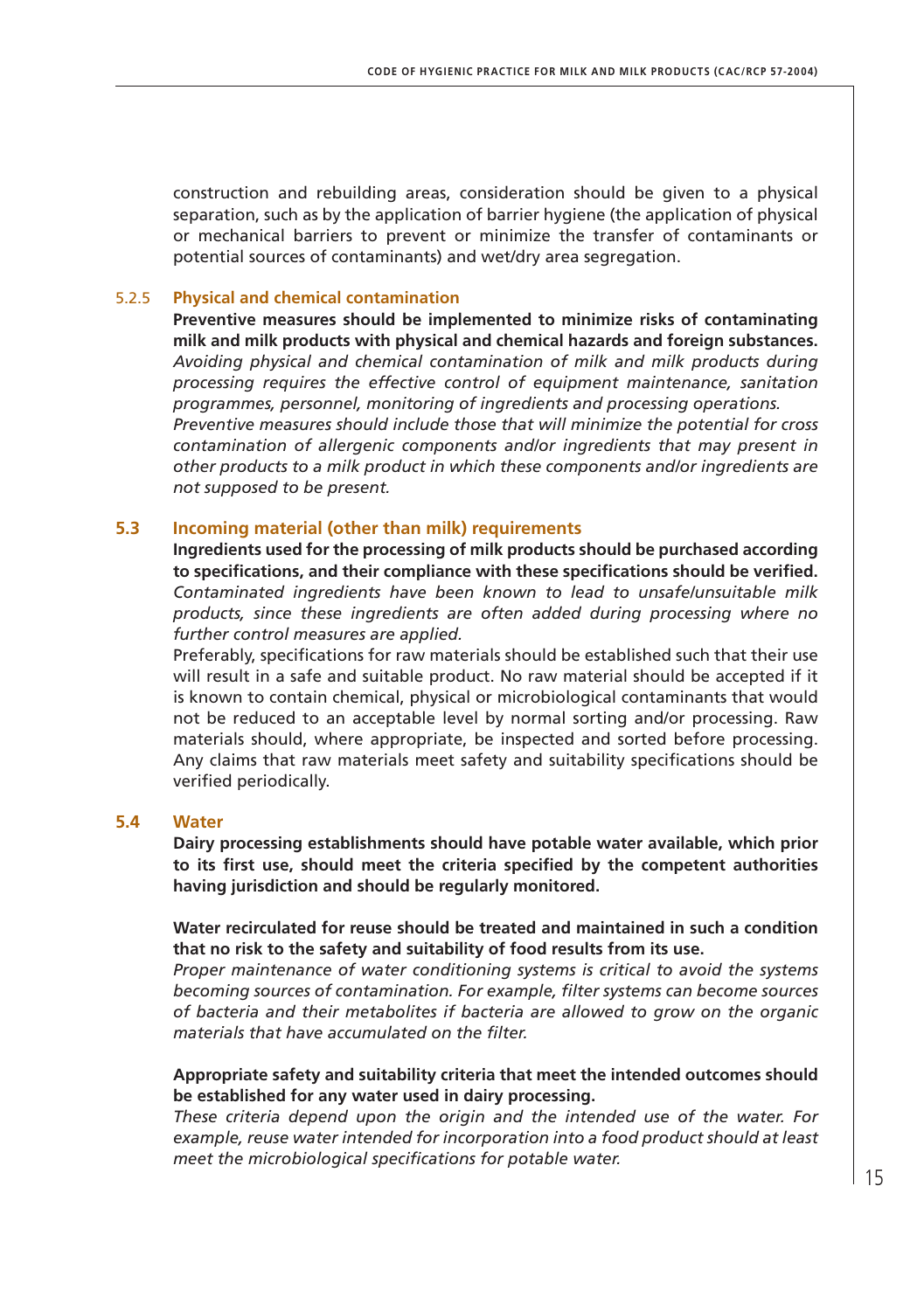construction and rebuilding areas, consideration should be given to a physical separation, such as by the application of barrier hygiene (the application of physical or mechanical barriers to prevent or minimize the transfer of contaminants or potential sources of contaminants) and wet/dry area segregation.

#### 5.2.5 **Physical and chemical contamination**

**Preventive measures should be implemented to minimize risks of contaminating milk and milk products with physical and chemical hazards and foreign substances.**  *Avoiding physical and chemical contamination of milk and milk products during processing requires the effective control of equipment maintenance, sanitation programmes, personnel, monitoring of ingredients and processing operations. Preventive measures should include those that will minimize the potential for cross contamination of allergenic components and/or ingredients that may present in other products to a milk product in which these components and/or ingredients are not supposed to be present.*

#### **5.3 Incoming material (other than milk) requirements**

**Ingredients used for the processing of milk products should be purchased according to specifications, and their compliance with these specifications should be verified.** *Contaminated ingredients have been known to lead to unsafe/unsuitable milk products, since these ingredients are often added during processing where no further control measures are applied.*

Preferably, specifications for raw materials should be established such that their use will result in a safe and suitable product. No raw material should be accepted if it is known to contain chemical, physical or microbiological contaminants that would not be reduced to an acceptable level by normal sorting and/or processing. Raw materials should, where appropriate, be inspected and sorted before processing. Any claims that raw materials meet safety and suitability specifications should be verified periodically.

#### **5.4 Water**

**Dairy processing establishments should have potable water available, which prior to its first use, should meet the criteria specified by the competent authorities having jurisdiction and should be regularly monitored.**

#### **Water recirculated for reuse should be treated and maintained in such a condition that no risk to the safety and suitability of food results from its use.**

*Proper maintenance of water conditioning systems is critical to avoid the systems becoming sources of contamination. For example, filter systems can become sources of bacteria and their metabolites if bacteria are allowed to grow on the organic materials that have accumulated on the filter.*

### **Appropriate safety and suitability criteria that meet the intended outcomes should be established for any water used in dairy processing.**

*These criteria depend upon the origin and the intended use of the water. For example, reuse water intended for incorporation into a food product should at least meet the microbiological specifications for potable water.*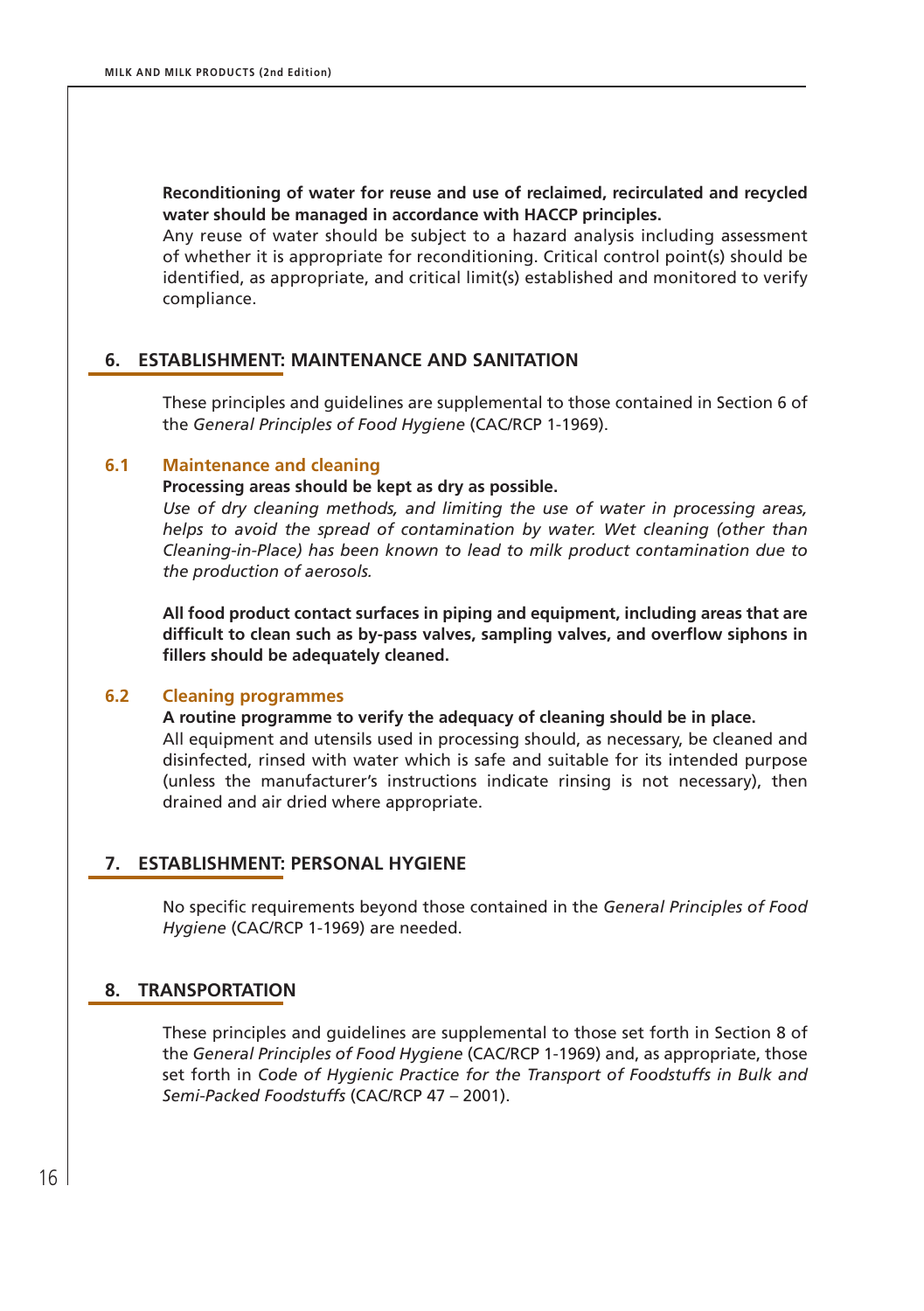**Reconditioning of water for reuse and use of reclaimed, recirculated and recycled water should be managed in accordance with HACCP principles.**

Any reuse of water should be subject to a hazard analysis including assessment of whether it is appropriate for reconditioning. Critical control point(s) should be identified, as appropriate, and critical limit(s) established and monitored to verify compliance.

### **6. ESTABLISHMENT: MAINTENANCE AND sANITATION**

These principles and guidelines are supplemental to those contained in Section 6 of the *General Principles of Food Hygiene* (CAC/RCP 1-1969).

## **6.1 Maintenance and cleaning**

#### **Processing areas should be kept as dry as possible.**

*Use of dry cleaning methods, and limiting the use of water in processing areas, helps to avoid the spread of contamination by water. Wet cleaning (other than Cleaning-in-Place) has been known to lead to milk product contamination due to the production of aerosols.*

**All food product contact surfaces in piping and equipment, including areas that are difficult to clean such as by-pass valves, sampling valves, and overflow siphons in fillers should be adequately cleaned.**

### **6.2 Cleaning programmes**

**A routine programme to verify the adequacy of cleaning should be in place.**

All equipment and utensils used in processing should, as necessary, be cleaned and disinfected, rinsed with water which is safe and suitable for its intended purpose (unless the manufacturer's instructions indicate rinsing is not necessary), then drained and air dried where appropriate.

### **7. ESTABLISHMENT: PERSONAL HYGIENE**

No specific requirements beyond those contained in the *General Principles of Food Hygiene* (CAC/RCP 1-1969) are needed.

# **8. TRANSPORTATION**

These principles and guidelines are supplemental to those set forth in Section 8 of the *General Principles of Food Hygiene* (CAC/RCP 1-1969) and, as appropriate, those set forth in *Code of Hygienic Practice for the Transport of Foodstuffs in Bulk and Semi-Packed Foodstuffs* (CAC/RCP 47 – 2001).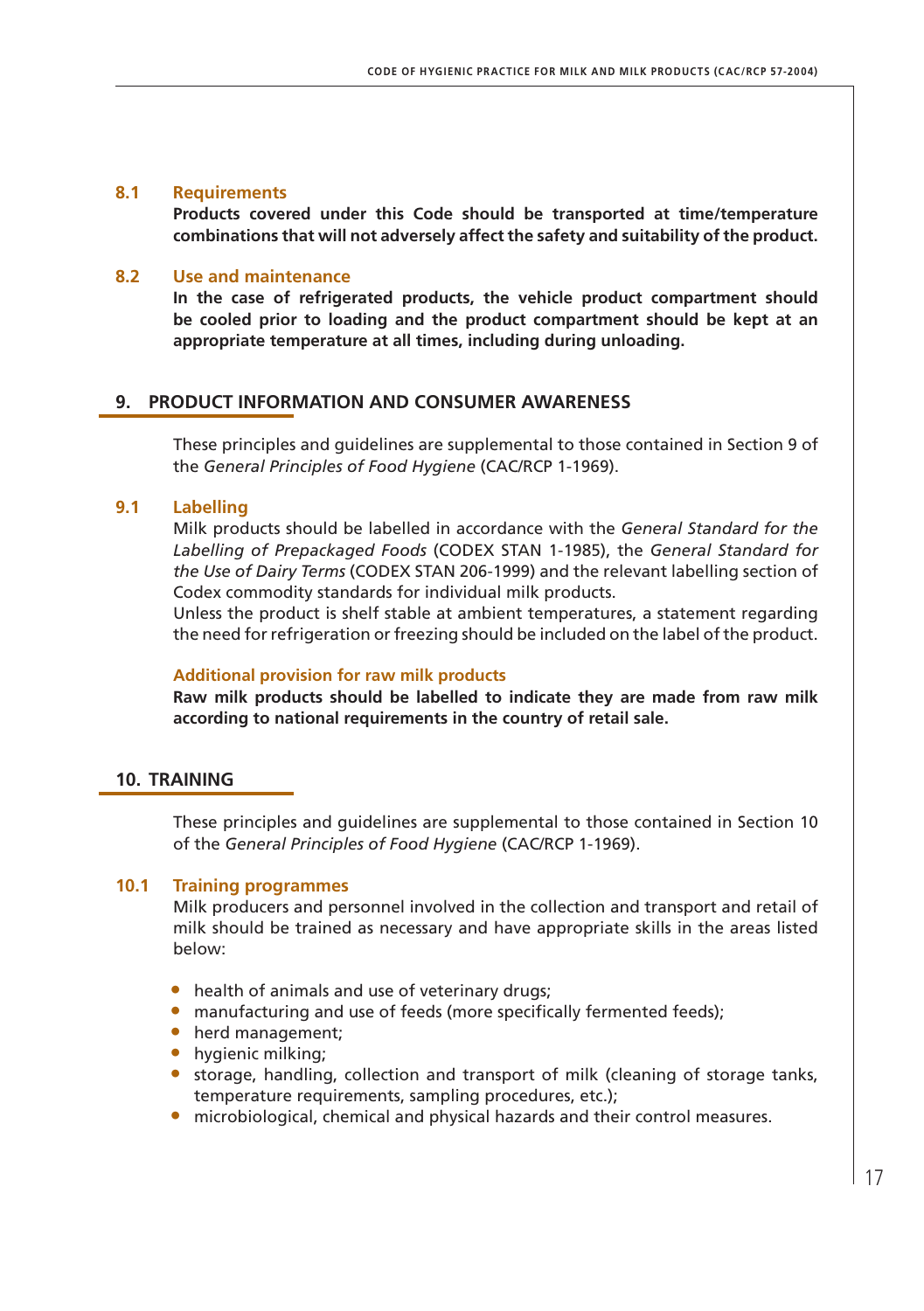### **8.1 Requirements**

**Products covered under this Code should be transported at time/temperature combinations that will not adversely affect the safety and suitability of the product.** 

### **8.2 Use and maintenance**

**In the case of refrigerated products, the vehicle product compartment should be cooled prior to loading and the product compartment should be kept at an appropriate temperature at all times, including during unloading.**

### **9. PRODUCT INFORMATION AND CONSUMER AWARENESS**

These principles and guidelines are supplemental to those contained in Section 9 of the *General Principles of Food Hygiene* (CAC/RCP 1-1969).

### **9.1 Labelling**

Milk products should be labelled in accordance with the *General Standard for the Labelling of Prepackaged Foods* (CODEX STAN 1-1985), the *General Standard for the Use of Dairy Terms* (CODEX STAN 206-1999) and the relevant labelling section of Codex commodity standards for individual milk products.

Unless the product is shelf stable at ambient temperatures, a statement regarding the need for refrigeration or freezing should be included on the label of the product.

### **Additional provision for raw milk products**

**Raw milk products should be labelled to indicate they are made from raw milk according to national requirements in the country of retail sale.**

## **10. TRAINING**

These principles and guidelines are supplemental to those contained in Section 10 of the *General Principles of Food Hygiene* (CAC/RCP 1-1969).

### **10.1 Training programmes**

Milk producers and personnel involved in the collection and transport and retail of milk should be trained as necessary and have appropriate skills in the areas listed below:

- health of animals and use of veterinary drugs;
- manufacturing and use of feeds (more specifically fermented feeds);
- herd management;
- hygienic milking;
- storage, handling, collection and transport of milk (cleaning of storage tanks, temperature requirements, sampling procedures, etc.);
- microbiological, chemical and physical hazards and their control measures.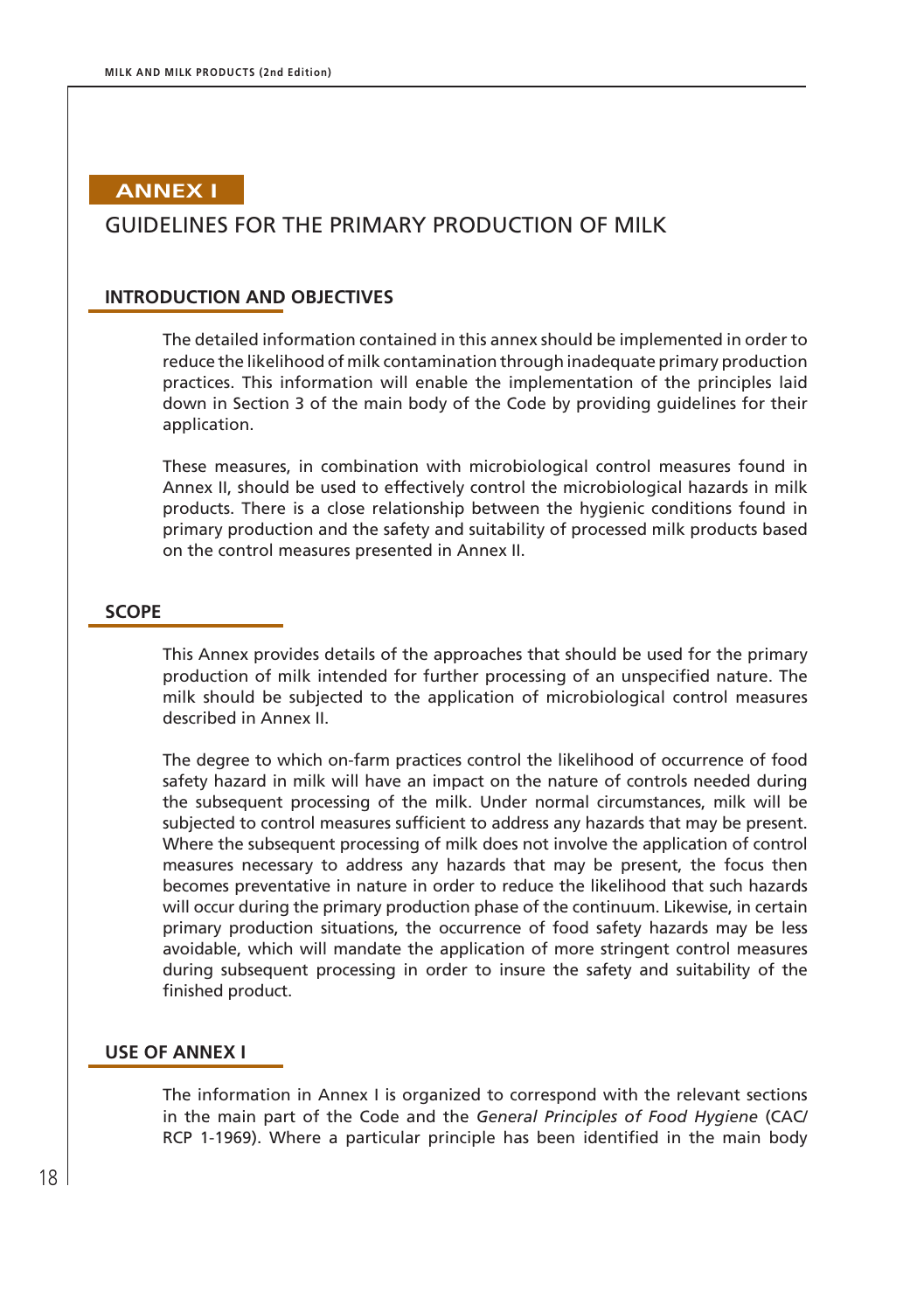# **ANNEX I**

# GUIDELINES FOR THE PRIMARY PRODUCTION OF MILK

### **INTRODUCTION AND OBJECTIVES**

The detailed information contained in this annex should be implemented in order to reduce the likelihood of milk contamination through inadequate primary production practices. This information will enable the implementation of the principles laid down in Section 3 of the main body of the Code by providing guidelines for their application.

These measures, in combination with microbiological control measures found in Annex II, should be used to effectively control the microbiological hazards in milk products. There is a close relationship between the hygienic conditions found in primary production and the safety and suitability of processed milk products based on the control measures presented in Annex II.

#### **SCOPE**

This Annex provides details of the approaches that should be used for the primary production of milk intended for further processing of an unspecified nature. The milk should be subjected to the application of microbiological control measures described in Annex II.

The degree to which on-farm practices control the likelihood of occurrence of food safety hazard in milk will have an impact on the nature of controls needed during the subsequent processing of the milk. Under normal circumstances, milk will be subjected to control measures sufficient to address any hazards that may be present. Where the subsequent processing of milk does not involve the application of control measures necessary to address any hazards that may be present, the focus then becomes preventative in nature in order to reduce the likelihood that such hazards will occur during the primary production phase of the continuum. Likewise, in certain primary production situations, the occurrence of food safety hazards may be less avoidable, which will mandate the application of more stringent control measures during subsequent processing in order to insure the safety and suitability of the finished product.

### **USE OF ANNEX I**

The information in Annex I is organized to correspond with the relevant sections in the main part of the Code and the *General Principles of Food Hygiene* (CAC/ RCP 1-1969). Where a particular principle has been identified in the main body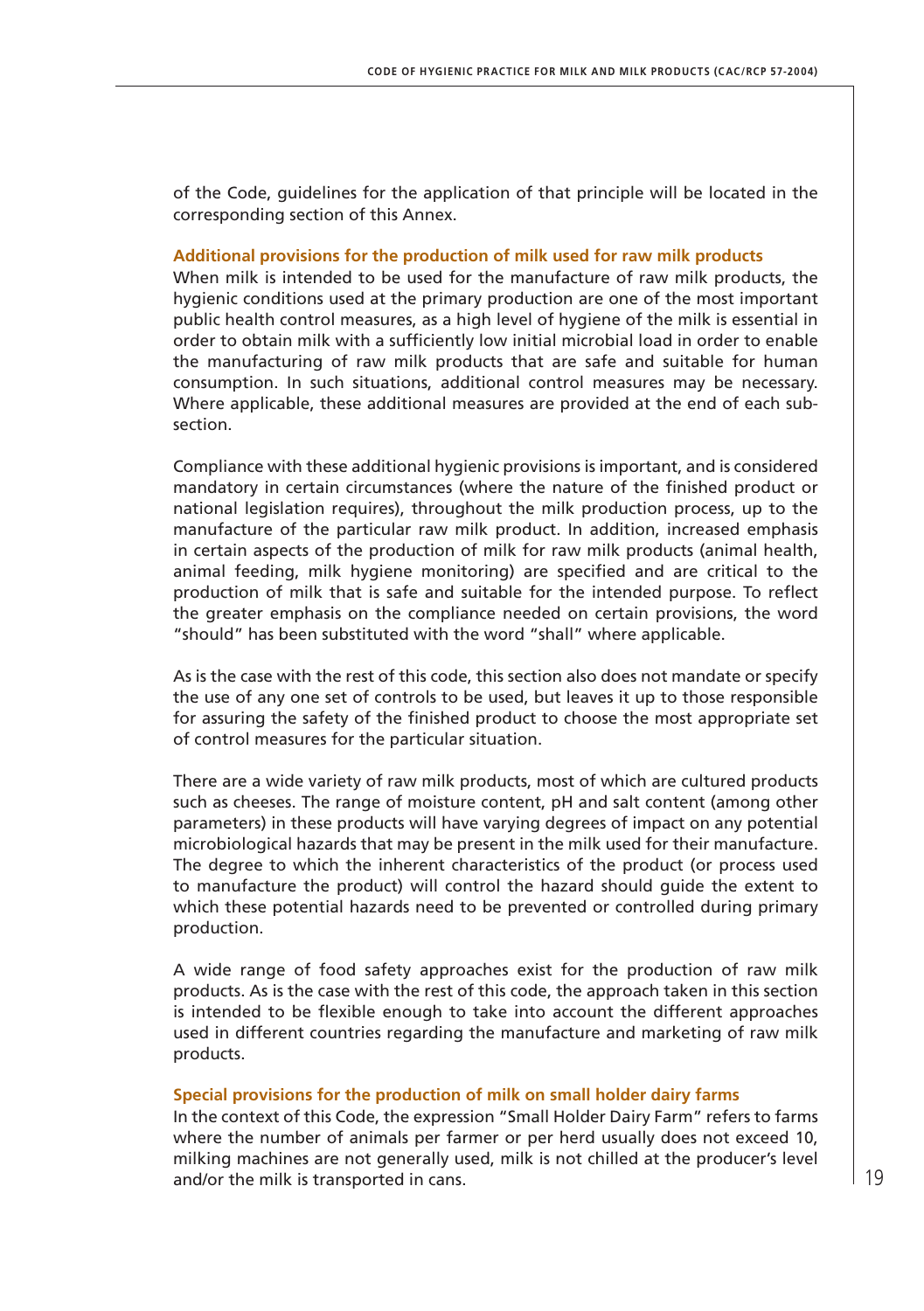of the Code, guidelines for the application of that principle will be located in the corresponding section of this Annex.

#### **Additional provisions for the production of milk used for raw milk products**

When milk is intended to be used for the manufacture of raw milk products, the hygienic conditions used at the primary production are one of the most important public health control measures, as a high level of hygiene of the milk is essential in order to obtain milk with a sufficiently low initial microbial load in order to enable the manufacturing of raw milk products that are safe and suitable for human consumption. In such situations, additional control measures may be necessary. Where applicable, these additional measures are provided at the end of each subsection.

Compliance with these additional hygienic provisions is important, and is considered mandatory in certain circumstances (where the nature of the finished product or national legislation requires), throughout the milk production process, up to the manufacture of the particular raw milk product. In addition, increased emphasis in certain aspects of the production of milk for raw milk products (animal health, animal feeding, milk hygiene monitoring) are specified and are critical to the production of milk that is safe and suitable for the intended purpose. To reflect the greater emphasis on the compliance needed on certain provisions, the word "should" has been substituted with the word "shall" where applicable.

As is the case with the rest of this code, this section also does not mandate or specify the use of any one set of controls to be used, but leaves it up to those responsible for assuring the safety of the finished product to choose the most appropriate set of control measures for the particular situation.

There are a wide variety of raw milk products, most of which are cultured products such as cheeses. The range of moisture content, pH and salt content (among other parameters) in these products will have varying degrees of impact on any potential microbiological hazards that may be present in the milk used for their manufacture. The degree to which the inherent characteristics of the product (or process used to manufacture the product) will control the hazard should guide the extent to which these potential hazards need to be prevented or controlled during primary production.

A wide range of food safety approaches exist for the production of raw milk products. As is the case with the rest of this code, the approach taken in this section is intended to be flexible enough to take into account the different approaches used in different countries regarding the manufacture and marketing of raw milk products.

#### **Special provisions for the production of milk on small holder dairy farms**

In the context of this Code, the expression "Small Holder Dairy Farm" refers to farms where the number of animals per farmer or per herd usually does not exceed 10, milking machines are not generally used, milk is not chilled at the producer's level and/or the milk is transported in cans.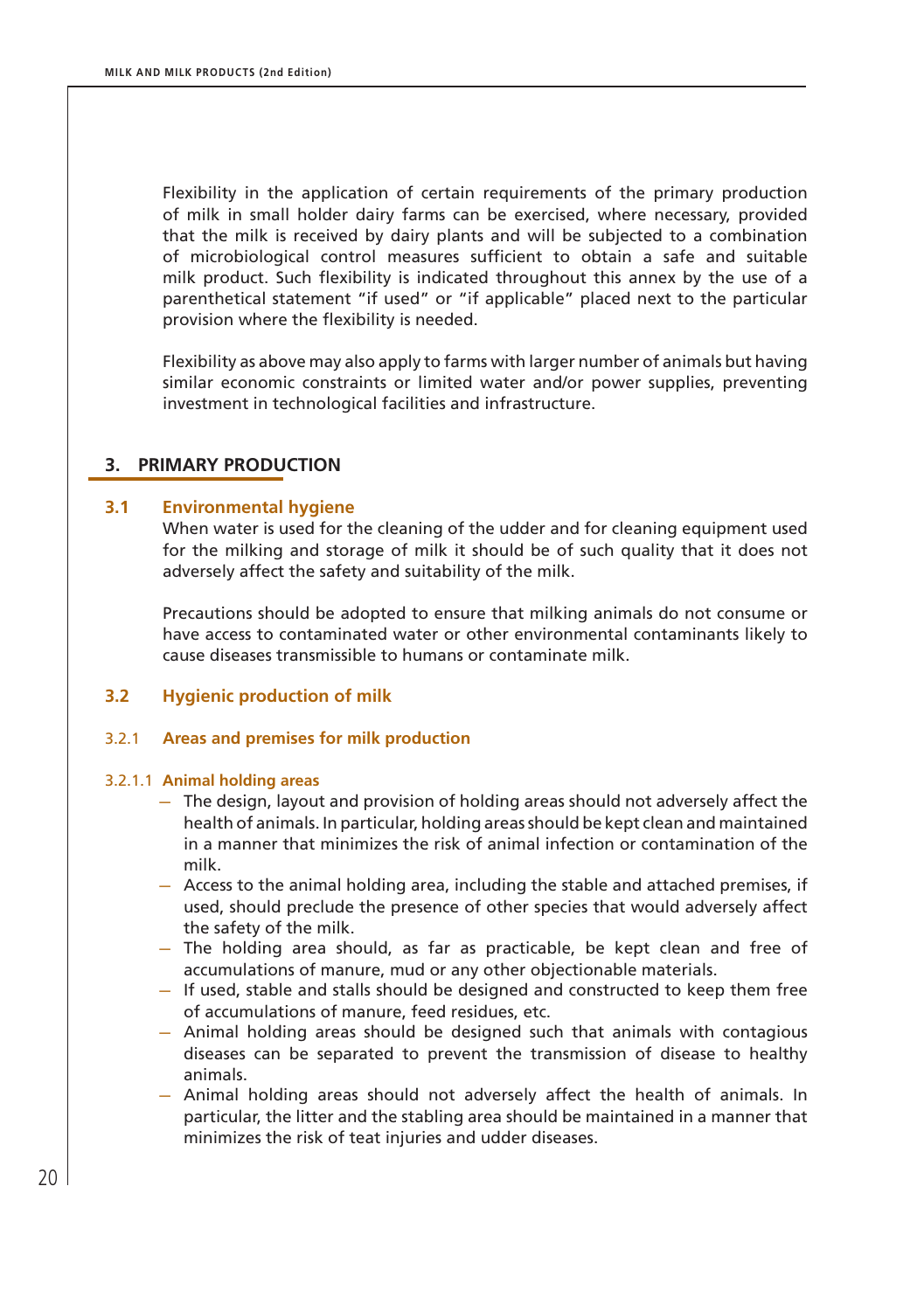Flexibility in the application of certain requirements of the primary production of milk in small holder dairy farms can be exercised, where necessary, provided that the milk is received by dairy plants and will be subjected to a combination of microbiological control measures sufficient to obtain a safe and suitable milk product. Such flexibility is indicated throughout this annex by the use of a parenthetical statement "if used" or "if applicable" placed next to the particular provision where the flexibility is needed.

Flexibility as above may also apply to farms with larger number of animals but having similar economic constraints or limited water and/or power supplies, preventing investment in technological facilities and infrastructure.

### **3. PRIMARY PRODUCTION**

#### **3.1 Environmental hygiene**

When water is used for the cleaning of the udder and for cleaning equipment used for the milking and storage of milk it should be of such quality that it does not adversely affect the safety and suitability of the milk.

Precautions should be adopted to ensure that milking animals do not consume or have access to contaminated water or other environmental contaminants likely to cause diseases transmissible to humans or contaminate milk.

### **3.2 Hygienic production of milk**

#### 3.2.1 **Areas and premises for milk production**

#### 3.2.1.1 **Animal holding areas**

- The design, layout and provision of holding areas should not adversely affect the health of animals. In particular, holding areas should be kept clean and maintained in a manner that minimizes the risk of animal infection or contamination of the milk.
- Access to the animal holding area, including the stable and attached premises, if used, should preclude the presence of other species that would adversely affect the safety of the milk.
- The holding area should, as far as practicable, be kept clean and free of accumulations of manure, mud or any other objectionable materials.
- If used, stable and stalls should be designed and constructed to keep them free of accumulations of manure, feed residues, etc.
- Animal holding areas should be designed such that animals with contagious diseases can be separated to prevent the transmission of disease to healthy animals.
- Animal holding areas should not adversely affect the health of animals. In particular, the litter and the stabling area should be maintained in a manner that minimizes the risk of teat injuries and udder diseases.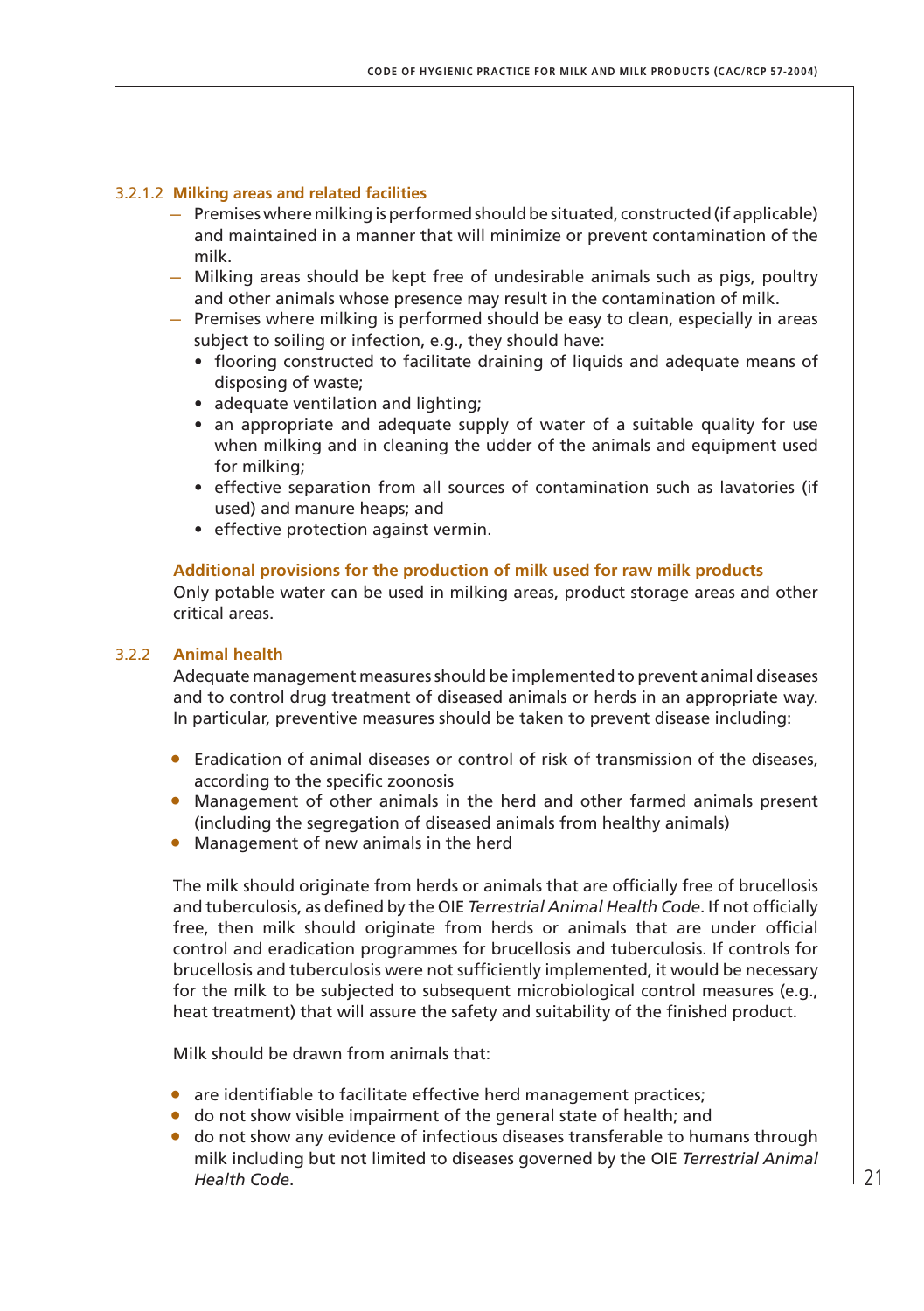### 3.2.1.2 **Milking areas and related facilities**

- Premises where milking is performed should be situated, constructed (if applicable) and maintained in a manner that will minimize or prevent contamination of the milk.
- Milking areas should be kept free of undesirable animals such as pigs, poultry and other animals whose presence may result in the contamination of milk.
- Premises where milking is performed should be easy to clean, especially in areas subject to soiling or infection, e.g., they should have:
	- flooring constructed to facilitate draining of liquids and adequate means of disposing of waste;
	- adequate ventilation and lighting;
	- an appropriate and adequate supply of water of a suitable quality for use when milking and in cleaning the udder of the animals and equipment used for milking;
	- • effective separation from all sources of contamination such as lavatories (if used) and manure heaps; and
	- • effective protection against vermin.

#### **Additional provisions for the production of milk used for raw milk products**

Only potable water can be used in milking areas, product storage areas and other critical areas.

### 3.2.2 **Animal health**

Adequate management measures should be implemented to prevent animal diseases and to control drug treatment of diseased animals or herds in an appropriate way. In particular, preventive measures should be taken to prevent disease including:

- Eradication of animal diseases or control of risk of transmission of the diseases, according to the specific zoonosis
- Management of other animals in the herd and other farmed animals present (including the segregation of diseased animals from healthy animals)
- Management of new animals in the herd

The milk should originate from herds or animals that are officially free of brucellosis and tuberculosis, as defined by the OIE *Terrestrial Animal Health Code*. If not officially free, then milk should originate from herds or animals that are under official control and eradication programmes for brucellosis and tuberculosis. If controls for brucellosis and tuberculosis were not sufficiently implemented, it would be necessary for the milk to be subjected to subsequent microbiological control measures (e.g., heat treatment) that will assure the safety and suitability of the finished product.

Milk should be drawn from animals that:

- are identifiable to facilitate effective herd management practices;
- do not show visible impairment of the general state of health; and
- do not show any evidence of infectious diseases transferable to humans through milk including but not limited to diseases governed by the OIE *Terrestrial Animal Health Code*.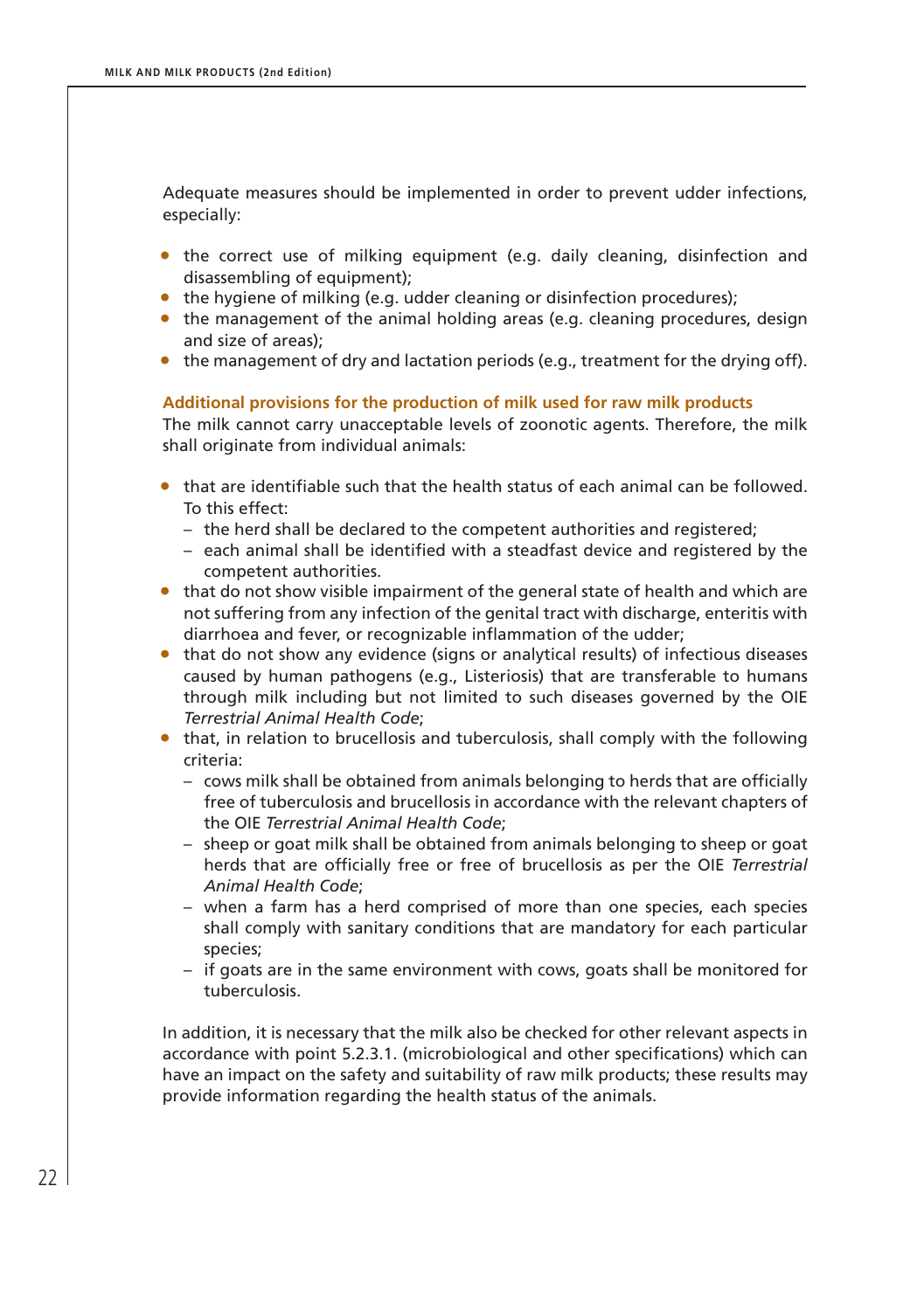Adequate measures should be implemented in order to prevent udder infections, especially:

- the correct use of milking equipment (e.g. daily cleaning, disinfection and disassembling of equipment);
- the hygiene of milking (e.g. udder cleaning or disinfection procedures);
- the management of the animal holding areas (e.g. cleaning procedures, design and size of areas);
- the management of dry and lactation periods (e.g., treatment for the drying off).

#### **Additional provisions for the production of milk used for raw milk products**

The milk cannot carry unacceptable levels of zoonotic agents. Therefore, the milk shall originate from individual animals:

- $\bullet$  that are identifiable such that the health status of each animal can be followed. To this effect:
	- the herd shall be declared to the competent authorities and registered;
	- each animal shall be identified with a steadfast device and registered by the competent authorities.
- that do not show visible impairment of the general state of health and which are not suffering from any infection of the genital tract with discharge, enteritis with diarrhoea and fever, or recognizable inflammation of the udder;
- that do not show any evidence (signs or analytical results) of infectious diseases caused by human pathogens (e.g., Listeriosis) that are transferable to humans through milk including but not limited to such diseases governed by the OIE *Terrestrial Animal Health Code*;
- that, in relation to brucellosis and tuberculosis, shall comply with the following criteria:
	- cows milk shall be obtained from animals belonging to herds that are officially free of tuberculosis and brucellosis in accordance with the relevant chapters of the OIE *Terrestrial Animal Health Code*;
	- sheep or goat milk shall be obtained from animals belonging to sheep or goat herds that are officially free or free of brucellosis as per the OIE *Terrestrial Animal Health Code*;
	- when a farm has a herd comprised of more than one species, each species shall comply with sanitary conditions that are mandatory for each particular species;
	- if goats are in the same environment with cows, goats shall be monitored for tuberculosis.

In addition, it is necessary that the milk also be checked for other relevant aspects in accordance with point 5.2.3.1. (microbiological and other specifications) which can have an impact on the safety and suitability of raw milk products; these results may provide information regarding the health status of the animals.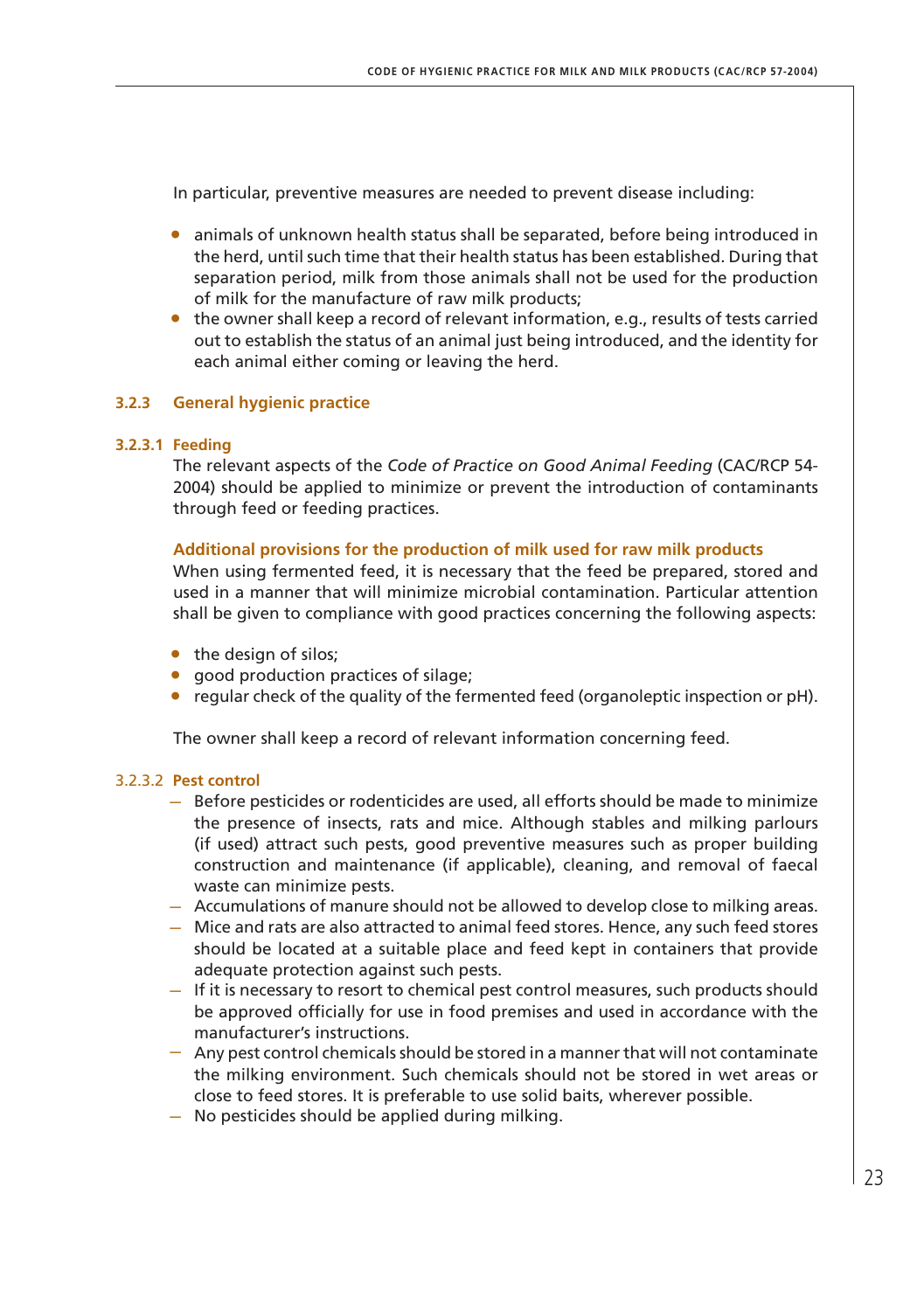In particular, preventive measures are needed to prevent disease including:

- animals of unknown health status shall be separated, before being introduced in the herd, until such time that their health status has been established. During that separation period, milk from those animals shall not be used for the production of milk for the manufacture of raw milk products;
- the owner shall keep a record of relevant information, e.g., results of tests carried out to establish the status of an animal just being introduced, and the identity for each animal either coming or leaving the herd.

### **3.2.3 General hygienic practice**

#### **3.2.3.1 Feeding**

The relevant aspects of the *Code of Practice on Good Animal Feeding* (CAC/RCP 54- 2004) should be applied to minimize or prevent the introduction of contaminants through feed or feeding practices.

### **Additional provisions for the production of milk used for raw milk products**

When using fermented feed, it is necessary that the feed be prepared, stored and used in a manner that will minimize microbial contamination. Particular attention shall be given to compliance with good practices concerning the following aspects:

- the design of silos;
- good production practices of silage;
- regular check of the quality of the fermented feed (organoleptic inspection or  $pH$ ).

The owner shall keep a record of relevant information concerning feed.

#### 3.2.3.2 **Pest control**

- Before pesticides or rodenticides are used, all efforts should be made to minimize the presence of insects, rats and mice. Although stables and milking parlours (if used) attract such pests, good preventive measures such as proper building construction and maintenance (if applicable), cleaning, and removal of faecal waste can minimize pests.
- Accumulations of manure should not be allowed to develop close to milking areas.
- Mice and rats are also attracted to animal feed stores. Hence, any such feed stores should be located at a suitable place and feed kept in containers that provide adequate protection against such pests.
- If it is necessary to resort to chemical pest control measures, such products should be approved officially for use in food premises and used in accordance with the manufacturer's instructions.
- Any pest control chemicals should be stored in a manner that will not contaminate the milking environment. Such chemicals should not be stored in wet areas or close to feed stores. It is preferable to use solid baits, wherever possible.
- No pesticides should be applied during milking.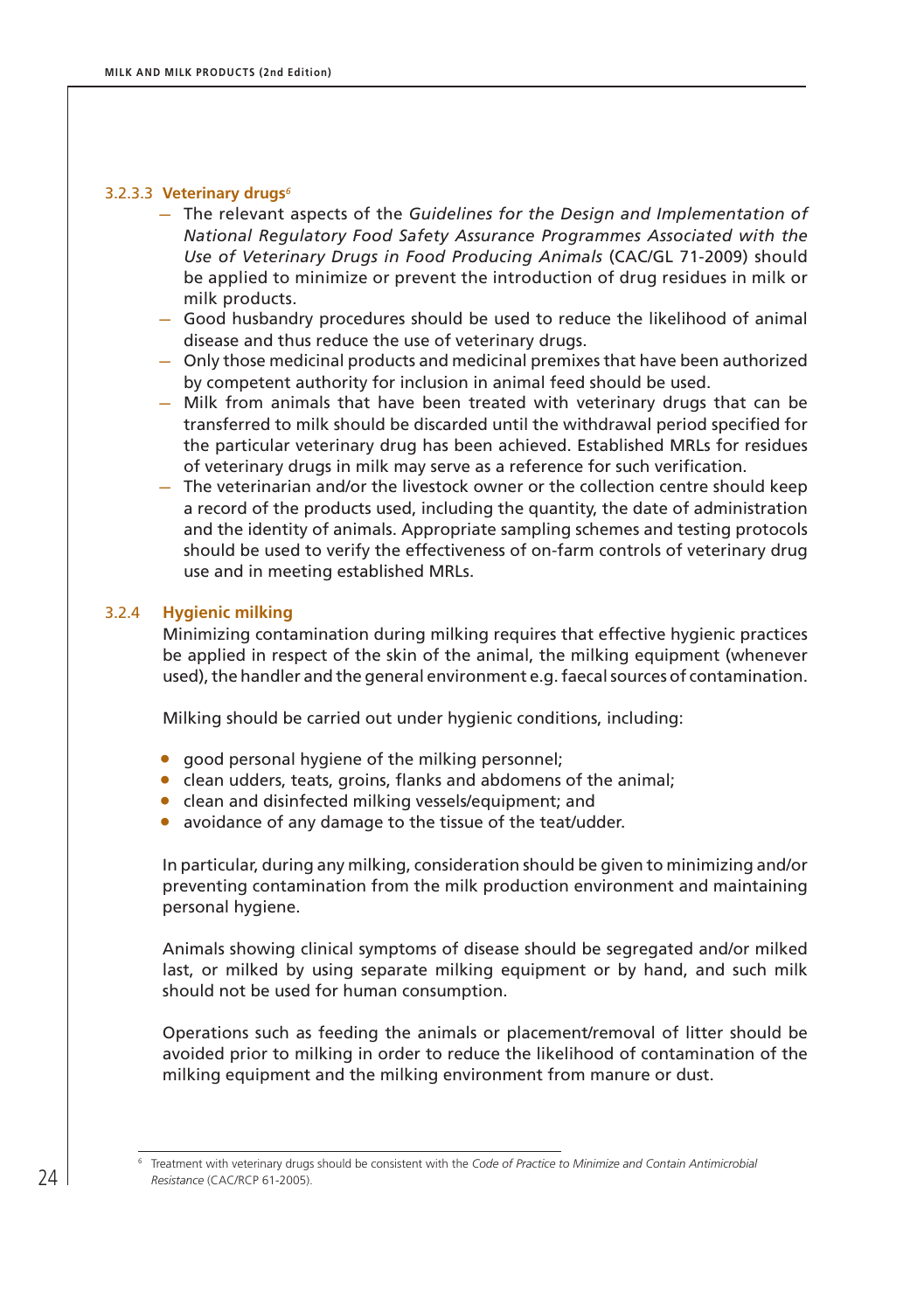### 3.2.3.3 **Veterinary drugs***<sup>6</sup>*

- The relevant aspects of the *Guidelines for the Design and Implementation of National Regulatory Food Safety Assurance Programmes Associated with the Use of Veterinary Drugs in Food Producing Animals* (CAC/GL 71-2009) should be applied to minimize or prevent the introduction of drug residues in milk or milk products.
- Good husbandry procedures should be used to reduce the likelihood of animal disease and thus reduce the use of veterinary drugs.
- Only those medicinal products and medicinal premixes that have been authorized by competent authority for inclusion in animal feed should be used.
- Milk from animals that have been treated with veterinary drugs that can be transferred to milk should be discarded until the withdrawal period specified for the particular veterinary drug has been achieved. Established MRLs for residues of veterinary drugs in milk may serve as a reference for such verification.
- The veterinarian and/or the livestock owner or the collection centre should keep a record of the products used, including the quantity, the date of administration and the identity of animals. Appropriate sampling schemes and testing protocols should be used to verify the effectiveness of on-farm controls of veterinary drug use and in meeting established MRLs.

#### 3.2.4 **Hygienic milking**

Minimizing contamination during milking requires that effective hygienic practices be applied in respect of the skin of the animal, the milking equipment (whenever used), the handler and the general environment e.g. faecal sources of contamination.

Milking should be carried out under hygienic conditions, including:

- good personal hygiene of the milking personnel;
- clean udders, teats, groins, flanks and abdomens of the animal;
- clean and disinfected milking vessels/equipment; and
- avoidance of any damage to the tissue of the teat/udder.

In particular, during any milking, consideration should be given to minimizing and/or preventing contamination from the milk production environment and maintaining personal hygiene.

Animals showing clinical symptoms of disease should be segregated and/or milked last, or milked by using separate milking equipment or by hand, and such milk should not be used for human consumption.

Operations such as feeding the animals or placement/removal of litter should be avoided prior to milking in order to reduce the likelihood of contamination of the milking equipment and the milking environment from manure or dust.

<sup>6</sup> Treatment with veterinary drugs should be consistent with the *Code of Practice to Minimize and Contain Antimicrobial Resistance* (CAC/RCP 61-2005).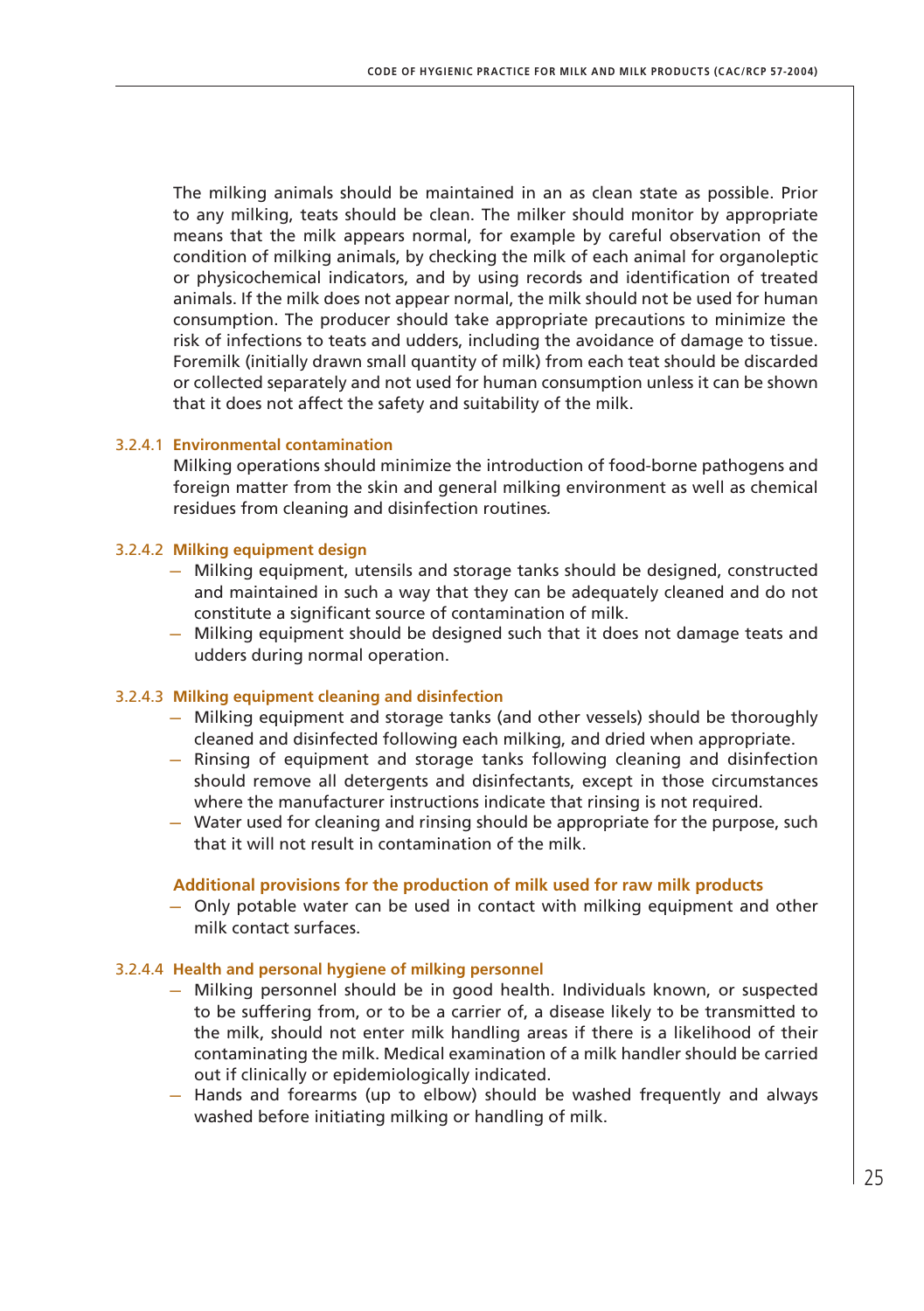The milking animals should be maintained in an as clean state as possible. Prior to any milking, teats should be clean. The milker should monitor by appropriate means that the milk appears normal, for example by careful observation of the condition of milking animals, by checking the milk of each animal for organoleptic or physicochemical indicators, and by using records and identification of treated animals. If the milk does not appear normal, the milk should not be used for human consumption. The producer should take appropriate precautions to minimize the risk of infections to teats and udders, including the avoidance of damage to tissue. Foremilk (initially drawn small quantity of milk) from each teat should be discarded or collected separately and not used for human consumption unless it can be shown that it does not affect the safety and suitability of the milk.

#### 3.2.4.1 **Environmental contamination**

Milking operations should minimize the introduction of food-borne pathogens and foreign matter from the skin and general milking environment as well as chemical residues from cleaning and disinfection routines*.*

#### 3.2.4.2 **Milking equipment design**

- Milking equipment, utensils and storage tanks should be designed, constructed and maintained in such a way that they can be adequately cleaned and do not constitute a significant source of contamination of milk.
- Milking equipment should be designed such that it does not damage teats and udders during normal operation.

#### 3.2.4.3 **Milking equipment cleaning and disinfection**

- Milking equipment and storage tanks (and other vessels) should be thoroughly cleaned and disinfected following each milking, and dried when appropriate.
- Rinsing of equipment and storage tanks following cleaning and disinfection should remove all detergents and disinfectants, except in those circumstances where the manufacturer instructions indicate that rinsing is not required.
- Water used for cleaning and rinsing should be appropriate for the purpose, such that it will not result in contamination of the milk.

#### **Additional provisions for the production of milk used for raw milk products**

– Only potable water can be used in contact with milking equipment and other milk contact surfaces.

#### 3.2.4.4 **Health and personal hygiene of milking personnel**

- Milking personnel should be in good health. Individuals known, or suspected to be suffering from, or to be a carrier of, a disease likely to be transmitted to the milk, should not enter milk handling areas if there is a likelihood of their contaminating the milk. Medical examination of a milk handler should be carried out if clinically or epidemiologically indicated.
- Hands and forearms (up to elbow) should be washed frequently and always washed before initiating milking or handling of milk.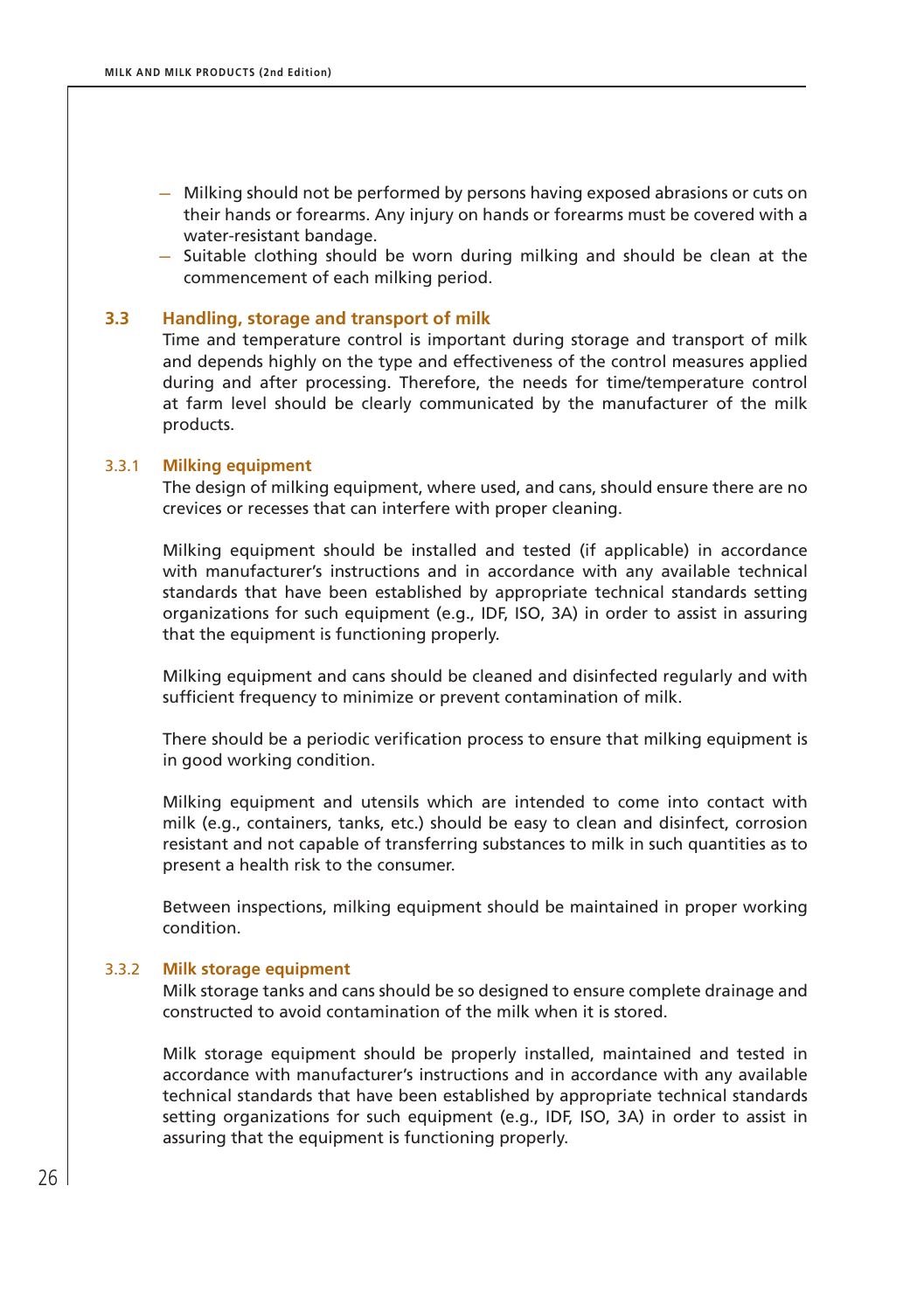- Milking should not be performed by persons having exposed abrasions or cuts on their hands or forearms. Any injury on hands or forearms must be covered with a water-resistant bandage.
- Suitable clothing should be worn during milking and should be clean at the commencement of each milking period.

### **3.3 Handling, storage and transport of milk**

Time and temperature control is important during storage and transport of milk and depends highly on the type and effectiveness of the control measures applied during and after processing. Therefore, the needs for time/temperature control at farm level should be clearly communicated by the manufacturer of the milk products.

#### 3.3.1 **Milking equipment**

The design of milking equipment, where used, and cans, should ensure there are no crevices or recesses that can interfere with proper cleaning.

Milking equipment should be installed and tested (if applicable) in accordance with manufacturer's instructions and in accordance with any available technical standards that have been established by appropriate technical standards setting organizations for such equipment (e.g., IDF, ISO, 3A) in order to assist in assuring that the equipment is functioning properly.

Milking equipment and cans should be cleaned and disinfected regularly and with sufficient frequency to minimize or prevent contamination of milk.

There should be a periodic verification process to ensure that milking equipment is in good working condition.

Milking equipment and utensils which are intended to come into contact with milk (e.g., containers, tanks, etc.) should be easy to clean and disinfect, corrosion resistant and not capable of transferring substances to milk in such quantities as to present a health risk to the consumer.

Between inspections, milking equipment should be maintained in proper working condition.

#### 3.3.2 **Milk storage equipment**

Milk storage tanks and cans should be so designed to ensure complete drainage and constructed to avoid contamination of the milk when it is stored.

Milk storage equipment should be properly installed, maintained and tested in accordance with manufacturer's instructions and in accordance with any available technical standards that have been established by appropriate technical standards setting organizations for such equipment (e.g., IDF, ISO, 3A) in order to assist in assuring that the equipment is functioning properly.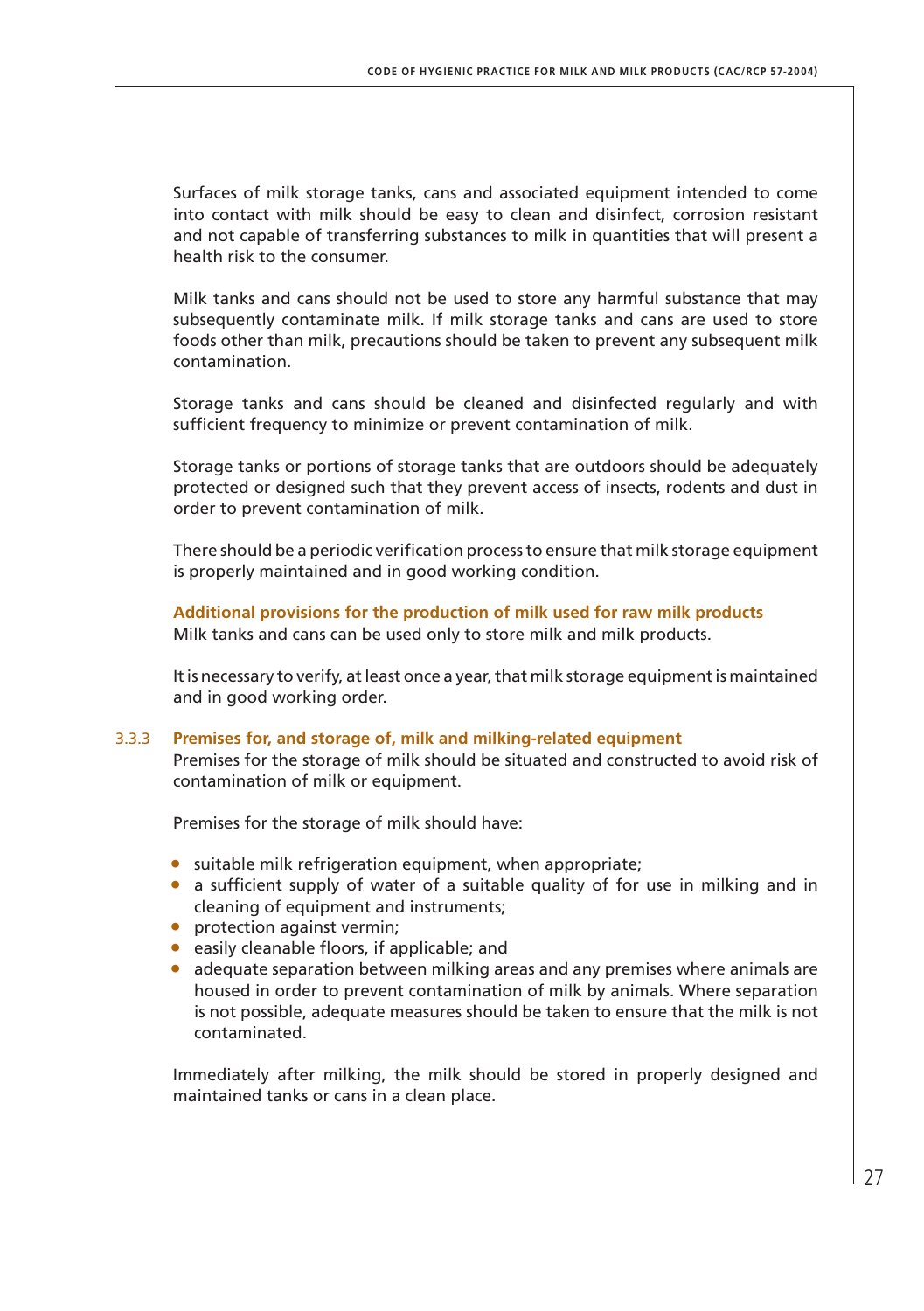Surfaces of milk storage tanks, cans and associated equipment intended to come into contact with milk should be easy to clean and disinfect, corrosion resistant and not capable of transferring substances to milk in quantities that will present a health risk to the consumer.

Milk tanks and cans should not be used to store any harmful substance that may subsequently contaminate milk. If milk storage tanks and cans are used to store foods other than milk, precautions should be taken to prevent any subsequent milk contamination.

Storage tanks and cans should be cleaned and disinfected regularly and with sufficient frequency to minimize or prevent contamination of milk.

Storage tanks or portions of storage tanks that are outdoors should be adequately protected or designed such that they prevent access of insects, rodents and dust in order to prevent contamination of milk.

There should be a periodic verification process to ensure that milk storage equipment is properly maintained and in good working condition.

**Additional provisions for the production of milk used for raw milk products** Milk tanks and cans can be used only to store milk and milk products.

It is necessary to verify, at least once a year, that milk storage equipment is maintained and in good working order.

#### 3.3.3 **Premises for, and storage of, milk and milking-related equipment**

Premises for the storage of milk should be situated and constructed to avoid risk of contamination of milk or equipment.

Premises for the storage of milk should have:

- suitable milk refrigeration equipment, when appropriate;
- a sufficient supply of water of a suitable quality of for use in milking and in cleaning of equipment and instruments;
- protection against vermin;
- easily cleanable floors, if applicable; and
- adequate separation between milking areas and any premises where animals are housed in order to prevent contamination of milk by animals. Where separation is not possible, adequate measures should be taken to ensure that the milk is not contaminated.

Immediately after milking, the milk should be stored in properly designed and maintained tanks or cans in a clean place.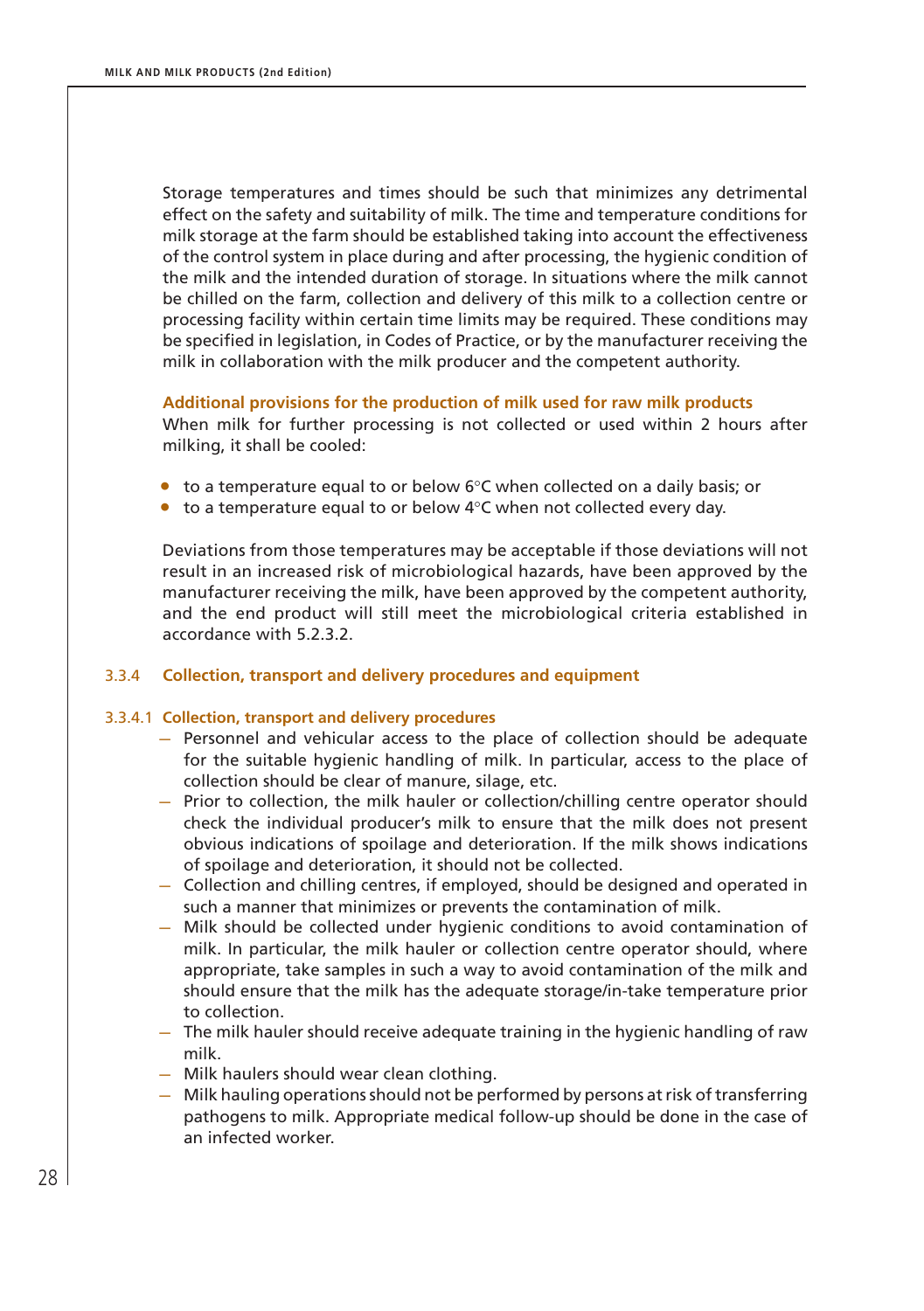Storage temperatures and times should be such that minimizes any detrimental effect on the safety and suitability of milk. The time and temperature conditions for milk storage at the farm should be established taking into account the effectiveness of the control system in place during and after processing, the hygienic condition of the milk and the intended duration of storage. In situations where the milk cannot be chilled on the farm, collection and delivery of this milk to a collection centre or processing facility within certain time limits may be required. These conditions may be specified in legislation, in Codes of Practice, or by the manufacturer receiving the milk in collaboration with the milk producer and the competent authority.

#### **Additional provisions for the production of milk used for raw milk products**

When milk for further processing is not collected or used within 2 hours after milking, it shall be cooled:

- $\bullet$  to a temperature equal to or below 6°C when collected on a daily basis; or
- $\bullet$  to a temperature equal to or below  $4^{\circ}$ C when not collected every day.

Deviations from those temperatures may be acceptable if those deviations will not result in an increased risk of microbiological hazards, have been approved by the manufacturer receiving the milk, have been approved by the competent authority, and the end product will still meet the microbiological criteria established in accordance with 5.2.3.2.

### 3.3.4 **Collection, transport and delivery procedures and equipment**

#### 3.3.4.1 **Collection, transport and delivery procedures**

- Personnel and vehicular access to the place of collection should be adequate for the suitable hygienic handling of milk. In particular, access to the place of collection should be clear of manure, silage, etc.
- Prior to collection, the milk hauler or collection/chilling centre operator should check the individual producer's milk to ensure that the milk does not present obvious indications of spoilage and deterioration. If the milk shows indications of spoilage and deterioration, it should not be collected.
- Collection and chilling centres, if employed, should be designed and operated in such a manner that minimizes or prevents the contamination of milk.
- Milk should be collected under hygienic conditions to avoid contamination of milk. In particular, the milk hauler or collection centre operator should, where appropriate, take samples in such a way to avoid contamination of the milk and should ensure that the milk has the adequate storage/in-take temperature prior to collection.
- The milk hauler should receive adequate training in the hygienic handling of raw milk.
- Milk haulers should wear clean clothing.
- Milk hauling operations should not be performed by persons at risk of transferring pathogens to milk. Appropriate medical follow-up should be done in the case of an infected worker.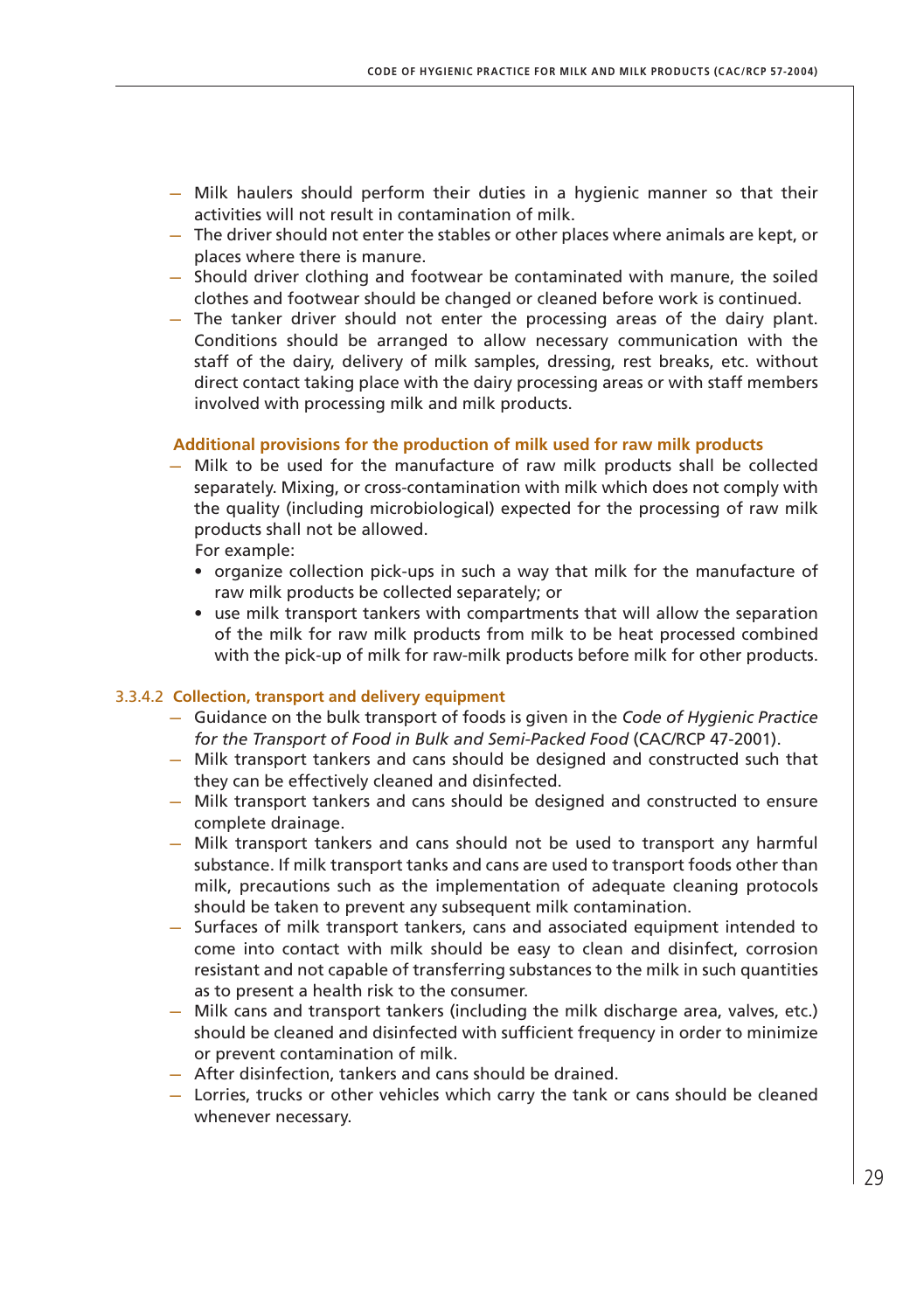- Milk haulers should perform their duties in a hygienic manner so that their activities will not result in contamination of milk.
- The driver should not enter the stables or other places where animals are kept, or places where there is manure.
- Should driver clothing and footwear be contaminated with manure, the soiled clothes and footwear should be changed or cleaned before work is continued.
- The tanker driver should not enter the processing areas of the dairy plant. Conditions should be arranged to allow necessary communication with the staff of the dairy, delivery of milk samples, dressing, rest breaks, etc. without direct contact taking place with the dairy processing areas or with staff members involved with processing milk and milk products.

### **Additional provisions for the production of milk used for raw milk products**

– Milk to be used for the manufacture of raw milk products shall be collected separately. Mixing, or cross-contamination with milk which does not comply with the quality (including microbiological) expected for the processing of raw milk products shall not be allowed.

For example:

- • organize collection pick-ups in such a way that milk for the manufacture of raw milk products be collected separately; or
- use milk transport tankers with compartments that will allow the separation of the milk for raw milk products from milk to be heat processed combined with the pick-up of milk for raw-milk products before milk for other products.

#### 3.3.4.2 **Collection, transport and delivery equipment**

- Guidance on the bulk transport of foods is given in the *Code of Hygienic Practice for the Transport of Food in Bulk and Semi-Packed Food* (CAC/RCP 47-2001).
- Milk transport tankers and cans should be designed and constructed such that they can be effectively cleaned and disinfected.
- Milk transport tankers and cans should be designed and constructed to ensure complete drainage.
- Milk transport tankers and cans should not be used to transport any harmful substance. If milk transport tanks and cans are used to transport foods other than milk, precautions such as the implementation of adequate cleaning protocols should be taken to prevent any subsequent milk contamination.
- Surfaces of milk transport tankers, cans and associated equipment intended to come into contact with milk should be easy to clean and disinfect, corrosion resistant and not capable of transferring substances to the milk in such quantities as to present a health risk to the consumer.
- Milk cans and transport tankers (including the milk discharge area, valves, etc.) should be cleaned and disinfected with sufficient frequency in order to minimize or prevent contamination of milk.
- After disinfection, tankers and cans should be drained.
- Lorries, trucks or other vehicles which carry the tank or cans should be cleaned whenever necessary.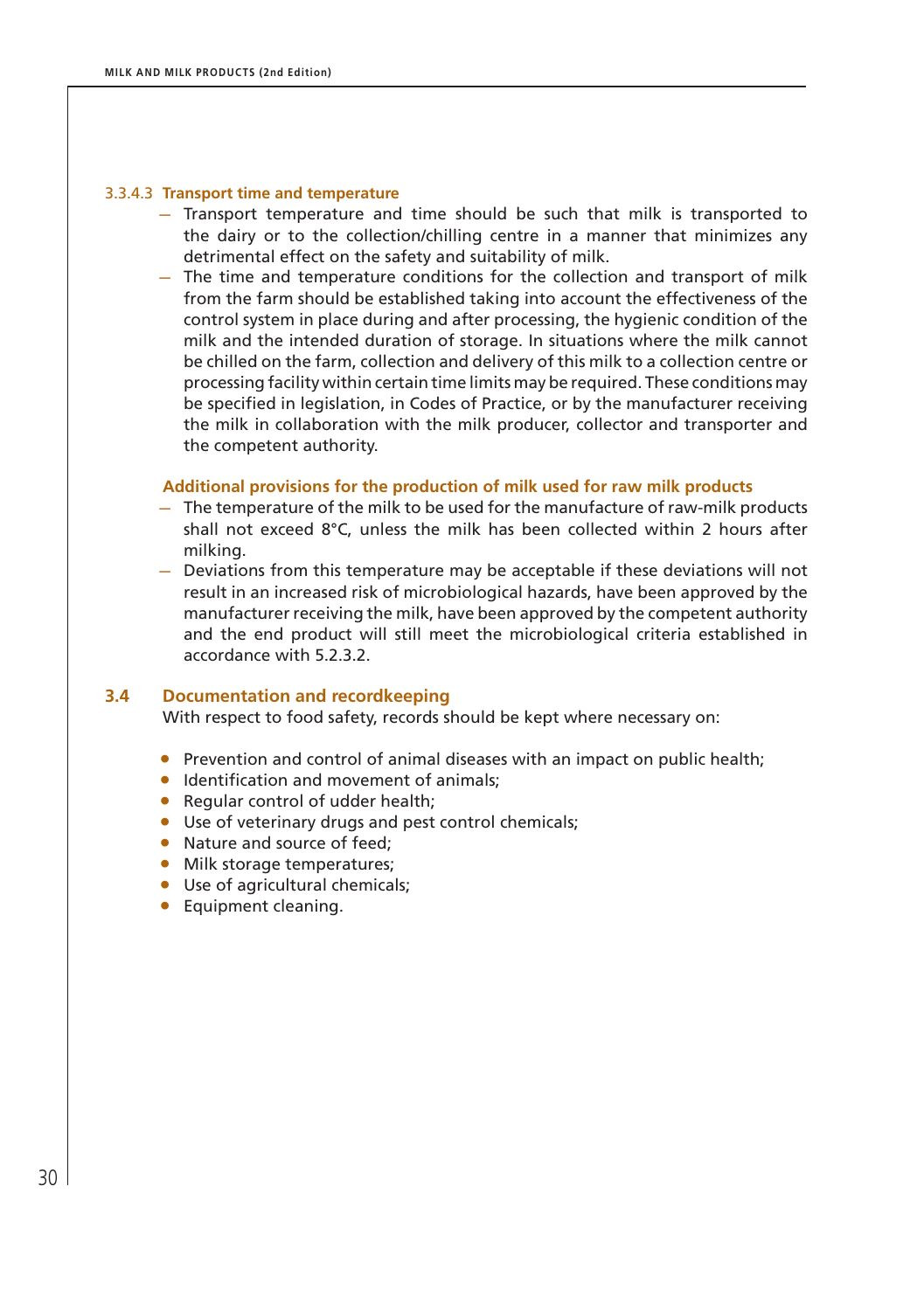### 3.3.4.3 **Transport time and temperature**

- Transport temperature and time should be such that milk is transported to the dairy or to the collection/chilling centre in a manner that minimizes any detrimental effect on the safety and suitability of milk.
- The time and temperature conditions for the collection and transport of milk from the farm should be established taking into account the effectiveness of the control system in place during and after processing, the hygienic condition of the milk and the intended duration of storage. In situations where the milk cannot be chilled on the farm, collection and delivery of this milk to a collection centre or processing facility within certain time limits may be required. These conditions may be specified in legislation, in Codes of Practice, or by the manufacturer receiving the milk in collaboration with the milk producer, collector and transporter and the competent authority.

### **Additional provisions for the production of milk used for raw milk products**

- The temperature of the milk to be used for the manufacture of raw-milk products shall not exceed 8°C, unless the milk has been collected within 2 hours after milking.
- Deviations from this temperature may be acceptable if these deviations will not result in an increased risk of microbiological hazards, have been approved by the manufacturer receiving the milk, have been approved by the competent authority and the end product will still meet the microbiological criteria established in accordance with 5.2.3.2.

# **3.4 Documentation and recordkeeping**

With respect to food safety, records should be kept where necessary on:

- Prevention and control of animal diseases with an impact on public health;
- Identification and movement of animals;
- Regular control of udder health;
- Use of veterinary drugs and pest control chemicals;
- Nature and source of feed;
- Milk storage temperatures;
- Use of agricultural chemicals;
- Equipment cleaning.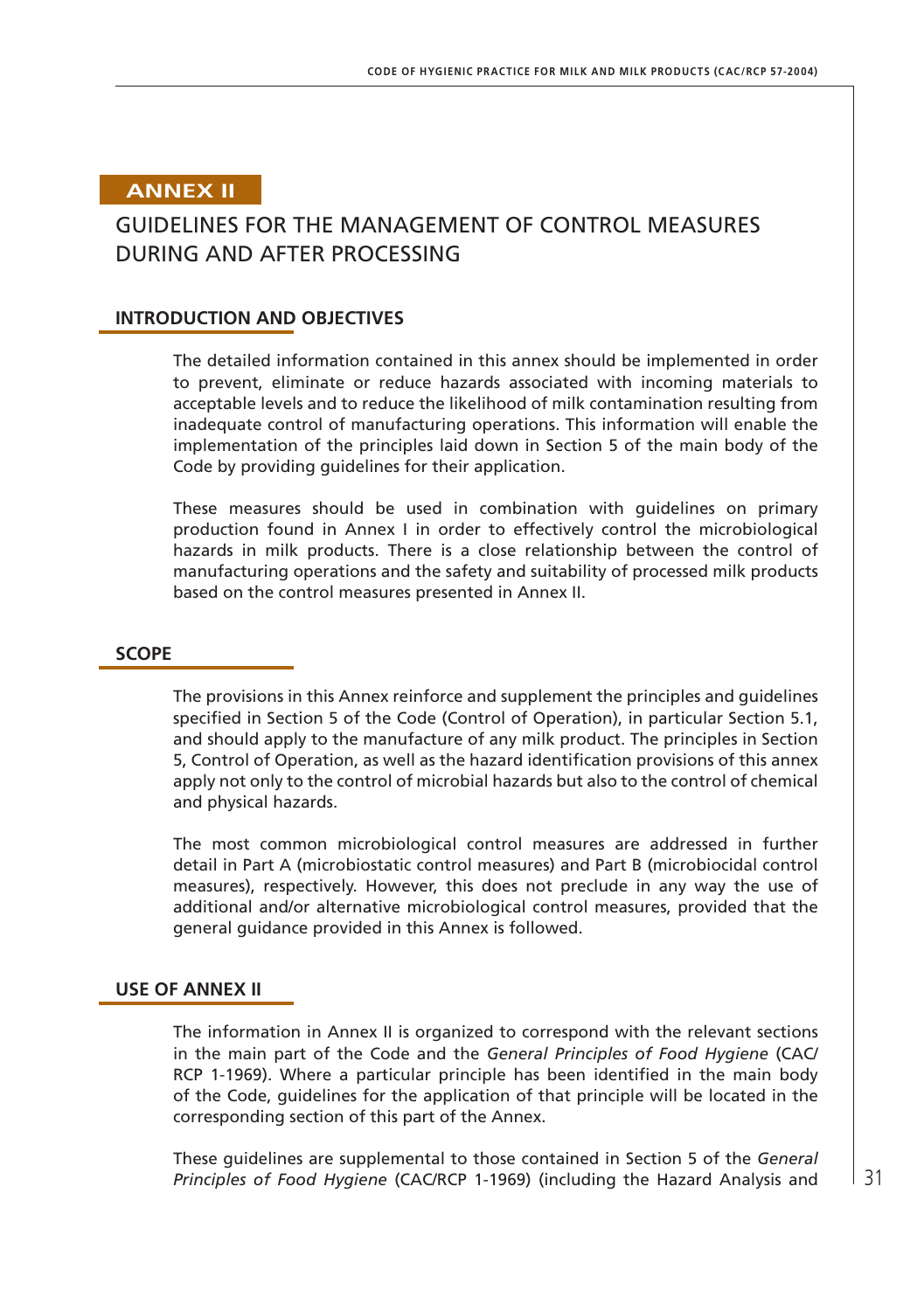# **ANNEX II**

# GUIDELINES FOR THE MANAGEMENT OF CONTROL MEASURES DURING AND AFTER PROCESSING

### **INTRODUCTION AND OBJECTIVES**

The detailed information contained in this annex should be implemented in order to prevent, eliminate or reduce hazards associated with incoming materials to acceptable levels and to reduce the likelihood of milk contamination resulting from inadequate control of manufacturing operations. This information will enable the implementation of the principles laid down in Section 5 of the main body of the Code by providing guidelines for their application.

These measures should be used in combination with guidelines on primary production found in Annex I in order to effectively control the microbiological hazards in milk products. There is a close relationship between the control of manufacturing operations and the safety and suitability of processed milk products based on the control measures presented in Annex II.

### **SCOPE**

The provisions in this Annex reinforce and supplement the principles and guidelines specified in Section 5 of the Code (Control of Operation), in particular Section 5.1, and should apply to the manufacture of any milk product. The principles in Section 5, Control of Operation, as well as the hazard identification provisions of this annex apply not only to the control of microbial hazards but also to the control of chemical and physical hazards.

The most common microbiological control measures are addressed in further detail in Part A (microbiostatic control measures) and Part B (microbiocidal control measures), respectively. However, this does not preclude in any way the use of additional and/or alternative microbiological control measures, provided that the general guidance provided in this Annex is followed.

# **USE OF ANNEX II**

The information in Annex II is organized to correspond with the relevant sections in the main part of the Code and the *General Principles of Food Hygiene* (CAC/ RCP 1-1969). Where a particular principle has been identified in the main body of the Code, guidelines for the application of that principle will be located in the corresponding section of this part of the Annex.

These guidelines are supplemental to those contained in Section 5 of the *General Principles of Food Hygiene* (CAC/RCP 1-1969) (including the Hazard Analysis and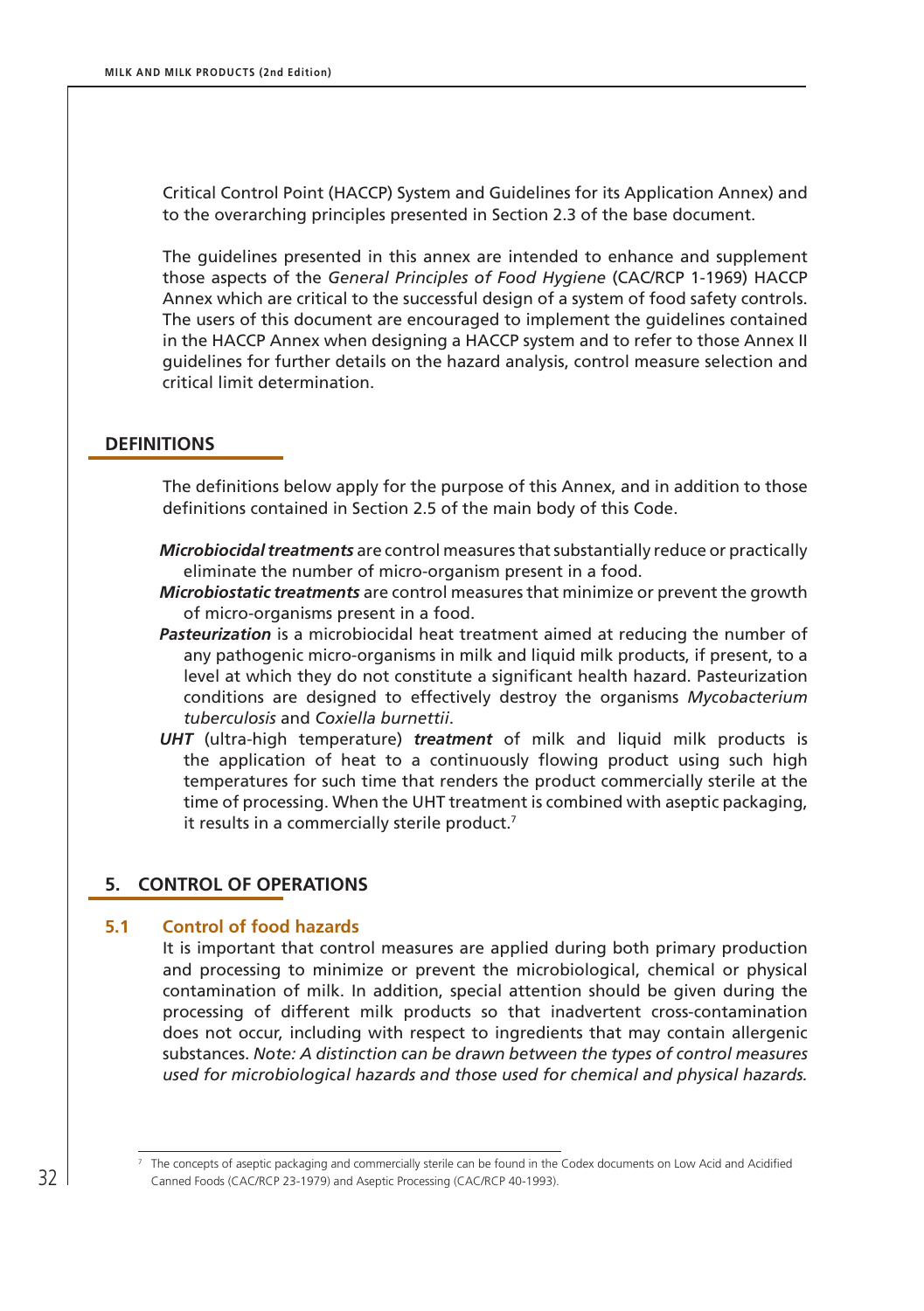Critical Control Point (HACCP) System and Guidelines for its Application Annex) and to the overarching principles presented in Section 2.3 of the base document.

The guidelines presented in this annex are intended to enhance and supplement those aspects of the *General Principles of Food Hygiene* (CAC/RCP 1-1969) HACCP Annex which are critical to the successful design of a system of food safety controls. The users of this document are encouraged to implement the guidelines contained in the HACCP Annex when designing a HACCP system and to refer to those Annex II guidelines for further details on the hazard analysis, control measure selection and critical limit determination.

### **Definitions**

The definitions below apply for the purpose of this Annex, and in addition to those definitions contained in Section 2.5 of the main body of this Code.

- *Microbiocidal treatments* are control measures that substantially reduce or practically eliminate the number of micro-organism present in a food.
- *Microbiostatic treatments* are control measures that minimize or prevent the growth of micro-organisms present in a food.
- *Pasteurization* is a microbiocidal heat treatment aimed at reducing the number of any pathogenic micro-organisms in milk and liquid milk products, if present, to a level at which they do not constitute a significant health hazard. Pasteurization conditions are designed to effectively destroy the organisms *Mycobacterium tuberculosis* and *Coxiella burnettii*.
- *UHT* (ultra-high temperature) *treatment* of milk and liquid milk products is the application of heat to a continuously flowing product using such high temperatures for such time that renders the product commercially sterile at the time of processing. When the UHT treatment is combined with aseptic packaging, it results in a commercially sterile product.<sup>7</sup>

### **5. Control of operations**

### **5.1 Control of food hazards**

It is important that control measures are applied during both primary production and processing to minimize or prevent the microbiological, chemical or physical contamination of milk. In addition, special attention should be given during the processing of different milk products so that inadvertent cross-contamination does not occur, including with respect to ingredients that may contain allergenic substances. *Note: A distinction can be drawn between the types of control measures used for microbiological hazards and those used for chemical and physical hazards.* 

<sup>7</sup> The concepts of aseptic packaging and commercially sterile can be found in the Codex documents on Low Acid and Acidified Canned Foods (CAC/RCP 23-1979) and Aseptic Processing (CAC/RCP 40-1993).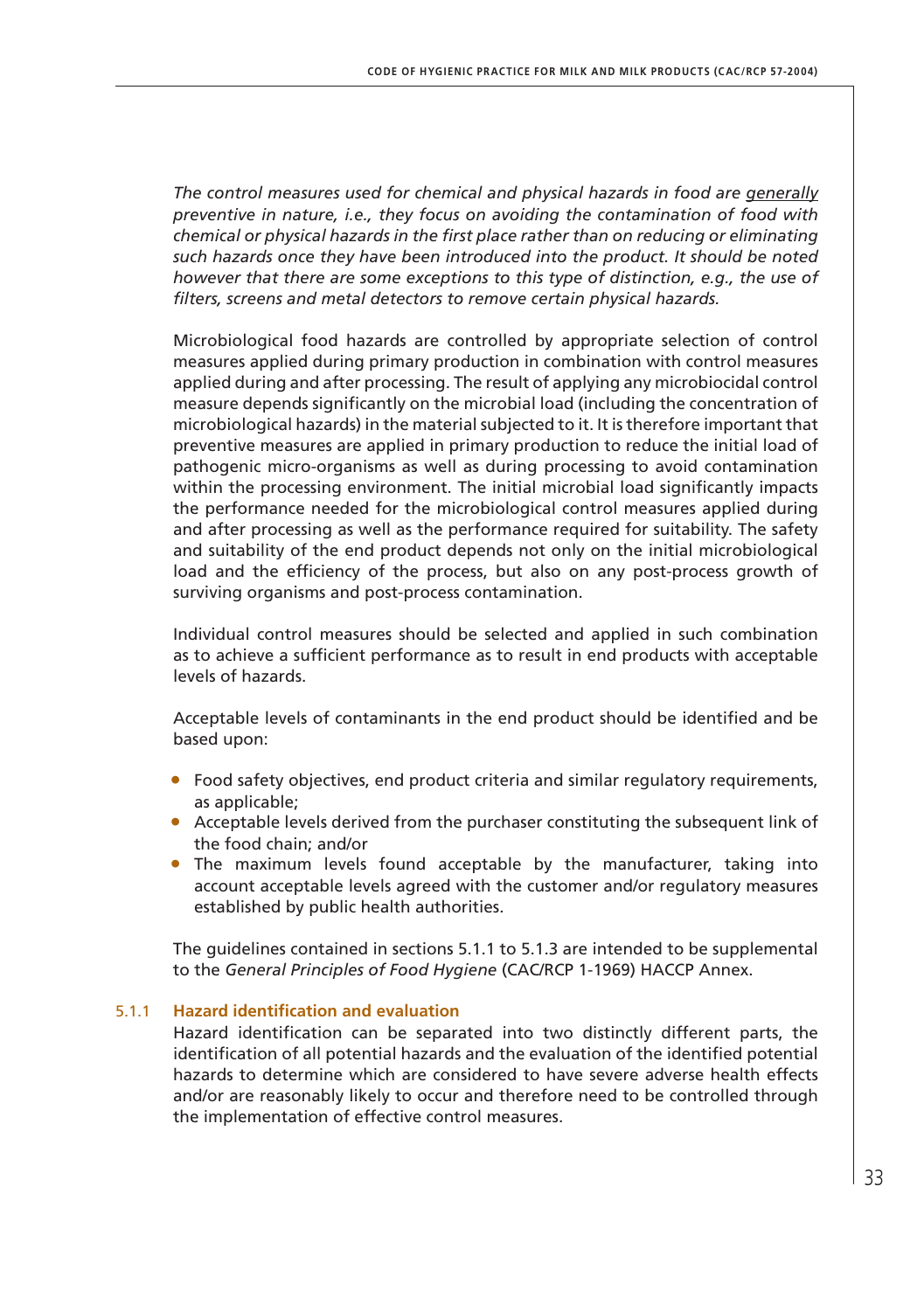*The control measures used for chemical and physical hazards in food are generally preventive in nature, i.e., they focus on avoiding the contamination of food with chemical or physical hazards in the first place rather than on reducing or eliminating such hazards once they have been introduced into the product. It should be noted however that there are some exceptions to this type of distinction, e.g., the use of filters, screens and metal detectors to remove certain physical hazards.*

Microbiological food hazards are controlled by appropriate selection of control measures applied during primary production in combination with control measures applied during and after processing. The result of applying any microbiocidal control measure depends significantly on the microbial load (including the concentration of microbiological hazards) in the material subjected to it. It is therefore important that preventive measures are applied in primary production to reduce the initial load of pathogenic micro-organisms as well as during processing to avoid contamination within the processing environment. The initial microbial load significantly impacts the performance needed for the microbiological control measures applied during and after processing as well as the performance required for suitability. The safety and suitability of the end product depends not only on the initial microbiological load and the efficiency of the process, but also on any post-process growth of surviving organisms and post-process contamination.

Individual control measures should be selected and applied in such combination as to achieve a sufficient performance as to result in end products with acceptable levels of hazards.

Acceptable levels of contaminants in the end product should be identified and be based upon:

- Food safety objectives, end product criteria and similar regulatory requirements, as applicable;
- Acceptable levels derived from the purchaser constituting the subsequent link of the food chain; and/or
- The maximum levels found acceptable by the manufacturer, taking into account acceptable levels agreed with the customer and/or regulatory measures established by public health authorities.

The guidelines contained in sections 5.1.1 to 5.1.3 are intended to be supplemental to the *General Principles of Food Hygiene* (CAC/RCP 1-1969) HACCP Annex.

### 5.1.1 **Hazard identification and evaluation**

Hazard identification can be separated into two distinctly different parts, the identification of all potential hazards and the evaluation of the identified potential hazards to determine which are considered to have severe adverse health effects and/or are reasonably likely to occur and therefore need to be controlled through the implementation of effective control measures.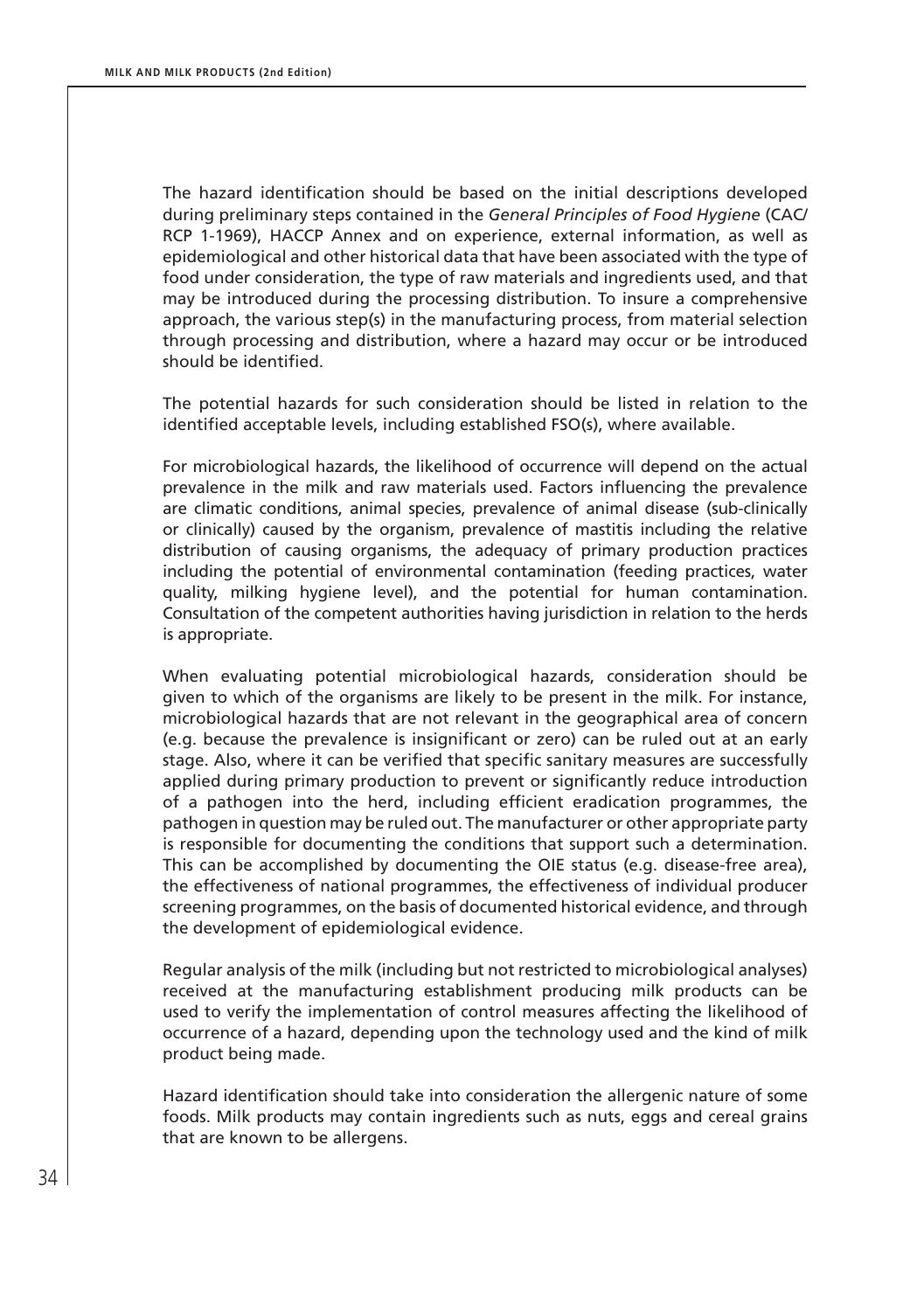The hazard identification should be based on the initial descriptions developed during preliminary steps contained in the *General Principles of Food Hygiene* (CAC/ RCP 1-1969), HACCP Annex and on experience, external information, as well as epidemiological and other historical data that have been associated with the type of food under consideration, the type of raw materials and ingredients used, and that may be introduced during the processing distribution. To insure a comprehensive approach, the various step(s) in the manufacturing process, from material selection through processing and distribution, where a hazard may occur or be introduced should be identified.

The potential hazards for such consideration should be listed in relation to the identified acceptable levels, including established FSO(s), where available.

For microbiological hazards, the likelihood of occurrence will depend on the actual prevalence in the milk and raw materials used. Factors influencing the prevalence are climatic conditions, animal species, prevalence of animal disease (sub-clinically or clinically) caused by the organism, prevalence of mastitis including the relative distribution of causing organisms, the adequacy of primary production practices including the potential of environmental contamination (feeding practices, water quality, milking hygiene level), and the potential for human contamination. Consultation of the competent authorities having jurisdiction in relation to the herds is appropriate.

When evaluating potential microbiological hazards, consideration should be given to which of the organisms are likely to be present in the milk. For instance, microbiological hazards that are not relevant in the geographical area of concern (e.g. because the prevalence is insignificant or zero) can be ruled out at an early stage. Also, where it can be verified that specific sanitary measures are successfully applied during primary production to prevent or significantly reduce introduction of a pathogen into the herd, including efficient eradication programmes, the pathogen in question may be ruled out. The manufacturer or other appropriate party is responsible for documenting the conditions that support such a determination. This can be accomplished by documenting the OIE status (e.g. disease-free area), the effectiveness of national programmes, the effectiveness of individual producer screening programmes, on the basis of documented historical evidence, and through the development of epidemiological evidence.

Regular analysis of the milk (including but not restricted to microbiological analyses) received at the manufacturing establishment producing milk products can be used to verify the implementation of control measures affecting the likelihood of occurrence of a hazard, depending upon the technology used and the kind of milk product being made.

Hazard identification should take into consideration the allergenic nature of some foods. Milk products may contain ingredients such as nuts, eggs and cereal grains that are known to be allergens.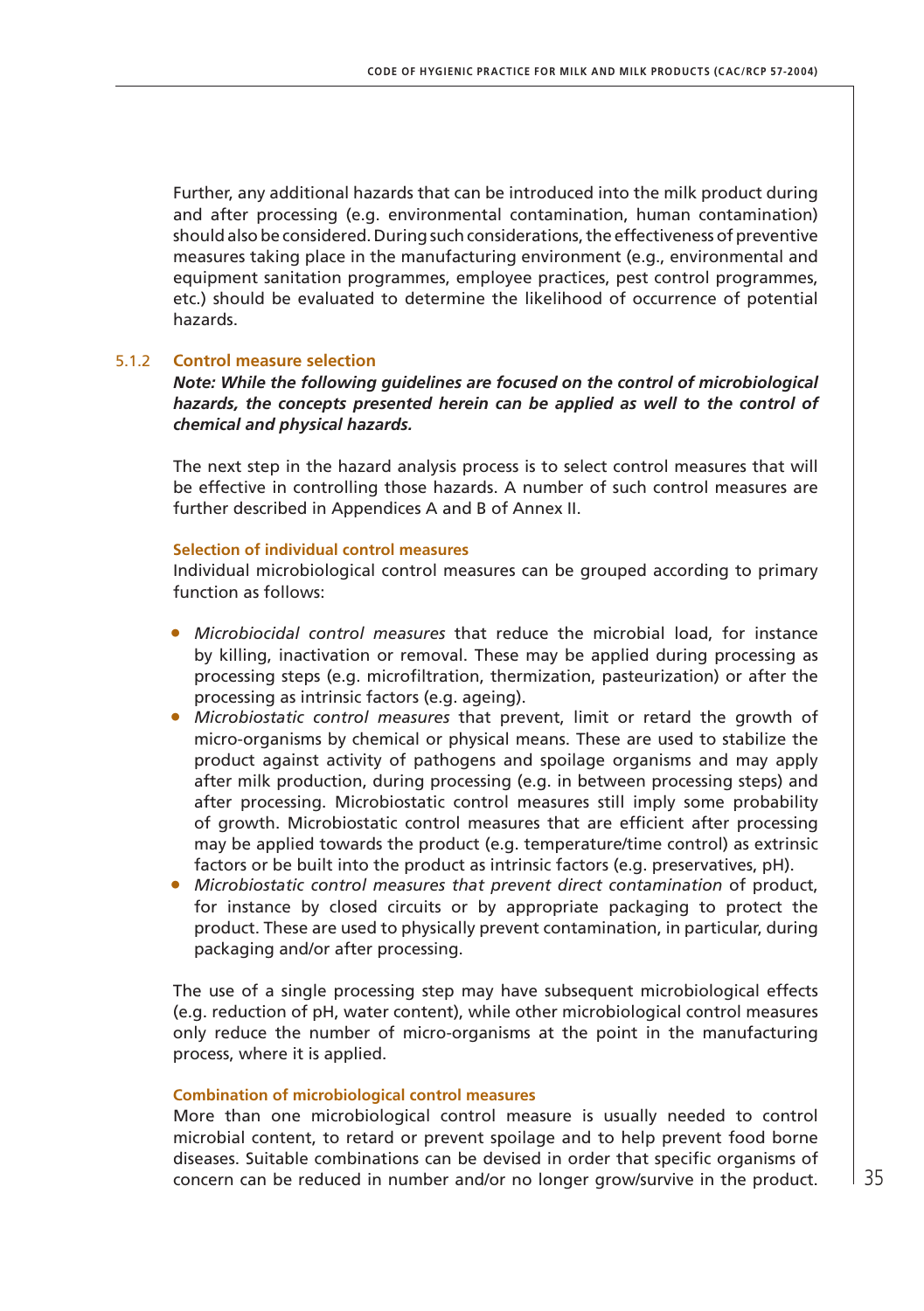Further, any additional hazards that can be introduced into the milk product during and after processing (e.g. environmental contamination, human contamination) should also be considered. During such considerations, the effectiveness of preventive measures taking place in the manufacturing environment (e.g., environmental and equipment sanitation programmes, employee practices, pest control programmes, etc.) should be evaluated to determine the likelihood of occurrence of potential hazards.

#### 5.1.2 **Control measure selection**

*Note: While the following guidelines are focused on the control of microbiological hazards, the concepts presented herein can be applied as well to the control of chemical and physical hazards.*

The next step in the hazard analysis process is to select control measures that will be effective in controlling those hazards. A number of such control measures are further described in Appendices A and B of Annex II.

#### **Selection of individual control measures**

Individual microbiological control measures can be grouped according to primary function as follows:

- • *Microbiocidal control measures* that reduce the microbial load, for instance by killing, inactivation or removal. These may be applied during processing as processing steps (e.g. microfiltration, thermization, pasteurization) or after the processing as intrinsic factors (e.g. ageing).
- Microbiostatic control measures that prevent, limit or retard the growth of micro-organisms by chemical or physical means. These are used to stabilize the product against activity of pathogens and spoilage organisms and may apply after milk production, during processing (e.g. in between processing steps) and after processing. Microbiostatic control measures still imply some probability of growth. Microbiostatic control measures that are efficient after processing may be applied towards the product (e.g. temperature/time control) as extrinsic factors or be built into the product as intrinsic factors (e.g. preservatives, pH).
- • *Microbiostatic control measures that prevent direct contamination* of product, for instance by closed circuits or by appropriate packaging to protect the product. These are used to physically prevent contamination, in particular, during packaging and/or after processing.

The use of a single processing step may have subsequent microbiological effects (e.g. reduction of pH, water content), while other microbiological control measures only reduce the number of micro-organisms at the point in the manufacturing process, where it is applied.

#### **Combination of microbiological control measures**

More than one microbiological control measure is usually needed to control microbial content, to retard or prevent spoilage and to help prevent food borne diseases. Suitable combinations can be devised in order that specific organisms of concern can be reduced in number and/or no longer grow/survive in the product.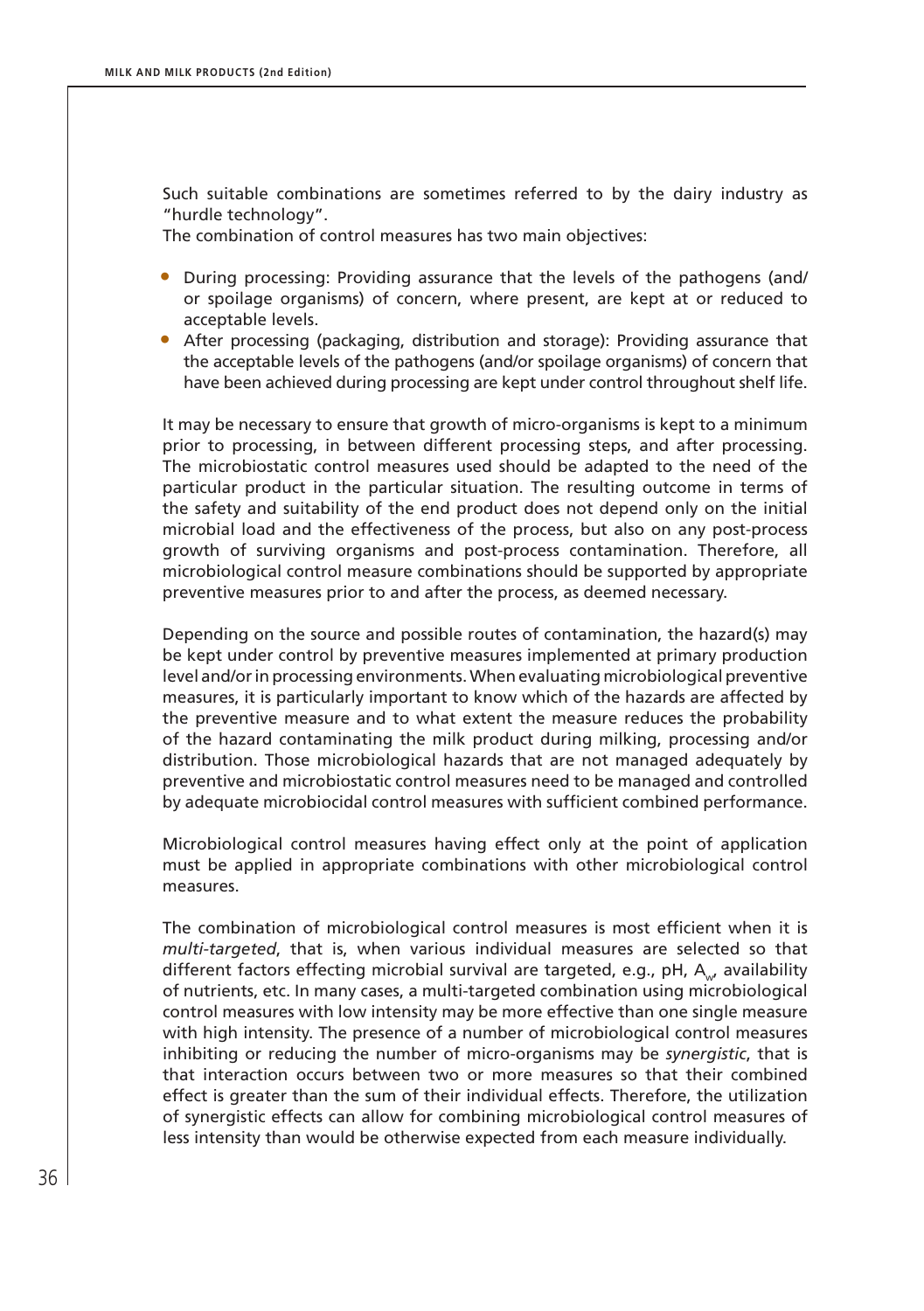Such suitable combinations are sometimes referred to by the dairy industry as "hurdle technology".

The combination of control measures has two main objectives:

- During processing: Providing assurance that the levels of the pathogens (and/ or spoilage organisms) of concern, where present, are kept at or reduced to acceptable levels.
- After processing (packaging, distribution and storage): Providing assurance that the acceptable levels of the pathogens (and/or spoilage organisms) of concern that have been achieved during processing are kept under control throughout shelf life.

It may be necessary to ensure that growth of micro-organisms is kept to a minimum prior to processing, in between different processing steps, and after processing. The microbiostatic control measures used should be adapted to the need of the particular product in the particular situation. The resulting outcome in terms of the safety and suitability of the end product does not depend only on the initial microbial load and the effectiveness of the process, but also on any post-process growth of surviving organisms and post-process contamination. Therefore, all microbiological control measure combinations should be supported by appropriate preventive measures prior to and after the process, as deemed necessary.

Depending on the source and possible routes of contamination, the hazard(s) may be kept under control by preventive measures implemented at primary production level and/or in processing environments. When evaluating microbiological preventive measures, it is particularly important to know which of the hazards are affected by the preventive measure and to what extent the measure reduces the probability of the hazard contaminating the milk product during milking, processing and/or distribution. Those microbiological hazards that are not managed adequately by preventive and microbiostatic control measures need to be managed and controlled by adequate microbiocidal control measures with sufficient combined performance.

Microbiological control measures having effect only at the point of application must be applied in appropriate combinations with other microbiological control measures.

The combination of microbiological control measures is most efficient when it is *multi-targeted*, that is, when various individual measures are selected so that different factors effecting microbial survival are targeted, e.g., pH,  $A_{w}$ , availability of nutrients, etc. In many cases, a multi-targeted combination using microbiological control measures with low intensity may be more effective than one single measure with high intensity. The presence of a number of microbiological control measures inhibiting or reducing the number of micro-organisms may be *synergistic*, that is that interaction occurs between two or more measures so that their combined effect is greater than the sum of their individual effects. Therefore, the utilization of synergistic effects can allow for combining microbiological control measures of less intensity than would be otherwise expected from each measure individually.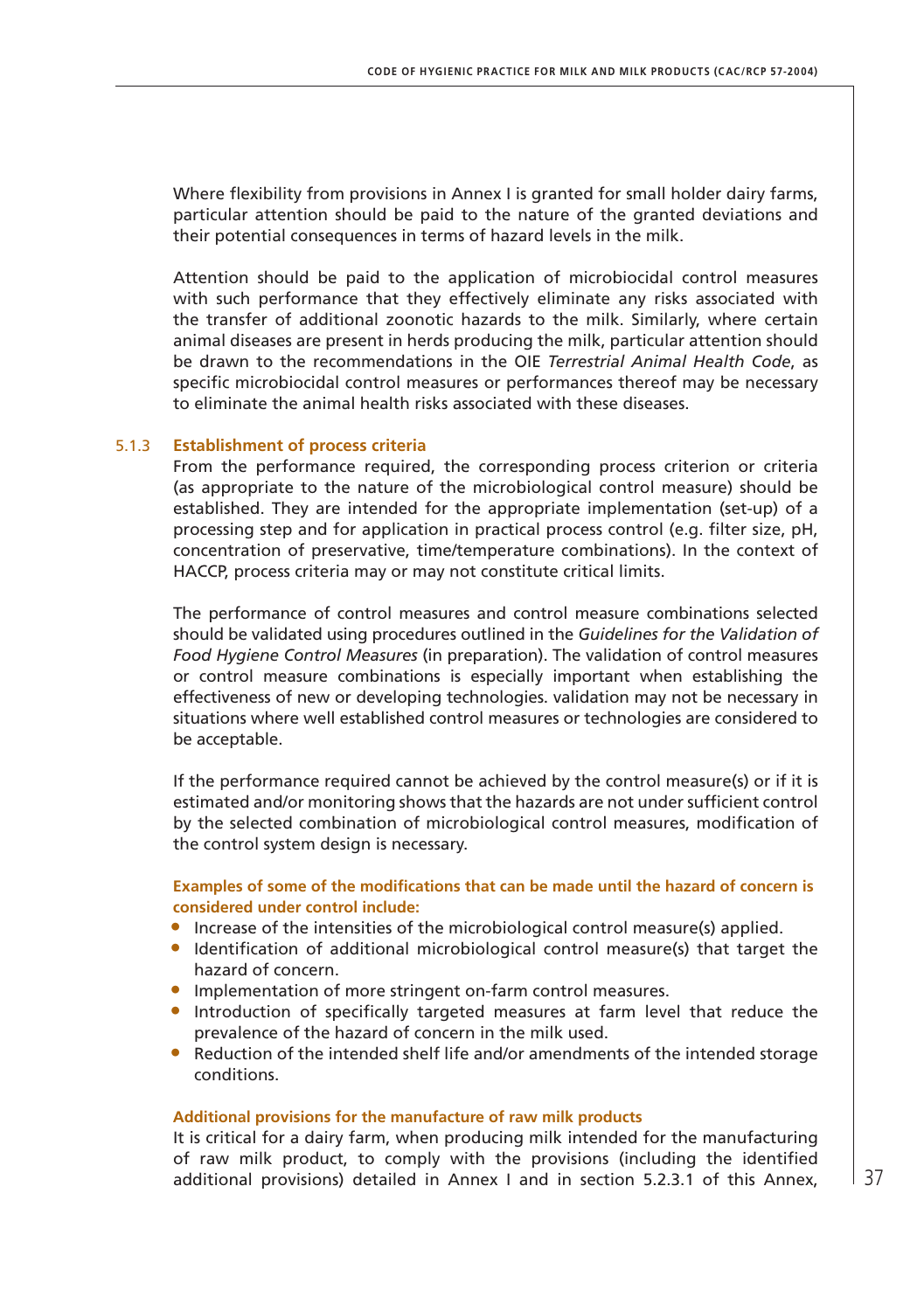Where flexibility from provisions in Annex I is granted for small holder dairy farms, particular attention should be paid to the nature of the granted deviations and their potential consequences in terms of hazard levels in the milk.

Attention should be paid to the application of microbiocidal control measures with such performance that they effectively eliminate any risks associated with the transfer of additional zoonotic hazards to the milk. Similarly, where certain animal diseases are present in herds producing the milk, particular attention should be drawn to the recommendations in the OIE *Terrestrial Animal Health Code*, as specific microbiocidal control measures or performances thereof may be necessary to eliminate the animal health risks associated with these diseases.

#### 5.1.3 **Establishment of process criteria**

From the performance required, the corresponding process criterion or criteria (as appropriate to the nature of the microbiological control measure) should be established. They are intended for the appropriate implementation (set-up) of a processing step and for application in practical process control (e.g. filter size, pH, concentration of preservative, time/temperature combinations). In the context of HACCP, process criteria may or may not constitute critical limits.

The performance of control measures and control measure combinations selected should be validated using procedures outlined in the *Guidelines for the Validation of Food Hygiene Control Measures* (in preparation). The validation of control measures or control measure combinations is especially important when establishing the effectiveness of new or developing technologies. validation may not be necessary in situations where well established control measures or technologies are considered to be acceptable.

If the performance required cannot be achieved by the control measure(s) or if it is estimated and/or monitoring shows that the hazards are not under sufficient control by the selected combination of microbiological control measures, modification of the control system design is necessary.

### **Examples of some of the modifications that can be made until the hazard of concern is considered under control include:**

- Increase of the intensities of the microbiological control measure(s) applied.
- Identification of additional microbiological control measure(s) that target the hazard of concern.
- Implementation of more stringent on-farm control measures.
- Introduction of specifically targeted measures at farm level that reduce the prevalence of the hazard of concern in the milk used.
- Reduction of the intended shelf life and/or amendments of the intended storage conditions.

#### **Additional provisions for the manufacture of raw milk products**

It is critical for a dairy farm, when producing milk intended for the manufacturing of raw milk product, to comply with the provisions (including the identified additional provisions) detailed in Annex I and in section 5.2.3.1 of this Annex,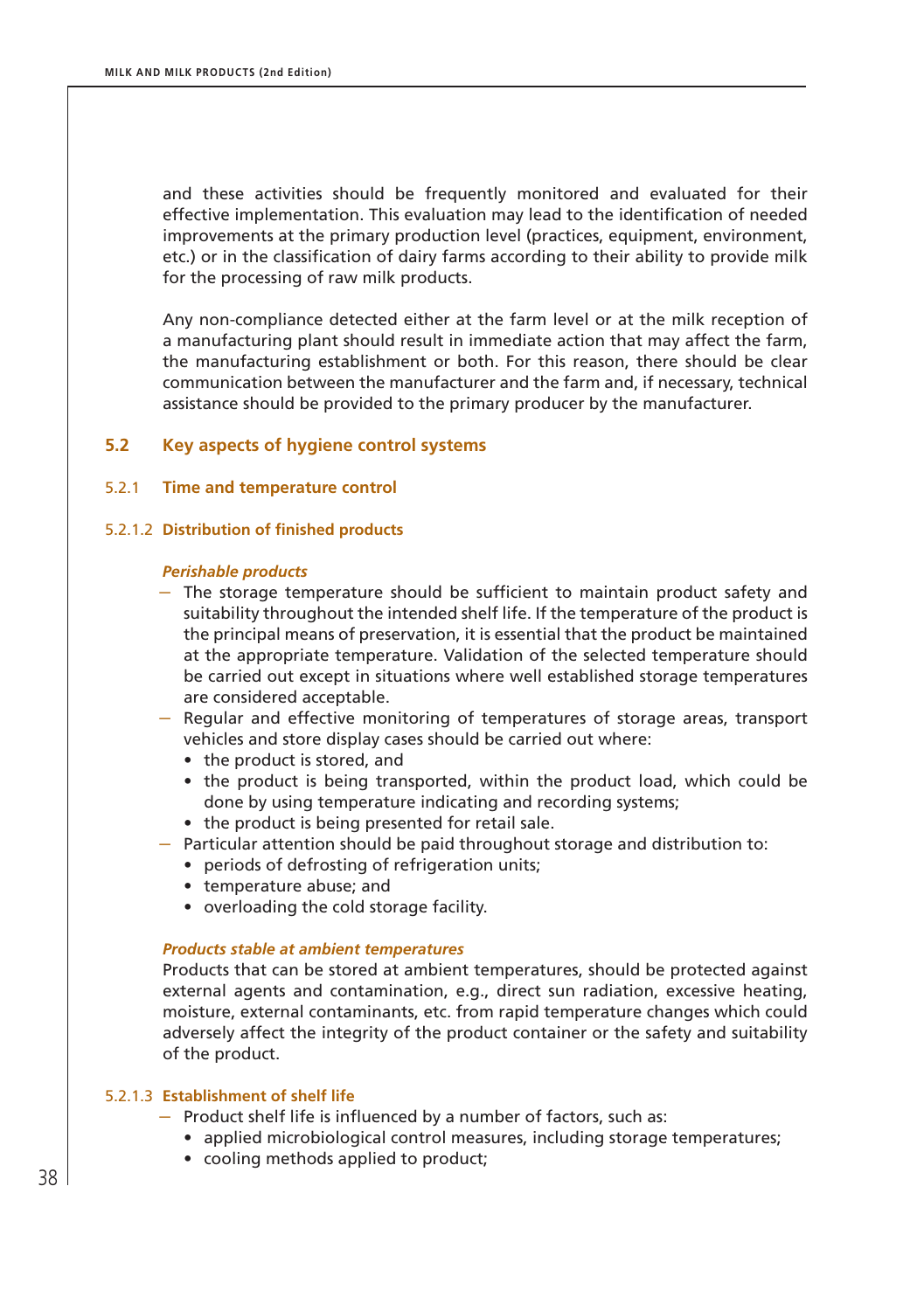and these activities should be frequently monitored and evaluated for their effective implementation. This evaluation may lead to the identification of needed improvements at the primary production level (practices, equipment, environment, etc.) or in the classification of dairy farms according to their ability to provide milk for the processing of raw milk products.

Any non-compliance detected either at the farm level or at the milk reception of a manufacturing plant should result in immediate action that may affect the farm, the manufacturing establishment or both. For this reason, there should be clear communication between the manufacturer and the farm and, if necessary, technical assistance should be provided to the primary producer by the manufacturer.

### **5.2 Key aspects of hygiene control systems**

5.2.1 **Time and temperature control**

#### 5.2.1.2 **Distribution of finished products**

#### *Perishable products*

- The storage temperature should be sufficient to maintain product safety and suitability throughout the intended shelf life. If the temperature of the product is the principal means of preservation, it is essential that the product be maintained at the appropriate temperature. Validation of the selected temperature should be carried out except in situations where well established storage temperatures are considered acceptable.
- Regular and effective monitoring of temperatures of storage areas, transport vehicles and store display cases should be carried out where:
	- the product is stored, and
	- the product is being transported, within the product load, which could be done by using temperature indicating and recording systems;
	- the product is being presented for retail sale.
- Particular attention should be paid throughout storage and distribution to:
	- periods of defrosting of refrigeration units;
	- • temperature abuse; and
	- • overloading the cold storage facility.

#### *Products stable at ambient temperatures*

Products that can be stored at ambient temperatures, should be protected against external agents and contamination, e.g., direct sun radiation, excessive heating, moisture, external contaminants, etc. from rapid temperature changes which could adversely affect the integrity of the product container or the safety and suitability of the product.

#### 5.2.1.3 **Establishment of shelf life**

– Product shelf life is influenced by a number of factors, such as:

- applied microbiological control measures, including storage temperatures;
- cooling methods applied to product;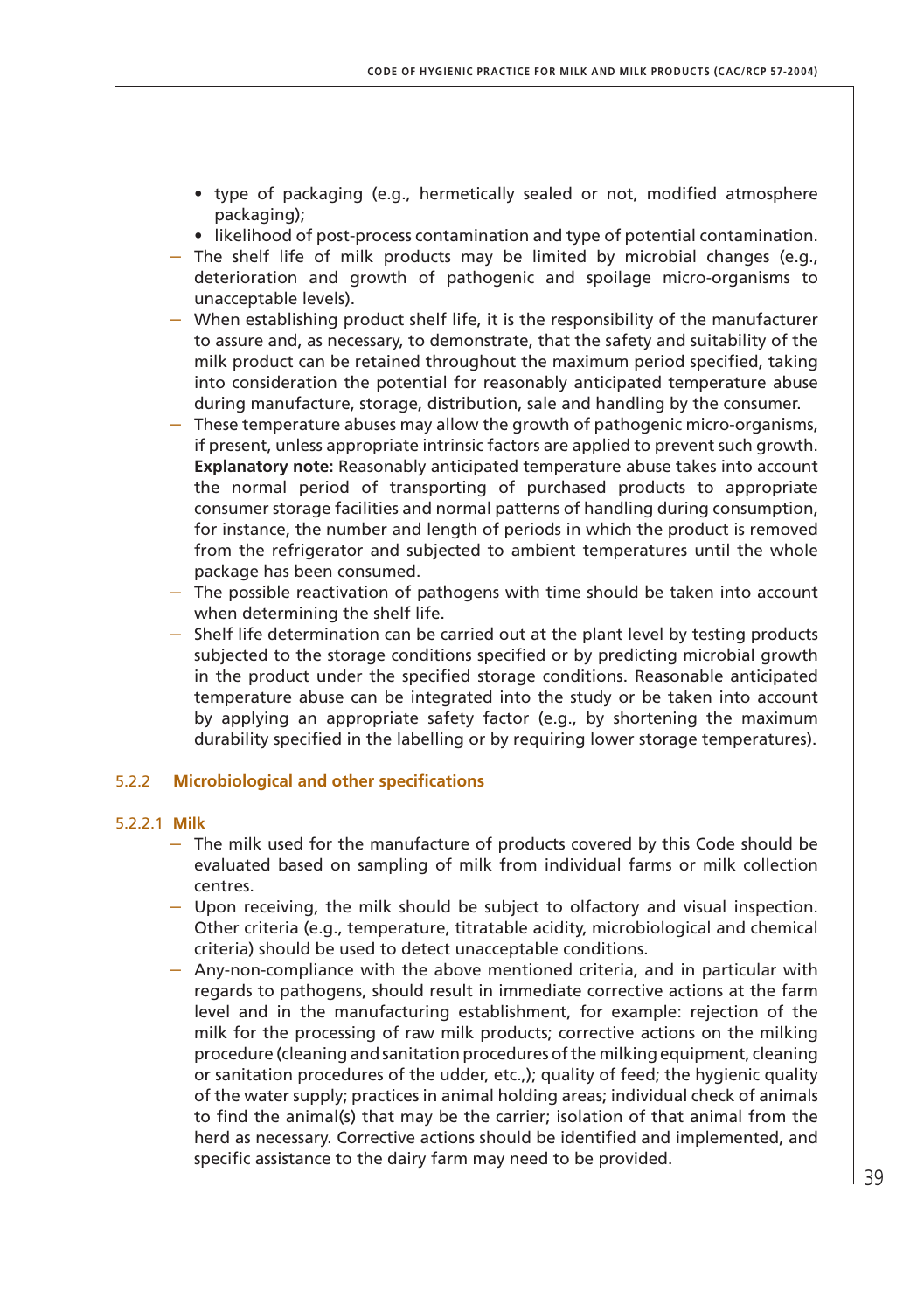- type of packaging (e.g., hermetically sealed or not, modified atmosphere packaging);
- likelihood of post-process contamination and type of potential contamination.
- The shelf life of milk products may be limited by microbial changes (e.g., deterioration and growth of pathogenic and spoilage micro-organisms to unacceptable levels).
- When establishing product shelf life, it is the responsibility of the manufacturer to assure and, as necessary, to demonstrate, that the safety and suitability of the milk product can be retained throughout the maximum period specified, taking into consideration the potential for reasonably anticipated temperature abuse during manufacture, storage, distribution, sale and handling by the consumer.
- These temperature abuses may allow the growth of pathogenic micro-organisms, if present, unless appropriate intrinsic factors are applied to prevent such growth. **Explanatory note:** Reasonably anticipated temperature abuse takes into account the normal period of transporting of purchased products to appropriate consumer storage facilities and normal patterns of handling during consumption, for instance, the number and length of periods in which the product is removed from the refrigerator and subjected to ambient temperatures until the whole package has been consumed.
- The possible reactivation of pathogens with time should be taken into account when determining the shelf life.
- Shelf life determination can be carried out at the plant level by testing products subjected to the storage conditions specified or by predicting microbial growth in the product under the specified storage conditions. Reasonable anticipated temperature abuse can be integrated into the study or be taken into account by applying an appropriate safety factor (e.g., by shortening the maximum durability specified in the labelling or by requiring lower storage temperatures).

### 5.2.2 **Microbiological and other specifications**

### 5.2.2.1 **Milk**

- The milk used for the manufacture of products covered by this Code should be evaluated based on sampling of milk from individual farms or milk collection centres.
- Upon receiving, the milk should be subject to olfactory and visual inspection. Other criteria (e.g., temperature, titratable acidity, microbiological and chemical criteria) should be used to detect unacceptable conditions.
- Any-non-compliance with the above mentioned criteria, and in particular with regards to pathogens, should result in immediate corrective actions at the farm level and in the manufacturing establishment, for example: rejection of the milk for the processing of raw milk products; corrective actions on the milking procedure (cleaning and sanitation procedures of the milking equipment, cleaning or sanitation procedures of the udder, etc.,); quality of feed; the hygienic quality of the water supply; practices in animal holding areas; individual check of animals to find the animal(s) that may be the carrier; isolation of that animal from the herd as necessary. Corrective actions should be identified and implemented, and specific assistance to the dairy farm may need to be provided.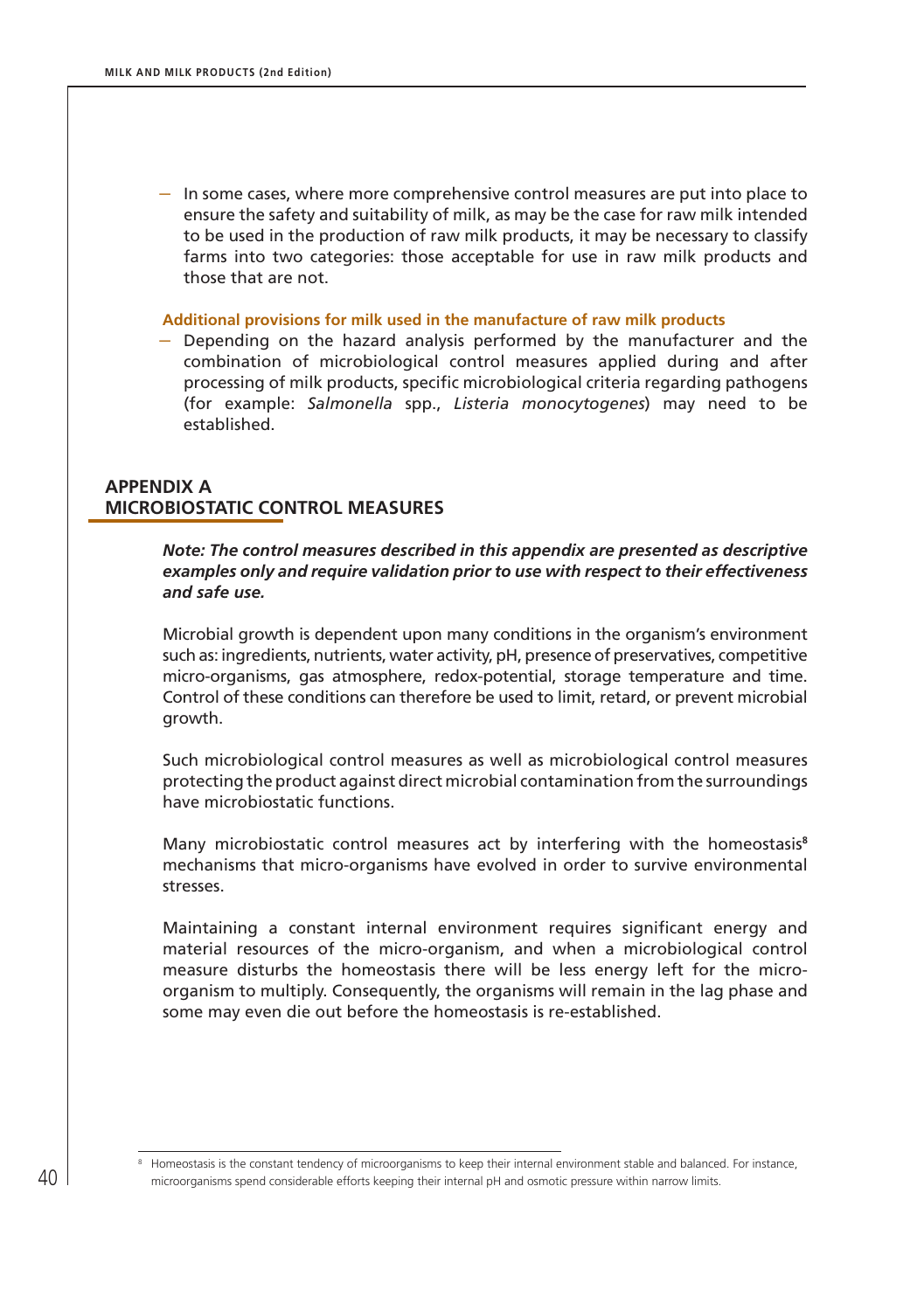– In some cases, where more comprehensive control measures are put into place to ensure the safety and suitability of milk, as may be the case for raw milk intended to be used in the production of raw milk products, it may be necessary to classify farms into two categories: those acceptable for use in raw milk products and those that are not.

#### **Additional provisions for milk used in the manufacture of raw milk products**

– Depending on the hazard analysis performed by the manufacturer and the combination of microbiological control measures applied during and after processing of milk products, specific microbiological criteria regarding pathogens (for example: *Salmonella* spp., *Listeria monocytogenes*) may need to be established.

### **Appendix A Microbiostatic control measures**

*Note: The control measures described in this appendix are presented as descriptive examples only and require validation prior to use with respect to their effectiveness and safe use.*

Microbial growth is dependent upon many conditions in the organism's environment such as: ingredients, nutrients, water activity, pH, presence of preservatives, competitive micro-organisms, gas atmosphere, redox-potential, storage temperature and time. Control of these conditions can therefore be used to limit, retard, or prevent microbial growth.

Such microbiological control measures as well as microbiological control measures protecting the product against direct microbial contamination from the surroundings have microbiostatic functions.

Many microbiostatic control measures act by interfering with the homeostasis**<sup>8</sup>** mechanisms that micro-organisms have evolved in order to survive environmental stresses.

Maintaining a constant internal environment requires significant energy and material resources of the micro-organism, and when a microbiological control measure disturbs the homeostasis there will be less energy left for the microorganism to multiply. Consequently, the organisms will remain in the lag phase and some may even die out before the homeostasis is re-established.

<sup>&</sup>lt;sup>8</sup> Homeostasis is the constant tendency of microorganisms to keep their internal environment stable and balanced. For instance, microorganisms spend considerable efforts keeping their internal pH and osmotic pressure within narrow limits.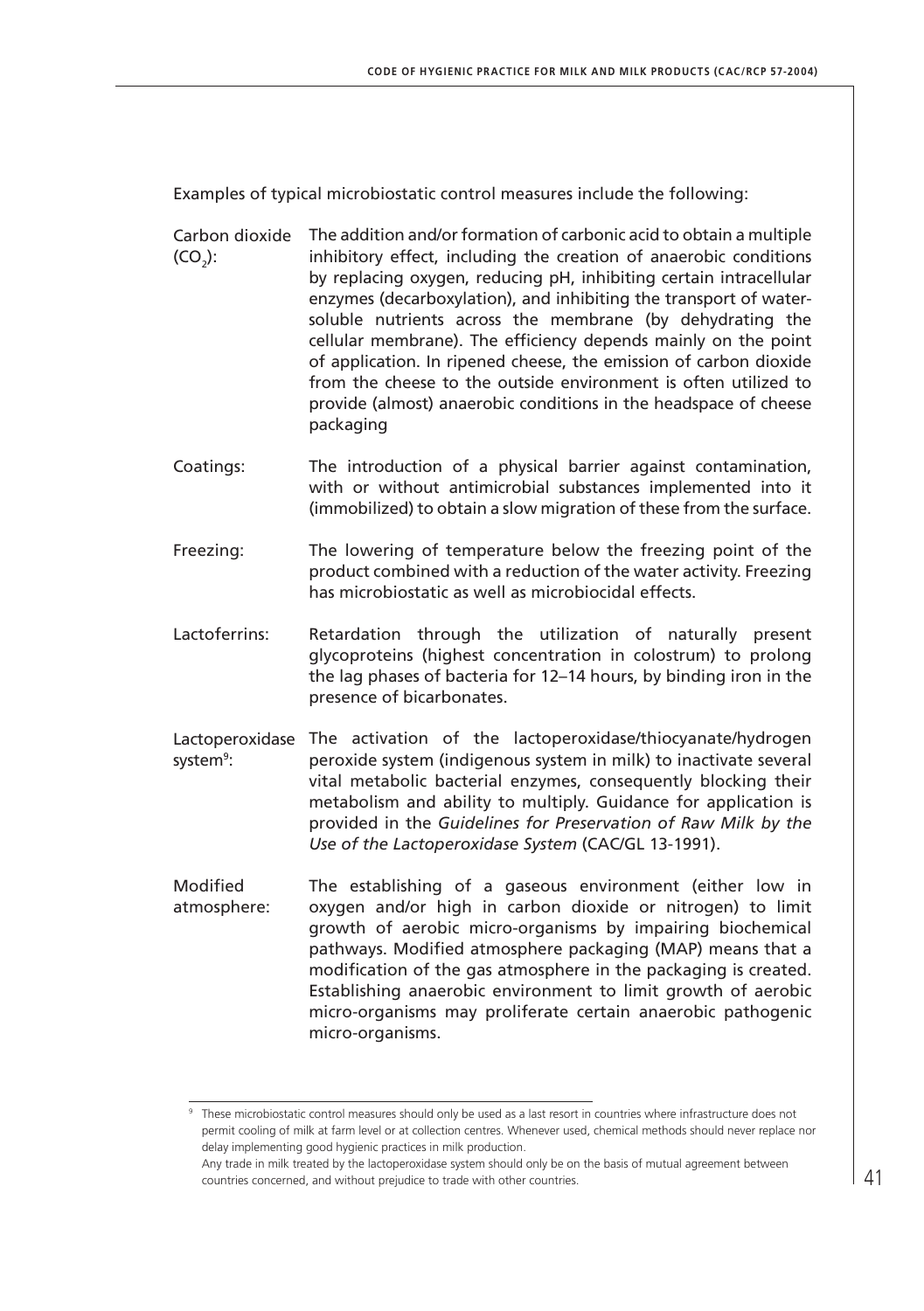Examples of typical microbiostatic control measures include the following:

Carbon dioxide The addition and/or formation of carbonic acid to obtain a multiple (CO<sub>2</sub>): inhibitory effect, including the creation of anaerobic conditions by replacing oxygen, reducing pH, inhibiting certain intracellular enzymes (decarboxylation), and inhibiting the transport of watersoluble nutrients across the membrane (by dehydrating the cellular membrane). The efficiency depends mainly on the point of application. In ripened cheese, the emission of carbon dioxide from the cheese to the outside environment is often utilized to provide (almost) anaerobic conditions in the headspace of cheese packaging

- Coatings: The introduction of a physical barrier against contamination, with or without antimicrobial substances implemented into it (immobilized) to obtain a slow migration of these from the surface.
- Freezing: The lowering of temperature below the freezing point of the product combined with a reduction of the water activity. Freezing has microbiostatic as well as microbiocidal effects.
- Lactoferrins: Retardation through the utilization of naturally present glycoproteins (highest concentration in colostrum) to prolong the lag phases of bacteria for 12–14 hours, by binding iron in the presence of bicarbonates.
- Lactoperoxidase The activation of the lactoperoxidase/thiocyanate/hydrogen system<sup>9</sup>: peroxide system (indigenous system in milk) to inactivate several vital metabolic bacterial enzymes, consequently blocking their metabolism and ability to multiply. Guidance for application is provided in the *Guidelines for Preservation of Raw Milk by the Use of the Lactoperoxidase System* (CAC/GL 13-1991).
- Modified atmosphere: The establishing of a gaseous environment (either low in oxygen and/or high in carbon dioxide or nitrogen) to limit growth of aerobic micro-organisms by impairing biochemical pathways. Modified atmosphere packaging (MAP) means that a modification of the gas atmosphere in the packaging is created. Establishing anaerobic environment to limit growth of aerobic micro-organisms may proliferate certain anaerobic pathogenic micro-organisms.

<sup>&</sup>lt;sup>9</sup> These microbiostatic control measures should only be used as a last resort in countries where infrastructure does not permit cooling of milk at farm level or at collection centres. Whenever used, chemical methods should never replace nor delay implementing good hygienic practices in milk production.

Any trade in milk treated by the lactoperoxidase system should only be on the basis of mutual agreement between countries concerned, and without prejudice to trade with other countries.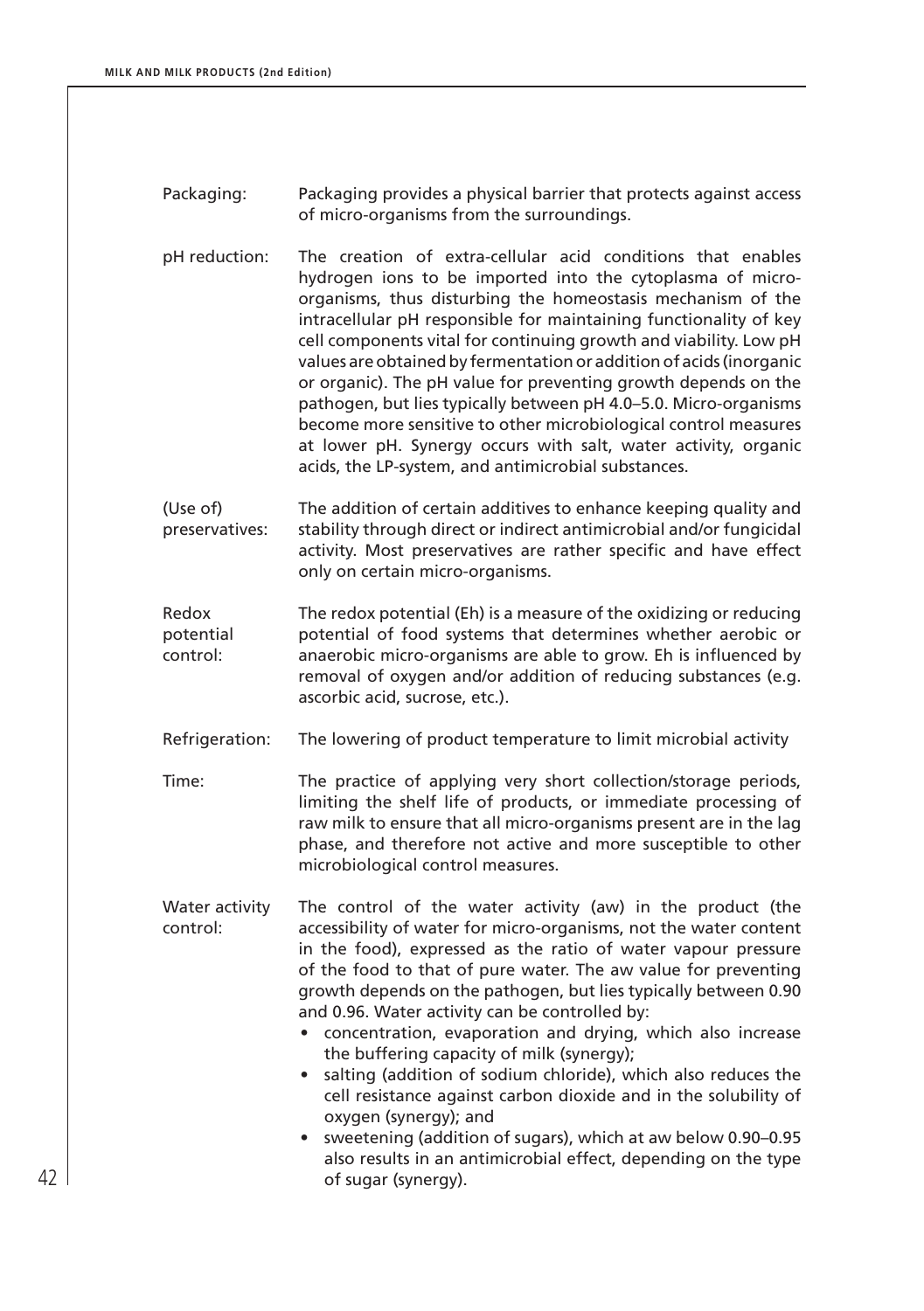- Packaging: Packaging provides a physical barrier that protects against access of micro-organisms from the surroundings.
- pH reduction: The creation of extra-cellular acid conditions that enables hydrogen ions to be imported into the cytoplasma of microorganisms, thus disturbing the homeostasis mechanism of the intracellular pH responsible for maintaining functionality of key cell components vital for continuing growth and viability. Low pH values are obtained by fermentation or addition of acids (inorganic or organic). The pH value for preventing growth depends on the pathogen, but lies typically between pH 4.0–5.0. Micro-organisms become more sensitive to other microbiological control measures at lower pH. Synergy occurs with salt, water activity, organic acids, the LP-system, and antimicrobial substances.
- (Use of) preservatives: The addition of certain additives to enhance keeping quality and stability through direct or indirect antimicrobial and/or fungicidal activity. Most preservatives are rather specific and have effect only on certain micro-organisms.
- Redox potential control: The redox potential (Eh) is a measure of the oxidizing or reducing potential of food systems that determines whether aerobic or anaerobic micro-organisms are able to grow. Eh is influenced by removal of oxygen and/or addition of reducing substances (e.g. ascorbic acid, sucrose, etc.).
- Refrigeration: The lowering of product temperature to limit microbial activity
- Time: The practice of applying very short collection/storage periods, limiting the shelf life of products, or immediate processing of raw milk to ensure that all micro-organisms present are in the lag phase, and therefore not active and more susceptible to other microbiological control measures.

Water activity control: The control of the water activity (aw) in the product (the accessibility of water for micro-organisms, not the water content in the food), expressed as the ratio of water vapour pressure of the food to that of pure water. The aw value for preventing growth depends on the pathogen, but lies typically between 0.90 and 0.96. Water activity can be controlled by:

- concentration, evaporation and drying, which also increase the buffering capacity of milk (synergy);
- salting (addition of sodium chloride), which also reduces the cell resistance against carbon dioxide and in the solubility of oxygen (synergy); and
- sweetening (addition of sugars), which at aw below 0.90–0.95 also results in an antimicrobial effect, depending on the type of sugar (synergy).

42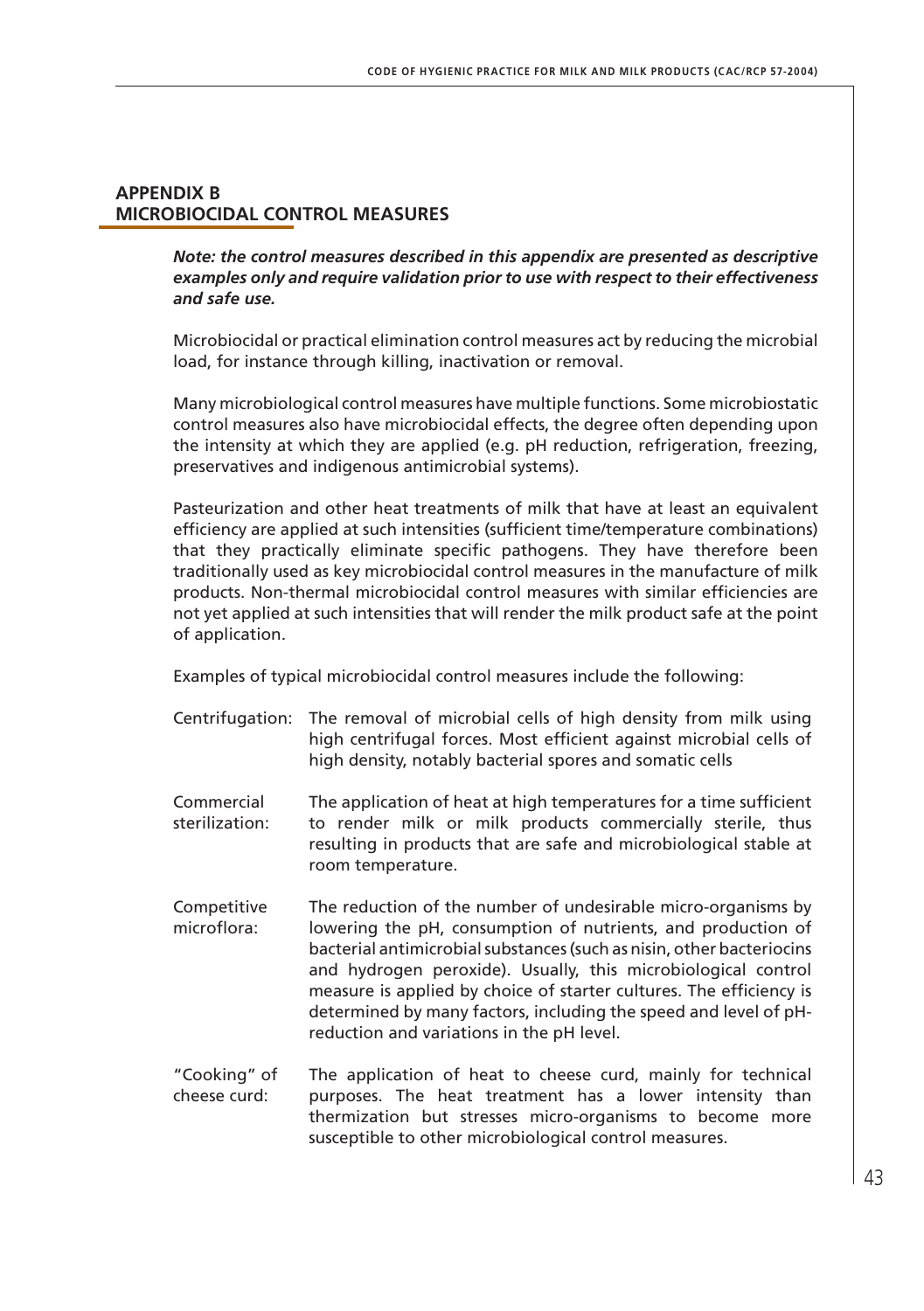## **Appendix B Microbiocidal control measures**

*Note: the control measures described in this appendix are presented as descriptive examples only and require validation prior to use with respect to their effectiveness and safe use.* 

Microbiocidal or practical elimination control measures act by reducing the microbial load, for instance through killing, inactivation or removal.

Many microbiological control measures have multiple functions. Some microbiostatic control measures also have microbiocidal effects, the degree often depending upon the intensity at which they are applied (e.g. pH reduction, refrigeration, freezing, preservatives and indigenous antimicrobial systems).

Pasteurization and other heat treatments of milk that have at least an equivalent efficiency are applied at such intensities (sufficient time/temperature combinations) that they practically eliminate specific pathogens. They have therefore been traditionally used as key microbiocidal control measures in the manufacture of milk products. Non-thermal microbiocidal control measures with similar efficiencies are not yet applied at such intensities that will render the milk product safe at the point of application.

Examples of typical microbiocidal control measures include the following:

- Centrifugation: The removal of microbial cells of high density from milk using high centrifugal forces. Most efficient against microbial cells of high density, notably bacterial spores and somatic cells
- Commercial sterilization: The application of heat at high temperatures for a time sufficient to render milk or milk products commercially sterile, thus resulting in products that are safe and microbiological stable at room temperature.
- Competitive microflora: The reduction of the number of undesirable micro-organisms by lowering the pH, consumption of nutrients, and production of bacterial antimicrobial substances (such as nisin, other bacteriocins and hydrogen peroxide). Usually, this microbiological control measure is applied by choice of starter cultures. The efficiency is determined by many factors, including the speed and level of pHreduction and variations in the pH level.
- "Cooking" of cheese curd: The application of heat to cheese curd, mainly for technical purposes. The heat treatment has a lower intensity than thermization but stresses micro-organisms to become more susceptible to other microbiological control measures.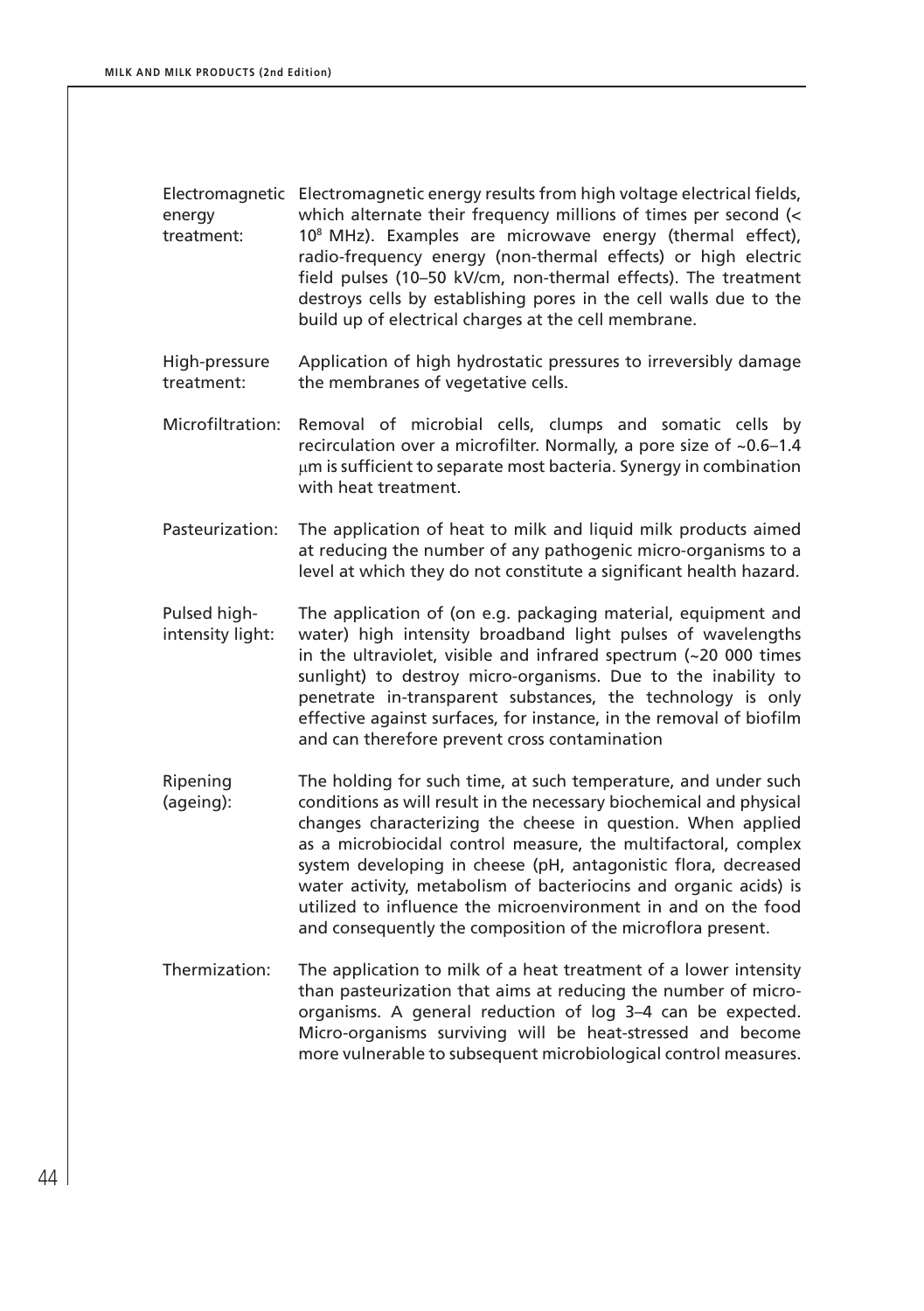Electromagnetic Electromagnetic energy results from high voltage electrical fields, energy treatment: which alternate their frequency millions of times per second (< 10<sup>8</sup> MHz). Examples are microwave energy (thermal effect), radio-frequency energy (non-thermal effects) or high electric field pulses (10–50 kV/cm, non-thermal effects). The treatment destroys cells by establishing pores in the cell walls due to the build up of electrical charges at the cell membrane.

High-pressure treatment: Application of high hydrostatic pressures to irreversibly damage the membranes of vegetative cells.

- Microfiltration: Removal of microbial cells, clumps and somatic cells by recirculation over a microfilter. Normally, a pore size of ~0.6–1.4 µm is sufficient to separate most bacteria. Synergy in combination with heat treatment.
- Pasteurization: The application of heat to milk and liquid milk products aimed at reducing the number of any pathogenic micro-organisms to a level at which they do not constitute a significant health hazard.
- Pulsed highintensity light: The application of (on e.g. packaging material, equipment and water) high intensity broadband light pulses of wavelengths in the ultraviolet, visible and infrared spectrum (~20 000 times sunlight) to destroy micro-organisms. Due to the inability to penetrate in-transparent substances, the technology is only effective against surfaces, for instance, in the removal of biofilm and can therefore prevent cross contamination
- Ripening (ageing): The holding for such time, at such temperature, and under such conditions as will result in the necessary biochemical and physical changes characterizing the cheese in question. When applied as a microbiocidal control measure, the multifactoral, complex system developing in cheese (pH, antagonistic flora, decreased water activity, metabolism of bacteriocins and organic acids) is utilized to influence the microenvironment in and on the food and consequently the composition of the microflora present.
- Thermization: The application to milk of a heat treatment of a lower intensity than pasteurization that aims at reducing the number of microorganisms. A general reduction of log 3–4 can be expected. Micro-organisms surviving will be heat-stressed and become more vulnerable to subsequent microbiological control measures.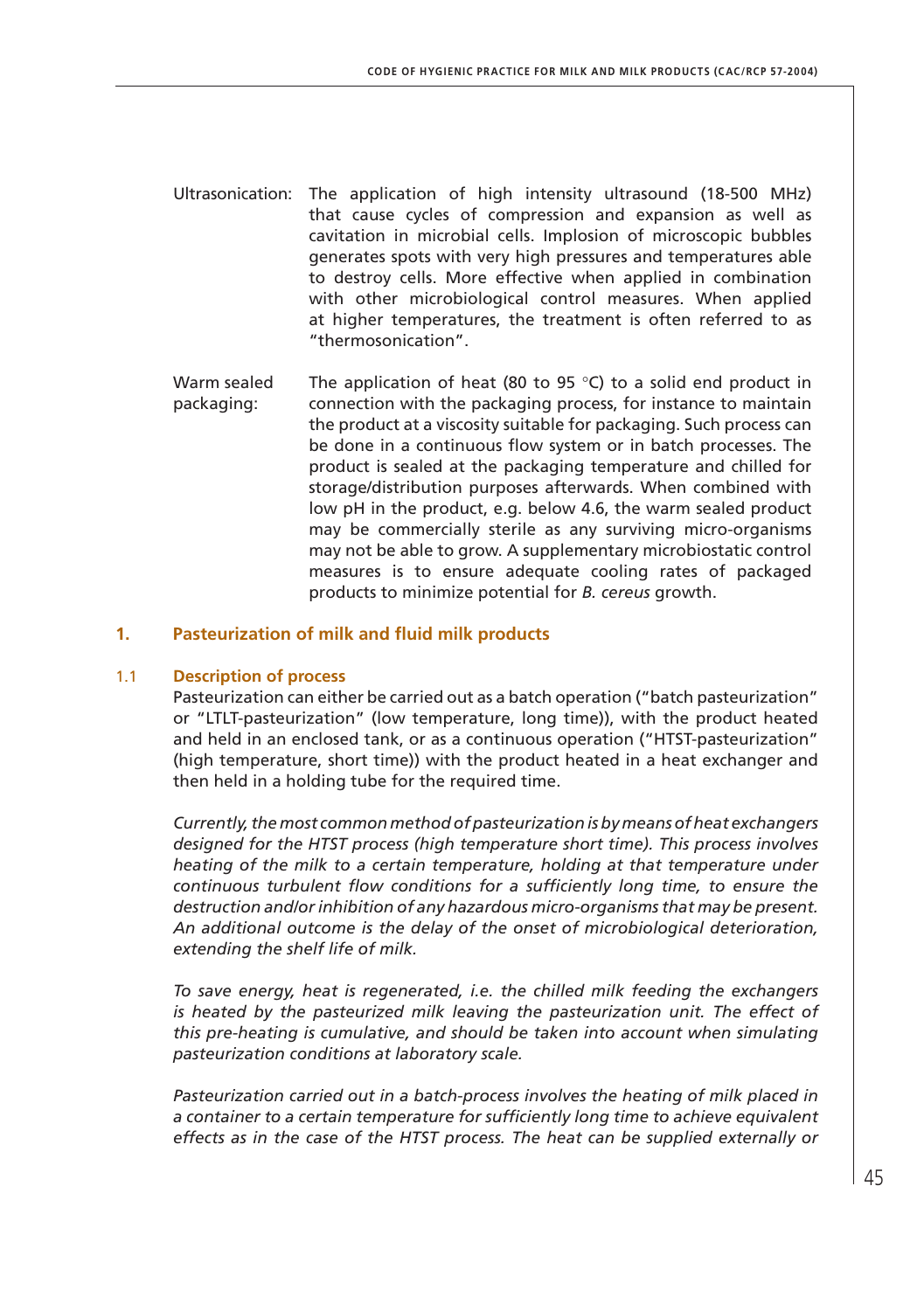- Ultrasonication: The application of high intensity ultrasound (18-500 MHz) that cause cycles of compression and expansion as well as cavitation in microbial cells. Implosion of microscopic bubbles generates spots with very high pressures and temperatures able to destroy cells. More effective when applied in combination with other microbiological control measures. When applied at higher temperatures, the treatment is often referred to as "thermosonication".
- Warm sealed packaging: The application of heat (80 to 95  $\degree$ C) to a solid end product in connection with the packaging process, for instance to maintain the product at a viscosity suitable for packaging. Such process can be done in a continuous flow system or in batch processes. The product is sealed at the packaging temperature and chilled for storage/distribution purposes afterwards. When combined with low pH in the product, e.g. below 4.6, the warm sealed product may be commercially sterile as any surviving micro-organisms may not be able to grow. A supplementary microbiostatic control measures is to ensure adequate cooling rates of packaged products to minimize potential for *B. cereus* growth.

#### **1. Pasteurization of milk and fluid milk products**

#### 1.1 **Description of process**

Pasteurization can either be carried out as a batch operation ("batch pasteurization" or "LTLT-pasteurization" (low temperature, long time)), with the product heated and held in an enclosed tank, or as a continuous operation ("HTST-pasteurization" (high temperature, short time)) with the product heated in a heat exchanger and then held in a holding tube for the required time.

*Currently, the most common method of pasteurization is by means of heat exchangers designed for the HTST process (high temperature short time). This process involves heating of the milk to a certain temperature, holding at that temperature under continuous turbulent flow conditions for a sufficiently long time, to ensure the destruction and/or inhibition of any hazardous micro-organisms that may be present. An additional outcome is the delay of the onset of microbiological deterioration, extending the shelf life of milk.* 

*To save energy, heat is regenerated, i.e. the chilled milk feeding the exchangers is heated by the pasteurized milk leaving the pasteurization unit. The effect of this pre-heating is cumulative, and should be taken into account when simulating pasteurization conditions at laboratory scale.*

*Pasteurization carried out in a batch-process involves the heating of milk placed in a container to a certain temperature for sufficiently long time to achieve equivalent effects as in the case of the HTST process. The heat can be supplied externally or*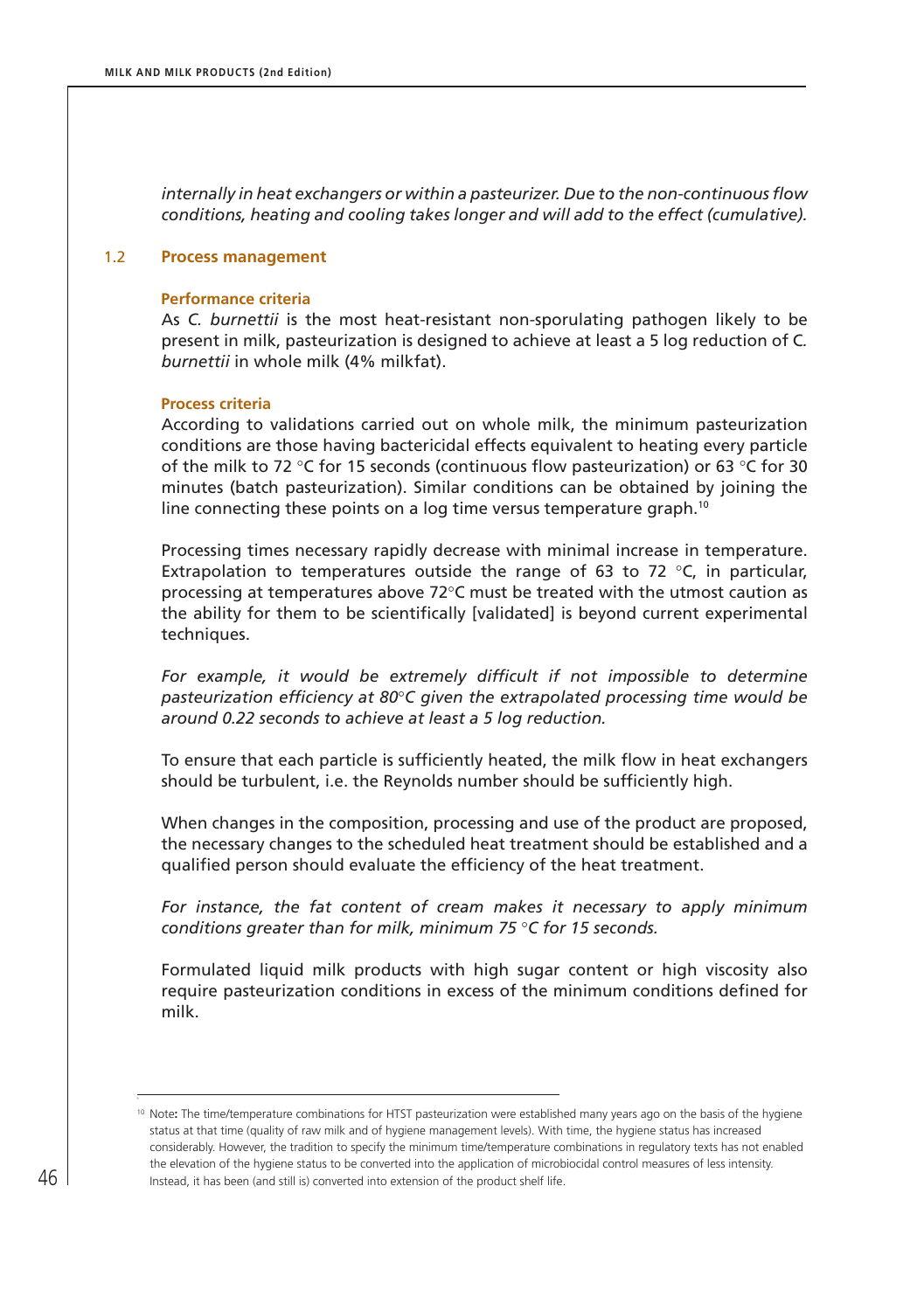*internally in heat exchangers or within a pasteurizer. Due to the non-continuous flow conditions, heating and cooling takes longer and will add to the effect (cumulative).*

#### 1.2 **Process management**

#### **Performance criteria**

As *C. burnettii* is the most heat-resistant non-sporulating pathogen likely to be present in milk, pasteurization is designed to achieve at least a 5 log reduction of C*. burnettii* in whole milk (4% milkfat).

#### **Process criteria**

According to validations carried out on whole milk, the minimum pasteurization conditions are those having bactericidal effects equivalent to heating every particle of the milk to 72 °C for 15 seconds (continuous flow pasteurization) or 63 °C for 30 minutes (batch pasteurization). Similar conditions can be obtained by joining the line connecting these points on a log time versus temperature graph.<sup>10</sup>

Processing times necessary rapidly decrease with minimal increase in temperature. Extrapolation to temperatures outside the range of 63 to 72  $\degree$ C, in particular, processing at temperatures above 72°C must be treated with the utmost caution as the ability for them to be scientifically [validated] is beyond current experimental techniques.

For example, it would be extremely difficult if not impossible to determine *pasteurization efficiency at 80*°*C given the extrapolated processing time would be around 0.22 seconds to achieve at least a 5 log reduction.*

To ensure that each particle is sufficiently heated, the milk flow in heat exchangers should be turbulent, i.e. the Reynolds number should be sufficiently high.

When changes in the composition, processing and use of the product are proposed, the necessary changes to the scheduled heat treatment should be established and a qualified person should evaluate the efficiency of the heat treatment.

*For instance, the fat content of cream makes it necessary to apply minimum conditions greater than for milk, minimum 75* °*C for 15 seconds.*

Formulated liquid milk products with high sugar content or high viscosity also require pasteurization conditions in excess of the minimum conditions defined for milk.

<sup>&</sup>lt;sup>10</sup> Note: The time/temperature combinations for HTST pasteurization were established many years ago on the basis of the hygiene status at that time (quality of raw milk and of hygiene management levels). With time, the hygiene status has increased considerably. However, the tradition to specify the minimum time/temperature combinations in regulatory texts has not enabled the elevation of the hygiene status to be converted into the application of microbiocidal control measures of less intensity. Instead, it has been (and still is) converted into extension of the product shelf life.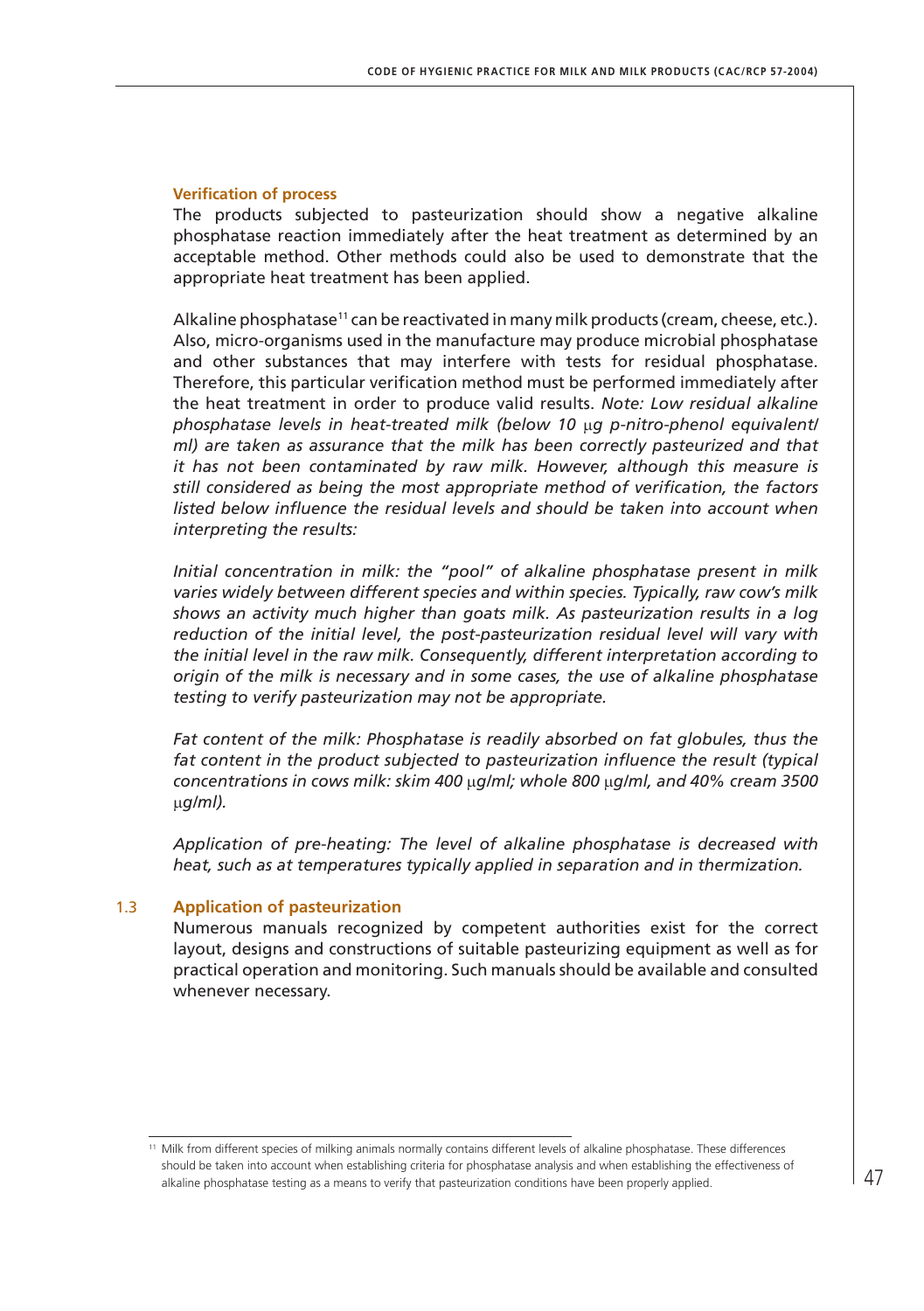#### **Verification of process**

The products subjected to pasteurization should show a negative alkaline phosphatase reaction immediately after the heat treatment as determined by an acceptable method. Other methods could also be used to demonstrate that the appropriate heat treatment has been applied.

Alkaline phosphatase<sup>11</sup> can be reactivated in many milk products (cream, cheese, etc.). Also, micro-organisms used in the manufacture may produce microbial phosphatase and other substances that may interfere with tests for residual phosphatase. Therefore, this particular verification method must be performed immediately after the heat treatment in order to produce valid results. *Note: Low residual alkaline phosphatase levels in heat-treated milk (below 10* µ*g p-nitro-phenol equivalent/ ml) are taken as assurance that the milk has been correctly pasteurized and that it has not been contaminated by raw milk. However, although this measure is still considered as being the most appropriate method of verification, the factors*  listed below influence the residual levels and should be taken into account when *interpreting the results:*

*Initial concentration in milk: the "pool" of alkaline phosphatase present in milk varies widely between different species and within species. Typically, raw cow's milk shows an activity much higher than goats milk. As pasteurization results in a log reduction of the initial level, the post-pasteurization residual level will vary with the initial level in the raw milk. Consequently, different interpretation according to origin of the milk is necessary and in some cases, the use of alkaline phosphatase testing to verify pasteurization may not be appropriate.*

*Fat content of the milk: Phosphatase is readily absorbed on fat globules, thus the fat content in the product subjected to pasteurization influence the result (typical concentrations in cows milk: skim 400* µ*g/ml; whole 800* µ*g/ml, and 40% cream 3500*  µ*g/ml).*

*Application of pre-heating: The level of alkaline phosphatase is decreased with heat, such as at temperatures typically applied in separation and in thermization.*

#### 1.3 **Application of pasteurization**

Numerous manuals recognized by competent authorities exist for the correct layout, designs and constructions of suitable pasteurizing equipment as well as for practical operation and monitoring. Such manuals should be available and consulted whenever necessary.

<sup>11</sup> Milk from different species of milking animals normally contains different levels of alkaline phosphatase. These differences should be taken into account when establishing criteria for phosphatase analysis and when establishing the effectiveness of alkaline phosphatase testing as a means to verify that pasteurization conditions have been properly applied.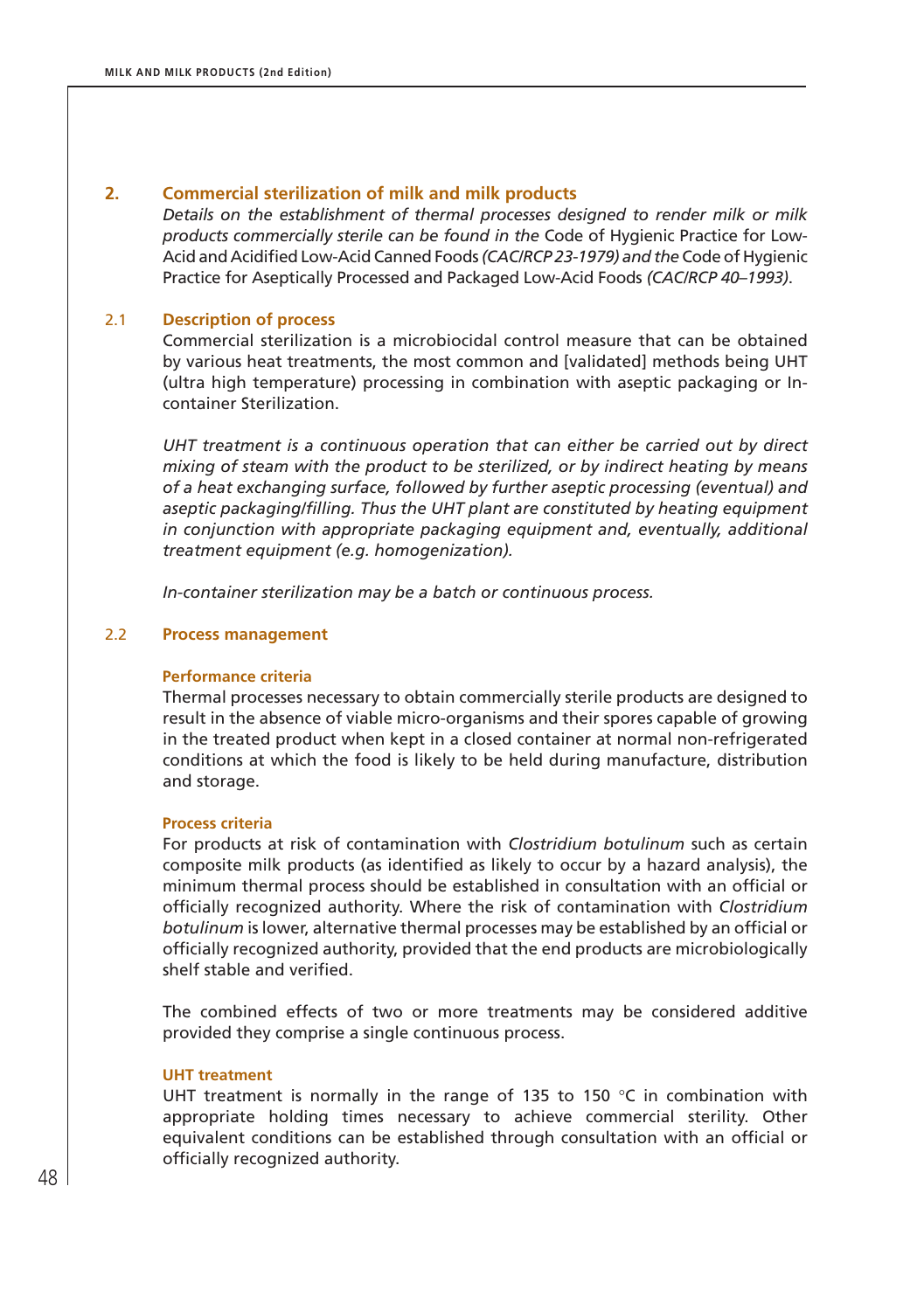### **2. Commercial sterilization of milk and milk products**

*Details on the establishment of thermal processes designed to render milk or milk products commercially sterile can be found in the* Code of Hygienic Practice for Low-Acid and Acidified Low-Acid Canned Foods *(CAC/RCP 23-1979) and the* Code of Hygienic Practice for Aseptically Processed and Packaged Low-Acid Foods *(CAC/RCP 40–1993)*.

### 2.1 **Description of process**

Commercial sterilization is a microbiocidal control measure that can be obtained by various heat treatments, the most common and [validated] methods being UHT (ultra high temperature) processing in combination with aseptic packaging or Incontainer Sterilization.

*UHT treatment is a continuous operation that can either be carried out by direct mixing of steam with the product to be sterilized, or by indirect heating by means of a heat exchanging surface, followed by further aseptic processing (eventual) and aseptic packaging/filling. Thus the UHT plant are constituted by heating equipment in conjunction with appropriate packaging equipment and, eventually, additional treatment equipment (e.g. homogenization).*

*In-container sterilization may be a batch or continuous process.*

### 2.2 **Process management**

### **Performance criteria**

Thermal processes necessary to obtain commercially sterile products are designed to result in the absence of viable micro-organisms and their spores capable of growing in the treated product when kept in a closed container at normal non-refrigerated conditions at which the food is likely to be held during manufacture, distribution and storage.

### **Process criteria**

For products at risk of contamination with *Clostridium botulinum* such as certain composite milk products (as identified as likely to occur by a hazard analysis), the minimum thermal process should be established in consultation with an official or officially recognized authority. Where the risk of contamination with *Clostridium botulinum* is lower, alternative thermal processes may be established by an official or officially recognized authority, provided that the end products are microbiologically shelf stable and verified.

The combined effects of two or more treatments may be considered additive provided they comprise a single continuous process.

### **UHT treatment**

UHT treatment is normally in the range of 135 to 150  $\degree$ C in combination with appropriate holding times necessary to achieve commercial sterility. Other equivalent conditions can be established through consultation with an official or officially recognized authority.